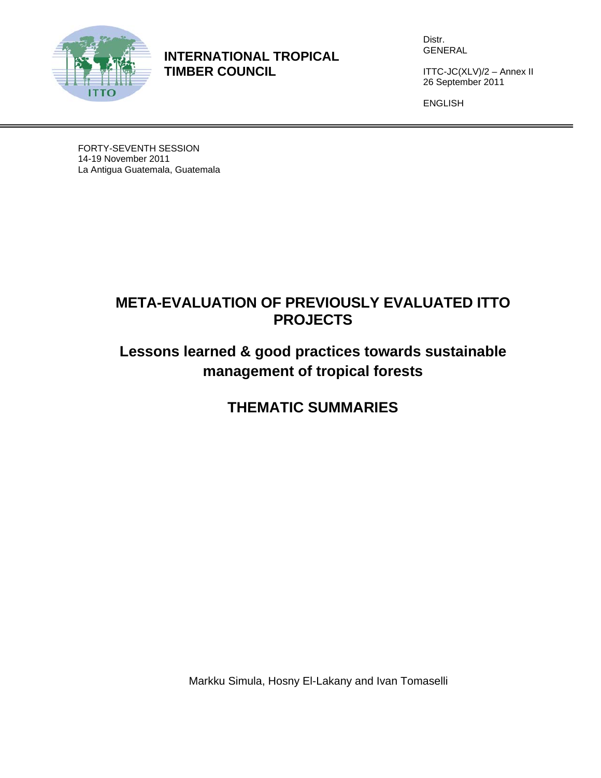

**INTERNATIONAL TROPICAL TIMBER COUNCIL** 

Distr. GENERAL

ITTC-JC(XLV)/2 – Annex II 26 September 2011

ENGLISH

FORTY-SEVENTH SESSION 14-19 November 2011 La Antigua Guatemala, Guatemala

# **META-EVALUATION OF PREVIOUSLY EVALUATED ITTO PROJECTS**

# **Lessons learned & good practices towards sustainable management of tropical forests**

# **THEMATIC SUMMARIES**

Markku Simula, Hosny El-Lakany and Ivan Tomaselli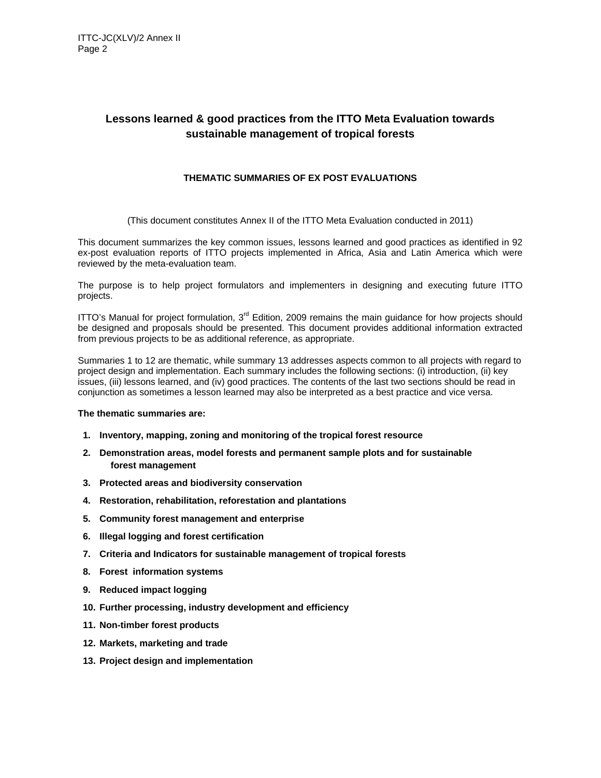## **Lessons learned & good practices from the ITTO Meta Evaluation towards sustainable management of tropical forests**

## **THEMATIC SUMMARIES OF EX POST EVALUATIONS**

(This document constitutes Annex II of the ITTO Meta Evaluation conducted in 2011)

This document summarizes the key common issues, lessons learned and good practices as identified in 92 ex-post evaluation reports of ITTO projects implemented in Africa, Asia and Latin America which were reviewed by the meta-evaluation team.

The purpose is to help project formulators and implementers in designing and executing future ITTO projects.

ITTO's Manual for project formulation,  $3<sup>rd</sup>$  Edition, 2009 remains the main guidance for how projects should be designed and proposals should be presented. This document provides additional information extracted from previous projects to be as additional reference, as appropriate.

Summaries 1 to 12 are thematic, while summary 13 addresses aspects common to all projects with regard to project design and implementation. Each summary includes the following sections: (i) introduction, (ii) key issues, (iii) lessons learned, and (iv) good practices. The contents of the last two sections should be read in conjunction as sometimes a lesson learned may also be interpreted as a best practice and vice versa.

#### **The thematic summaries are:**

- **1. Inventory, mapping, zoning and monitoring of the tropical forest resource**
- **2. Demonstration areas, model forests and permanent sample plots and for sustainable forest management**
- **3. Protected areas and biodiversity conservation**
- **4. Restoration, rehabilitation, reforestation and plantations**
- **5. Community forest management and enterprise**
- **6. Illegal logging and forest certification**
- **7. Criteria and Indicators for sustainable management of tropical forests**
- **8. Forest information systems**
- **9. Reduced impact logging**
- **10. Further processing, industry development and efficiency**
- **11. Non-timber forest products**
- **12. Markets, marketing and trade**
- **13. Project design and implementation**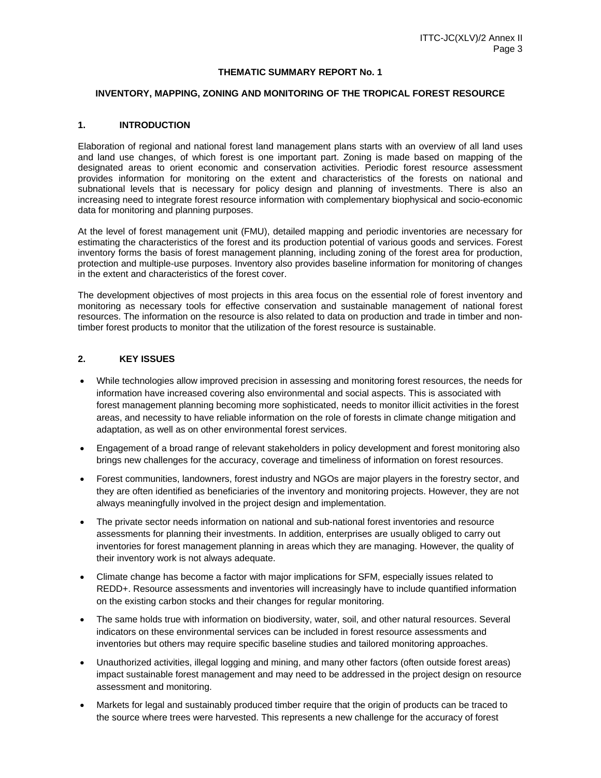#### **THEMATIC SUMMARY REPORT No. 1**

#### **INVENTORY, MAPPING, ZONING AND MONITORING OF THE TROPICAL FOREST RESOURCE**

#### **1. INTRODUCTION**

Elaboration of regional and national forest land management plans starts with an overview of all land uses and land use changes, of which forest is one important part. Zoning is made based on mapping of the designated areas to orient economic and conservation activities. Periodic forest resource assessment provides information for monitoring on the extent and characteristics of the forests on national and subnational levels that is necessary for policy design and planning of investments. There is also an increasing need to integrate forest resource information with complementary biophysical and socio-economic data for monitoring and planning purposes.

At the level of forest management unit (FMU), detailed mapping and periodic inventories are necessary for estimating the characteristics of the forest and its production potential of various goods and services. Forest inventory forms the basis of forest management planning, including zoning of the forest area for production, protection and multiple-use purposes. Inventory also provides baseline information for monitoring of changes in the extent and characteristics of the forest cover.

The development objectives of most projects in this area focus on the essential role of forest inventory and monitoring as necessary tools for effective conservation and sustainable management of national forest resources. The information on the resource is also related to data on production and trade in timber and nontimber forest products to monitor that the utilization of the forest resource is sustainable.

#### **2. KEY ISSUES**

- While technologies allow improved precision in assessing and monitoring forest resources, the needs for information have increased covering also environmental and social aspects. This is associated with forest management planning becoming more sophisticated, needs to monitor illicit activities in the forest areas, and necessity to have reliable information on the role of forests in climate change mitigation and adaptation, as well as on other environmental forest services.
- Engagement of a broad range of relevant stakeholders in policy development and forest monitoring also brings new challenges for the accuracy, coverage and timeliness of information on forest resources.
- Forest communities, landowners, forest industry and NGOs are major players in the forestry sector, and they are often identified as beneficiaries of the inventory and monitoring projects. However, they are not always meaningfully involved in the project design and implementation.
- The private sector needs information on national and sub-national forest inventories and resource assessments for planning their investments. In addition, enterprises are usually obliged to carry out inventories for forest management planning in areas which they are managing. However, the quality of their inventory work is not always adequate.
- Climate change has become a factor with major implications for SFM, especially issues related to REDD+. Resource assessments and inventories will increasingly have to include quantified information on the existing carbon stocks and their changes for regular monitoring.
- The same holds true with information on biodiversity, water, soil, and other natural resources. Several indicators on these environmental services can be included in forest resource assessments and inventories but others may require specific baseline studies and tailored monitoring approaches.
- Unauthorized activities, illegal logging and mining, and many other factors (often outside forest areas) impact sustainable forest management and may need to be addressed in the project design on resource assessment and monitoring.
- Markets for legal and sustainably produced timber require that the origin of products can be traced to the source where trees were harvested. This represents a new challenge for the accuracy of forest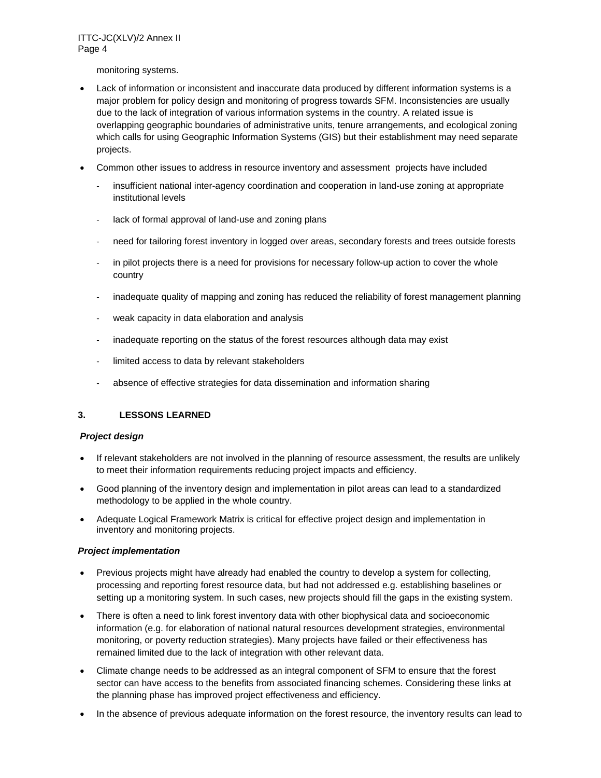monitoring systems.

- Lack of information or inconsistent and inaccurate data produced by different information systems is a major problem for policy design and monitoring of progress towards SFM. Inconsistencies are usually due to the lack of integration of various information systems in the country. A related issue is overlapping geographic boundaries of administrative units, tenure arrangements, and ecological zoning which calls for using Geographic Information Systems (GIS) but their establishment may need separate projects.
- Common other issues to address in resource inventory and assessment projects have included
	- insufficient national inter-agency coordination and cooperation in land-use zoning at appropriate institutional levels
	- lack of formal approval of land-use and zoning plans
	- ‐ need for tailoring forest inventory in logged over areas, secondary forests and trees outside forests
	- in pilot projects there is a need for provisions for necessary follow-up action to cover the whole country
	- inadequate quality of mapping and zoning has reduced the reliability of forest management planning
	- weak capacity in data elaboration and analysis
	- inadequate reporting on the status of the forest resources although data may exist
	- limited access to data by relevant stakeholders
	- absence of effective strategies for data dissemination and information sharing

#### **3. LESSONS LEARNED**

#### *Project design*

- If relevant stakeholders are not involved in the planning of resource assessment, the results are unlikely to meet their information requirements reducing project impacts and efficiency.
- Good planning of the inventory design and implementation in pilot areas can lead to a standardized methodology to be applied in the whole country.
- Adequate Logical Framework Matrix is critical for effective project design and implementation in inventory and monitoring projects.

#### *Project implementation*

- Previous projects might have already had enabled the country to develop a system for collecting, processing and reporting forest resource data, but had not addressed e.g. establishing baselines or setting up a monitoring system. In such cases, new projects should fill the gaps in the existing system.
- There is often a need to link forest inventory data with other biophysical data and socioeconomic information (e.g. for elaboration of national natural resources development strategies, environmental monitoring, or poverty reduction strategies). Many projects have failed or their effectiveness has remained limited due to the lack of integration with other relevant data.
- Climate change needs to be addressed as an integral component of SFM to ensure that the forest sector can have access to the benefits from associated financing schemes. Considering these links at the planning phase has improved project effectiveness and efficiency.
- In the absence of previous adequate information on the forest resource, the inventory results can lead to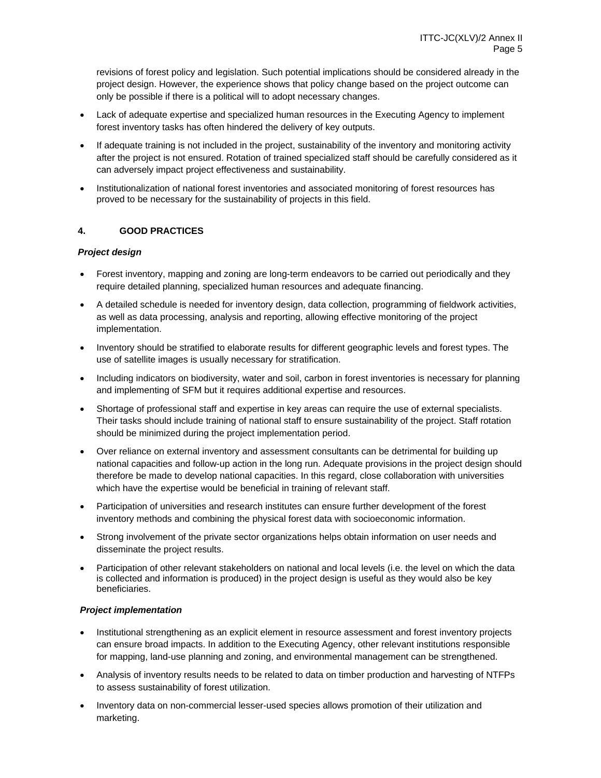revisions of forest policy and legislation. Such potential implications should be considered already in the project design. However, the experience shows that policy change based on the project outcome can only be possible if there is a political will to adopt necessary changes.

- Lack of adequate expertise and specialized human resources in the Executing Agency to implement forest inventory tasks has often hindered the delivery of key outputs.
- If adequate training is not included in the project, sustainability of the inventory and monitoring activity after the project is not ensured. Rotation of trained specialized staff should be carefully considered as it can adversely impact project effectiveness and sustainability.
- Institutionalization of national forest inventories and associated monitoring of forest resources has proved to be necessary for the sustainability of projects in this field.

## **4. GOOD PRACTICES**

## *Project design*

- Forest inventory, mapping and zoning are long-term endeavors to be carried out periodically and they require detailed planning, specialized human resources and adequate financing.
- A detailed schedule is needed for inventory design, data collection, programming of fieldwork activities, as well as data processing, analysis and reporting, allowing effective monitoring of the project implementation.
- Inventory should be stratified to elaborate results for different geographic levels and forest types. The use of satellite images is usually necessary for stratification.
- Including indicators on biodiversity, water and soil, carbon in forest inventories is necessary for planning and implementing of SFM but it requires additional expertise and resources.
- Shortage of professional staff and expertise in key areas can require the use of external specialists. Their tasks should include training of national staff to ensure sustainability of the project. Staff rotation should be minimized during the project implementation period.
- Over reliance on external inventory and assessment consultants can be detrimental for building up national capacities and follow-up action in the long run. Adequate provisions in the project design should therefore be made to develop national capacities. In this regard, close collaboration with universities which have the expertise would be beneficial in training of relevant staff.
- Participation of universities and research institutes can ensure further development of the forest inventory methods and combining the physical forest data with socioeconomic information.
- Strong involvement of the private sector organizations helps obtain information on user needs and disseminate the project results.
- Participation of other relevant stakeholders on national and local levels (i.e. the level on which the data is collected and information is produced) in the project design is useful as they would also be key beneficiaries.

## *Project implementation*

- Institutional strengthening as an explicit element in resource assessment and forest inventory projects can ensure broad impacts. In addition to the Executing Agency, other relevant institutions responsible for mapping, land-use planning and zoning, and environmental management can be strengthened.
- Analysis of inventory results needs to be related to data on timber production and harvesting of NTFPs to assess sustainability of forest utilization.
- Inventory data on non-commercial lesser-used species allows promotion of their utilization and marketing.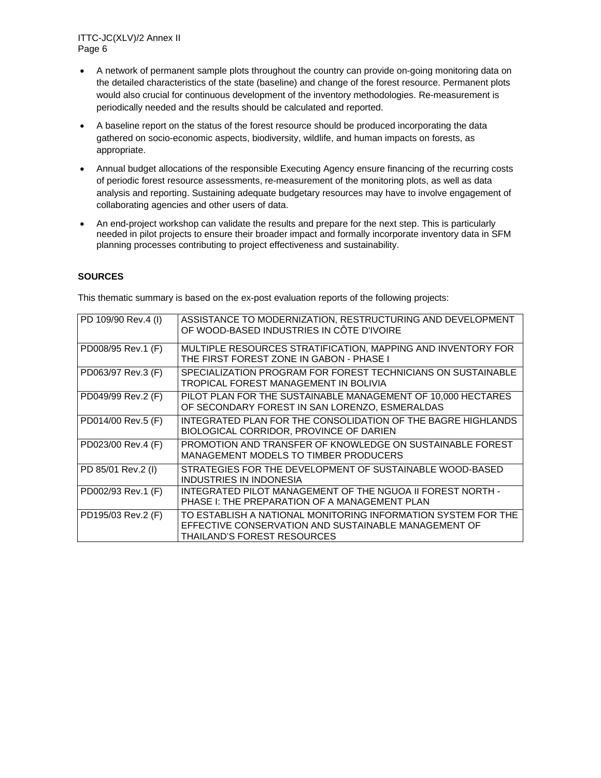- A network of permanent sample plots throughout the country can provide on-going monitoring data on the detailed characteristics of the state (baseline) and change of the forest resource. Permanent plots would also crucial for continuous development of the inventory methodologies. Re-measurement is periodically needed and the results should be calculated and reported.
- A baseline report on the status of the forest resource should be produced incorporating the data gathered on socio-economic aspects, biodiversity, wildlife, and human impacts on forests, as appropriate.
- Annual budget allocations of the responsible Executing Agency ensure financing of the recurring costs of periodic forest resource assessments, re-measurement of the monitoring plots, as well as data analysis and reporting. Sustaining adequate budgetary resources may have to involve engagement of collaborating agencies and other users of data.
- An end-project workshop can validate the results and prepare for the next step. This is particularly needed in pilot projects to ensure their broader impact and formally incorporate inventory data in SFM planning processes contributing to project effectiveness and sustainability.

## **SOURCES**

| PD 109/90 Rev.4 (I) | ASSISTANCE TO MODERNIZATION, RESTRUCTURING AND DEVELOPMENT<br>OF WOOD-BASED INDUSTRIES IN CÔTE D'IVOIRE                                                     |
|---------------------|-------------------------------------------------------------------------------------------------------------------------------------------------------------|
| PD008/95 Rev.1 (F)  | MULTIPLE RESOURCES STRATIFICATION, MAPPING AND INVENTORY FOR<br>THE FIRST FOREST ZONE IN GABON - PHASE I                                                    |
| PD063/97 Rev.3 (F)  | SPECIALIZATION PROGRAM FOR FOREST TECHNICIANS ON SUSTAINABLE<br>TROPICAL FOREST MANAGEMENT IN BOLIVIA                                                       |
| PD049/99 Rev.2 (F)  | PILOT PLAN FOR THE SUSTAINABLE MANAGEMENT OF 10,000 HECTARES<br>OF SECONDARY FOREST IN SAN LORENZO, ESMERALDAS                                              |
| PD014/00 Rev.5 (F)  | INTEGRATED PLAN FOR THE CONSOLIDATION OF THE BAGRE HIGHLANDS<br>BIOLOGICAL CORRIDOR, PROVINCE OF DARIEN                                                     |
| PD023/00 Rev.4 (F)  | PROMOTION AND TRANSFER OF KNOWLEDGE ON SUSTAINABLE FOREST<br>MANAGEMENT MODELS TO TIMBER PRODUCERS                                                          |
| PD 85/01 Rev.2 (I)  | STRATEGIES FOR THE DEVELOPMENT OF SUSTAINABLE WOOD-BASED<br>INDUSTRIES IN INDONESIA                                                                         |
| PD002/93 Rev.1 (F)  | INTEGRATED PILOT MANAGEMENT OF THE NGUOA II FOREST NORTH -<br>PHASE I: THE PREPARATION OF A MANAGEMENT PLAN                                                 |
| PD195/03 Rev.2 (F)  | TO ESTABLISH A NATIONAL MONITORING INFORMATION SYSTEM FOR THE<br>EFFECTIVE CONSERVATION AND SUSTAINABLE MANAGEMENT OF<br><b>THAILAND'S FOREST RESOURCES</b> |

This thematic summary is based on the ex-post evaluation reports of the following projects: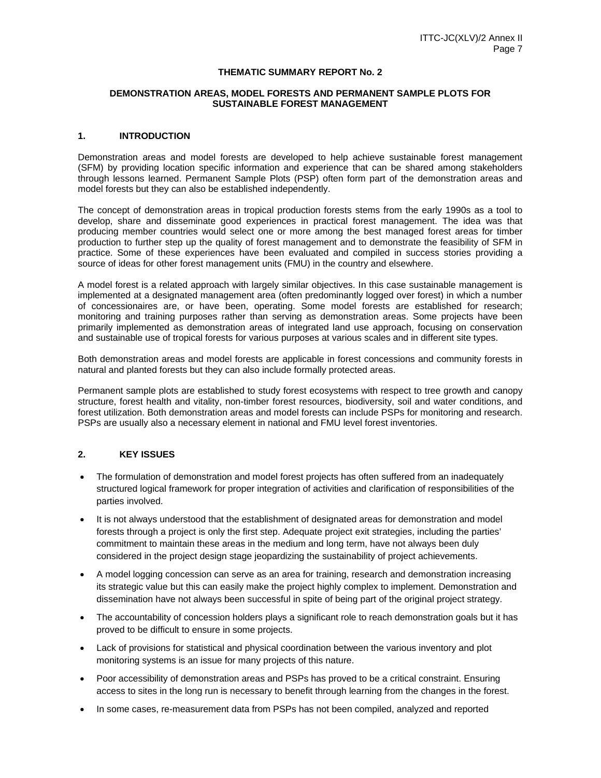#### **THEMATIC SUMMARY REPORT No. 2**

#### **DEMONSTRATION AREAS, MODEL FORESTS AND PERMANENT SAMPLE PLOTS FOR SUSTAINABLE FOREST MANAGEMENT**

#### **1. INTRODUCTION**

Demonstration areas and model forests are developed to help achieve sustainable forest management (SFM) by providing location specific information and experience that can be shared among stakeholders through lessons learned. Permanent Sample Plots (PSP) often form part of the demonstration areas and model forests but they can also be established independently.

The concept of demonstration areas in tropical production forests stems from the early 1990s as a tool to develop, share and disseminate good experiences in practical forest management. The idea was that producing member countries would select one or more among the best managed forest areas for timber production to further step up the quality of forest management and to demonstrate the feasibility of SFM in practice. Some of these experiences have been evaluated and compiled in success stories providing a source of ideas for other forest management units (FMU) in the country and elsewhere.

A model forest is a related approach with largely similar objectives. In this case sustainable management is implemented at a designated management area (often predominantly logged over forest) in which a number of concessionaires are, or have been, operating. Some model forests are established for research; monitoring and training purposes rather than serving as demonstration areas. Some projects have been primarily implemented as demonstration areas of integrated land use approach, focusing on conservation and sustainable use of tropical forests for various purposes at various scales and in different site types.

Both demonstration areas and model forests are applicable in forest concessions and community forests in natural and planted forests but they can also include formally protected areas.

Permanent sample plots are established to study forest ecosystems with respect to tree growth and canopy structure, forest health and vitality, non-timber forest resources, biodiversity, soil and water conditions, and forest utilization. Both demonstration areas and model forests can include PSPs for monitoring and research. PSPs are usually also a necessary element in national and FMU level forest inventories.

## **2. KEY ISSUES**

- The formulation of demonstration and model forest projects has often suffered from an inadequately structured logical framework for proper integration of activities and clarification of responsibilities of the parties involved.
- It is not always understood that the establishment of designated areas for demonstration and model forests through a project is only the first step. Adequate project exit strategies, including the parties' commitment to maintain these areas in the medium and long term, have not always been duly considered in the project design stage jeopardizing the sustainability of project achievements.
- A model logging concession can serve as an area for training, research and demonstration increasing its strategic value but this can easily make the project highly complex to implement. Demonstration and dissemination have not always been successful in spite of being part of the original project strategy.
- The accountability of concession holders plays a significant role to reach demonstration goals but it has proved to be difficult to ensure in some projects.
- Lack of provisions for statistical and physical coordination between the various inventory and plot monitoring systems is an issue for many projects of this nature.
- Poor accessibility of demonstration areas and PSPs has proved to be a critical constraint. Ensuring access to sites in the long run is necessary to benefit through learning from the changes in the forest.
- In some cases, re-measurement data from PSPs has not been compiled, analyzed and reported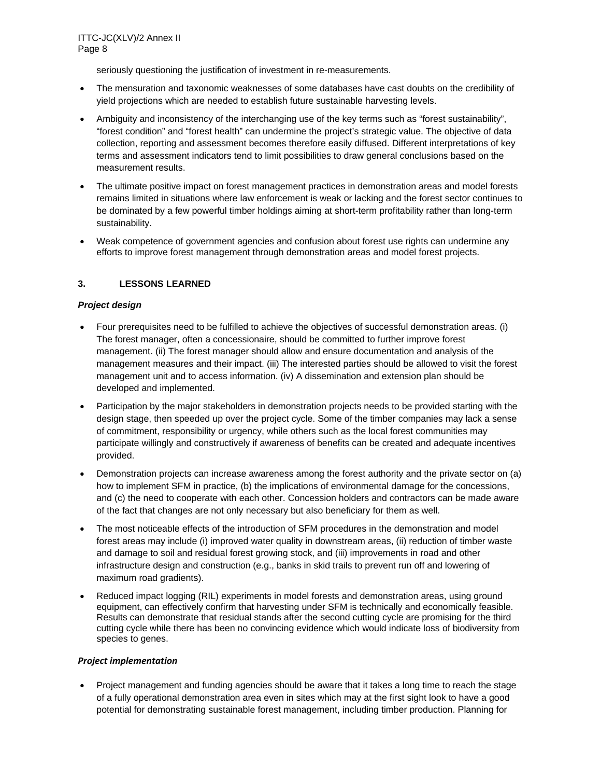seriously questioning the justification of investment in re-measurements.

- The mensuration and taxonomic weaknesses of some databases have cast doubts on the credibility of yield projections which are needed to establish future sustainable harvesting levels.
- Ambiguity and inconsistency of the interchanging use of the key terms such as "forest sustainability", "forest condition" and "forest health" can undermine the project's strategic value. The objective of data collection, reporting and assessment becomes therefore easily diffused. Different interpretations of key terms and assessment indicators tend to limit possibilities to draw general conclusions based on the measurement results.
- The ultimate positive impact on forest management practices in demonstration areas and model forests remains limited in situations where law enforcement is weak or lacking and the forest sector continues to be dominated by a few powerful timber holdings aiming at short-term profitability rather than long-term sustainability.
- Weak competence of government agencies and confusion about forest use rights can undermine any efforts to improve forest management through demonstration areas and model forest projects.

## **3. LESSONS LEARNED**

## *Project design*

- Four prerequisites need to be fulfilled to achieve the objectives of successful demonstration areas. (i) The forest manager, often a concessionaire, should be committed to further improve forest management. (ii) The forest manager should allow and ensure documentation and analysis of the management measures and their impact. (iii) The interested parties should be allowed to visit the forest management unit and to access information. (iv) A dissemination and extension plan should be developed and implemented.
- Participation by the major stakeholders in demonstration projects needs to be provided starting with the design stage, then speeded up over the project cycle. Some of the timber companies may lack a sense of commitment, responsibility or urgency, while others such as the local forest communities may participate willingly and constructively if awareness of benefits can be created and adequate incentives provided.
- Demonstration projects can increase awareness among the forest authority and the private sector on (a) how to implement SFM in practice, (b) the implications of environmental damage for the concessions, and (c) the need to cooperate with each other. Concession holders and contractors can be made aware of the fact that changes are not only necessary but also beneficiary for them as well.
- The most noticeable effects of the introduction of SFM procedures in the demonstration and model forest areas may include (i) improved water quality in downstream areas, (ii) reduction of timber waste and damage to soil and residual forest growing stock, and (iii) improvements in road and other infrastructure design and construction (e.g., banks in skid trails to prevent run off and lowering of maximum road gradients).
- Reduced impact logging (RIL) experiments in model forests and demonstration areas, using ground equipment, can effectively confirm that harvesting under SFM is technically and economically feasible. Results can demonstrate that residual stands after the second cutting cycle are promising for the third cutting cycle while there has been no convincing evidence which would indicate loss of biodiversity from species to genes.

## *Project implementation*

 Project management and funding agencies should be aware that it takes a long time to reach the stage of a fully operational demonstration area even in sites which may at the first sight look to have a good potential for demonstrating sustainable forest management, including timber production. Planning for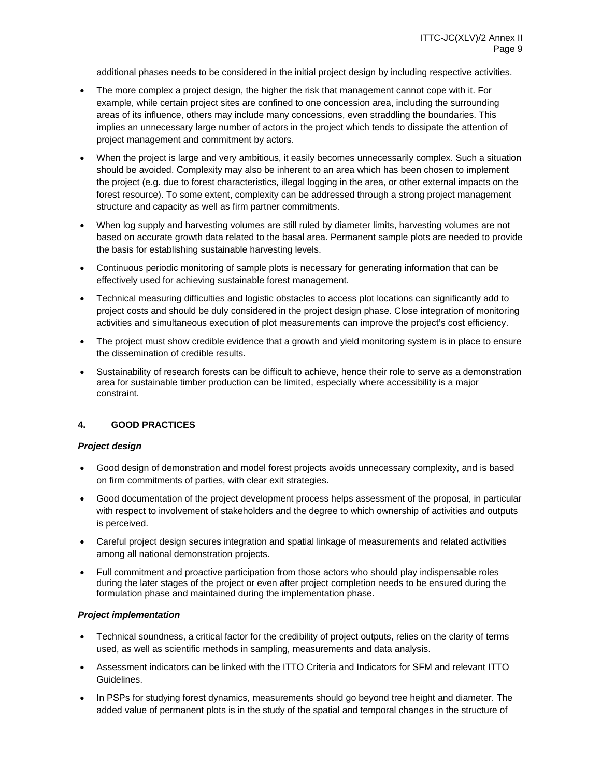additional phases needs to be considered in the initial project design by including respective activities.

- The more complex a project design, the higher the risk that management cannot cope with it. For example, while certain project sites are confined to one concession area, including the surrounding areas of its influence, others may include many concessions, even straddling the boundaries. This implies an unnecessary large number of actors in the project which tends to dissipate the attention of project management and commitment by actors.
- When the project is large and very ambitious, it easily becomes unnecessarily complex. Such a situation should be avoided. Complexity may also be inherent to an area which has been chosen to implement the project (e.g. due to forest characteristics, illegal logging in the area, or other external impacts on the forest resource). To some extent, complexity can be addressed through a strong project management structure and capacity as well as firm partner commitments.
- When log supply and harvesting volumes are still ruled by diameter limits, harvesting volumes are not based on accurate growth data related to the basal area. Permanent sample plots are needed to provide the basis for establishing sustainable harvesting levels.
- Continuous periodic monitoring of sample plots is necessary for generating information that can be effectively used for achieving sustainable forest management.
- Technical measuring difficulties and logistic obstacles to access plot locations can significantly add to project costs and should be duly considered in the project design phase. Close integration of monitoring activities and simultaneous execution of plot measurements can improve the project's cost efficiency.
- The project must show credible evidence that a growth and yield monitoring system is in place to ensure the dissemination of credible results.
- Sustainability of research forests can be difficult to achieve, hence their role to serve as a demonstration area for sustainable timber production can be limited, especially where accessibility is a major constraint.

## **4. GOOD PRACTICES**

## *Project design*

- Good design of demonstration and model forest projects avoids unnecessary complexity, and is based on firm commitments of parties, with clear exit strategies.
- Good documentation of the project development process helps assessment of the proposal, in particular with respect to involvement of stakeholders and the degree to which ownership of activities and outputs is perceived.
- Careful project design secures integration and spatial linkage of measurements and related activities among all national demonstration projects.
- Full commitment and proactive participation from those actors who should play indispensable roles during the later stages of the project or even after project completion needs to be ensured during the formulation phase and maintained during the implementation phase.

## *Project implementation*

- Technical soundness, a critical factor for the credibility of project outputs, relies on the clarity of terms used, as well as scientific methods in sampling, measurements and data analysis.
- Assessment indicators can be linked with the ITTO Criteria and Indicators for SFM and relevant ITTO Guidelines.
- In PSPs for studying forest dynamics, measurements should go beyond tree height and diameter. The added value of permanent plots is in the study of the spatial and temporal changes in the structure of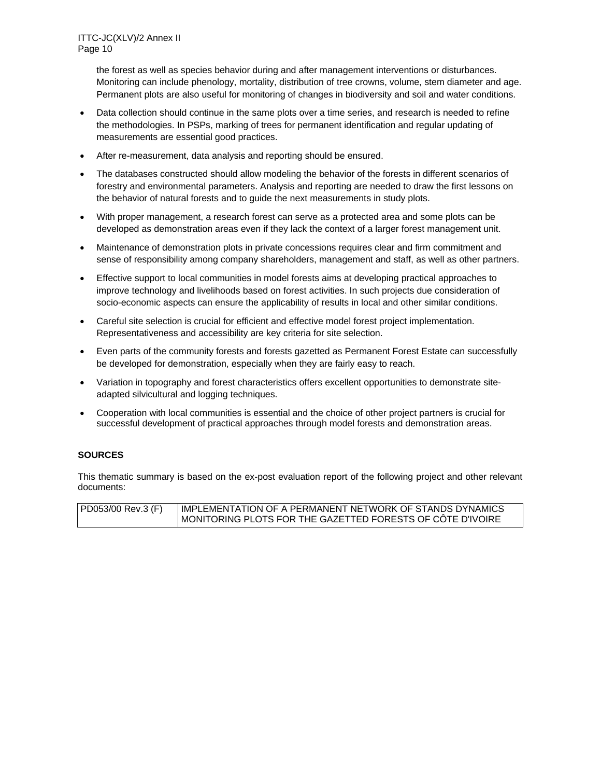the forest as well as species behavior during and after management interventions or disturbances. Monitoring can include phenology, mortality, distribution of tree crowns, volume, stem diameter and age. Permanent plots are also useful for monitoring of changes in biodiversity and soil and water conditions.

- Data collection should continue in the same plots over a time series, and research is needed to refine the methodologies. In PSPs, marking of trees for permanent identification and regular updating of measurements are essential good practices.
- After re-measurement, data analysis and reporting should be ensured.
- The databases constructed should allow modeling the behavior of the forests in different scenarios of forestry and environmental parameters. Analysis and reporting are needed to draw the first lessons on the behavior of natural forests and to guide the next measurements in study plots.
- With proper management, a research forest can serve as a protected area and some plots can be developed as demonstration areas even if they lack the context of a larger forest management unit.
- Maintenance of demonstration plots in private concessions requires clear and firm commitment and sense of responsibility among company shareholders, management and staff, as well as other partners.
- Effective support to local communities in model forests aims at developing practical approaches to improve technology and livelihoods based on forest activities. In such projects due consideration of socio-economic aspects can ensure the applicability of results in local and other similar conditions.
- Careful site selection is crucial for efficient and effective model forest project implementation. Representativeness and accessibility are key criteria for site selection.
- Even parts of the community forests and forests gazetted as Permanent Forest Estate can successfully be developed for demonstration, especially when they are fairly easy to reach.
- Variation in topography and forest characteristics offers excellent opportunities to demonstrate siteadapted silvicultural and logging techniques.
- Cooperation with local communities is essential and the choice of other project partners is crucial for successful development of practical approaches through model forests and demonstration areas.

## **SOURCES**

This thematic summary is based on the ex-post evaluation report of the following project and other relevant documents:

| PD053/00 Rev.3 (F) | IMPLEMENTATION OF A PERMANENT NETWORK OF STANDS DYNAMICS.  |
|--------------------|------------------------------------------------------------|
|                    | MONITORING PLOTS FOR THE GAZETTED FORESTS OF CÔTE D'IVOIRE |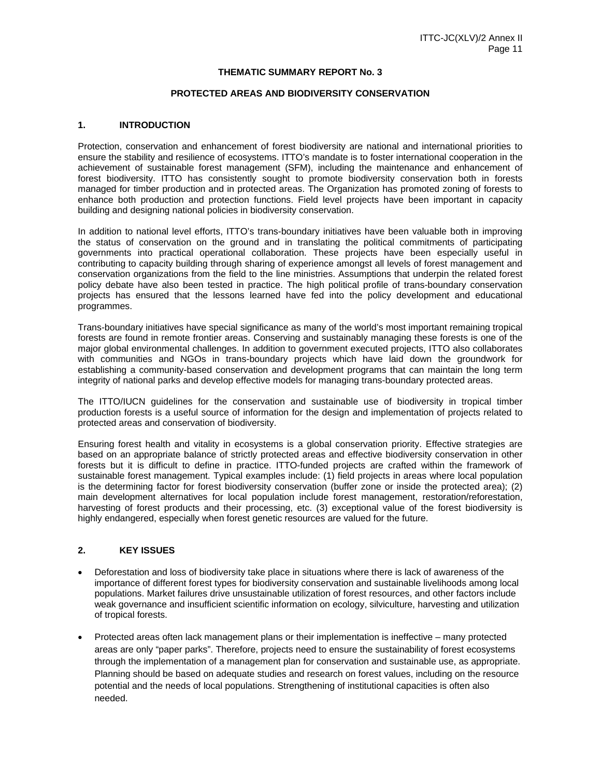#### **THEMATIC SUMMARY REPORT No. 3**

#### **PROTECTED AREAS AND BIODIVERSITY CONSERVATION**

#### **1. INTRODUCTION**

Protection, conservation and enhancement of forest biodiversity are national and international priorities to ensure the stability and resilience of ecosystems. ITTO's mandate is to foster international cooperation in the achievement of sustainable forest management (SFM), including the maintenance and enhancement of forest biodiversity. ITTO has consistently sought to promote biodiversity conservation both in forests managed for timber production and in protected areas. The Organization has promoted zoning of forests to enhance both production and protection functions. Field level projects have been important in capacity building and designing national policies in biodiversity conservation.

In addition to national level efforts, ITTO's trans-boundary initiatives have been valuable both in improving the status of conservation on the ground and in translating the political commitments of participating governments into practical operational collaboration. These projects have been especially useful in contributing to capacity building through sharing of experience amongst all levels of forest management and conservation organizations from the field to the line ministries. Assumptions that underpin the related forest policy debate have also been tested in practice. The high political profile of trans-boundary conservation projects has ensured that the lessons learned have fed into the policy development and educational programmes.

Trans-boundary initiatives have special significance as many of the world's most important remaining tropical forests are found in remote frontier areas. Conserving and sustainably managing these forests is one of the major global environmental challenges. In addition to government executed projects, ITTO also collaborates with communities and NGOs in trans-boundary projects which have laid down the groundwork for establishing a community-based conservation and development programs that can maintain the long term integrity of national parks and develop effective models for managing trans-boundary protected areas.

The ITTO/IUCN guidelines for the conservation and sustainable use of biodiversity in tropical timber production forests is a useful source of information for the design and implementation of projects related to protected areas and conservation of biodiversity.

Ensuring forest health and vitality in ecosystems is a global conservation priority. Effective strategies are based on an appropriate balance of strictly protected areas and effective biodiversity conservation in other forests but it is difficult to define in practice. ITTO-funded projects are crafted within the framework of sustainable forest management. Typical examples include: (1) field projects in areas where local population is the determining factor for forest biodiversity conservation (buffer zone or inside the protected area); (2) main development alternatives for local population include forest management, restoration/reforestation, harvesting of forest products and their processing, etc. (3) exceptional value of the forest biodiversity is highly endangered, especially when forest genetic resources are valued for the future.

#### **2. KEY ISSUES**

- Deforestation and loss of biodiversity take place in situations where there is lack of awareness of the importance of different forest types for biodiversity conservation and sustainable livelihoods among local populations. Market failures drive unsustainable utilization of forest resources, and other factors include weak governance and insufficient scientific information on ecology, silviculture, harvesting and utilization of tropical forests.
- Protected areas often lack management plans or their implementation is ineffective many protected areas are only "paper parks". Therefore, projects need to ensure the sustainability of forest ecosystems through the implementation of a management plan for conservation and sustainable use, as appropriate. Planning should be based on adequate studies and research on forest values, including on the resource potential and the needs of local populations. Strengthening of institutional capacities is often also needed.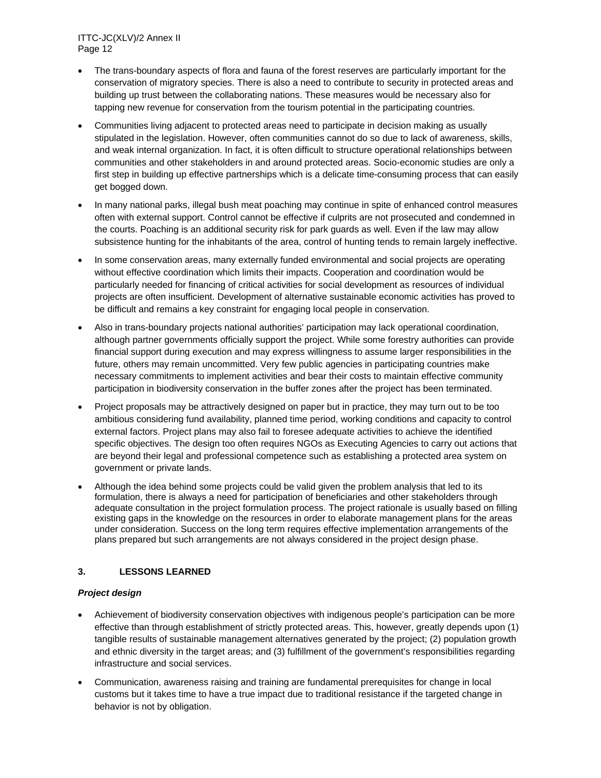- The trans-boundary aspects of flora and fauna of the forest reserves are particularly important for the conservation of migratory species. There is also a need to contribute to security in protected areas and building up trust between the collaborating nations. These measures would be necessary also for tapping new revenue for conservation from the tourism potential in the participating countries.
- Communities living adjacent to protected areas need to participate in decision making as usually stipulated in the legislation. However, often communities cannot do so due to lack of awareness, skills, and weak internal organization. In fact, it is often difficult to structure operational relationships between communities and other stakeholders in and around protected areas. Socio-economic studies are only a first step in building up effective partnerships which is a delicate time-consuming process that can easily get bogged down.
- In many national parks, illegal bush meat poaching may continue in spite of enhanced control measures often with external support. Control cannot be effective if culprits are not prosecuted and condemned in the courts. Poaching is an additional security risk for park guards as well. Even if the law may allow subsistence hunting for the inhabitants of the area, control of hunting tends to remain largely ineffective.
- In some conservation areas, many externally funded environmental and social projects are operating without effective coordination which limits their impacts. Cooperation and coordination would be particularly needed for financing of critical activities for social development as resources of individual projects are often insufficient. Development of alternative sustainable economic activities has proved to be difficult and remains a key constraint for engaging local people in conservation.
- Also in trans-boundary projects national authorities' participation may lack operational coordination, although partner governments officially support the project. While some forestry authorities can provide financial support during execution and may express willingness to assume larger responsibilities in the future, others may remain uncommitted. Very few public agencies in participating countries make necessary commitments to implement activities and bear their costs to maintain effective community participation in biodiversity conservation in the buffer zones after the project has been terminated.
- Project proposals may be attractively designed on paper but in practice, they may turn out to be too ambitious considering fund availability, planned time period, working conditions and capacity to control external factors. Project plans may also fail to foresee adequate activities to achieve the identified specific objectives. The design too often requires NGOs as Executing Agencies to carry out actions that are beyond their legal and professional competence such as establishing a protected area system on government or private lands.
- Although the idea behind some projects could be valid given the problem analysis that led to its formulation, there is always a need for participation of beneficiaries and other stakeholders through adequate consultation in the project formulation process. The project rationale is usually based on filling existing gaps in the knowledge on the resources in order to elaborate management plans for the areas under consideration. Success on the long term requires effective implementation arrangements of the plans prepared but such arrangements are not always considered in the project design phase.

## **3. LESSONS LEARNED**

## *Project design*

- Achievement of biodiversity conservation objectives with indigenous people's participation can be more effective than through establishment of strictly protected areas. This, however, greatly depends upon (1) tangible results of sustainable management alternatives generated by the project; (2) population growth and ethnic diversity in the target areas; and (3) fulfillment of the government's responsibilities regarding infrastructure and social services.
- Communication, awareness raising and training are fundamental prerequisites for change in local customs but it takes time to have a true impact due to traditional resistance if the targeted change in behavior is not by obligation.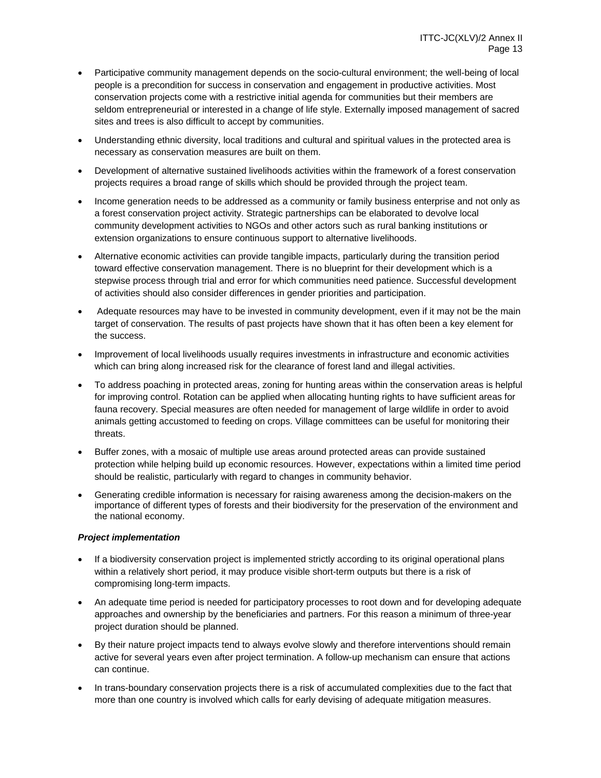- Participative community management depends on the socio-cultural environment; the well-being of local people is a precondition for success in conservation and engagement in productive activities. Most conservation projects come with a restrictive initial agenda for communities but their members are seldom entrepreneurial or interested in a change of life style. Externally imposed management of sacred sites and trees is also difficult to accept by communities.
- Understanding ethnic diversity, local traditions and cultural and spiritual values in the protected area is necessary as conservation measures are built on them.
- Development of alternative sustained livelihoods activities within the framework of a forest conservation projects requires a broad range of skills which should be provided through the project team.
- Income generation needs to be addressed as a community or family business enterprise and not only as a forest conservation project activity. Strategic partnerships can be elaborated to devolve local community development activities to NGOs and other actors such as rural banking institutions or extension organizations to ensure continuous support to alternative livelihoods.
- Alternative economic activities can provide tangible impacts, particularly during the transition period toward effective conservation management. There is no blueprint for their development which is a stepwise process through trial and error for which communities need patience. Successful development of activities should also consider differences in gender priorities and participation.
- Adequate resources may have to be invested in community development, even if it may not be the main target of conservation. The results of past projects have shown that it has often been a key element for the success.
- Improvement of local livelihoods usually requires investments in infrastructure and economic activities which can bring along increased risk for the clearance of forest land and illegal activities.
- To address poaching in protected areas, zoning for hunting areas within the conservation areas is helpful for improving control. Rotation can be applied when allocating hunting rights to have sufficient areas for fauna recovery. Special measures are often needed for management of large wildlife in order to avoid animals getting accustomed to feeding on crops. Village committees can be useful for monitoring their threats.
- Buffer zones, with a mosaic of multiple use areas around protected areas can provide sustained protection while helping build up economic resources. However, expectations within a limited time period should be realistic, particularly with regard to changes in community behavior.
- Generating credible information is necessary for raising awareness among the decision-makers on the importance of different types of forests and their biodiversity for the preservation of the environment and the national economy.

## *Project implementation*

- If a biodiversity conservation project is implemented strictly according to its original operational plans within a relatively short period, it may produce visible short-term outputs but there is a risk of compromising long-term impacts.
- An adequate time period is needed for participatory processes to root down and for developing adequate approaches and ownership by the beneficiaries and partners. For this reason a minimum of three-year project duration should be planned.
- By their nature project impacts tend to always evolve slowly and therefore interventions should remain active for several years even after project termination. A follow-up mechanism can ensure that actions can continue.
- In trans-boundary conservation projects there is a risk of accumulated complexities due to the fact that more than one country is involved which calls for early devising of adequate mitigation measures.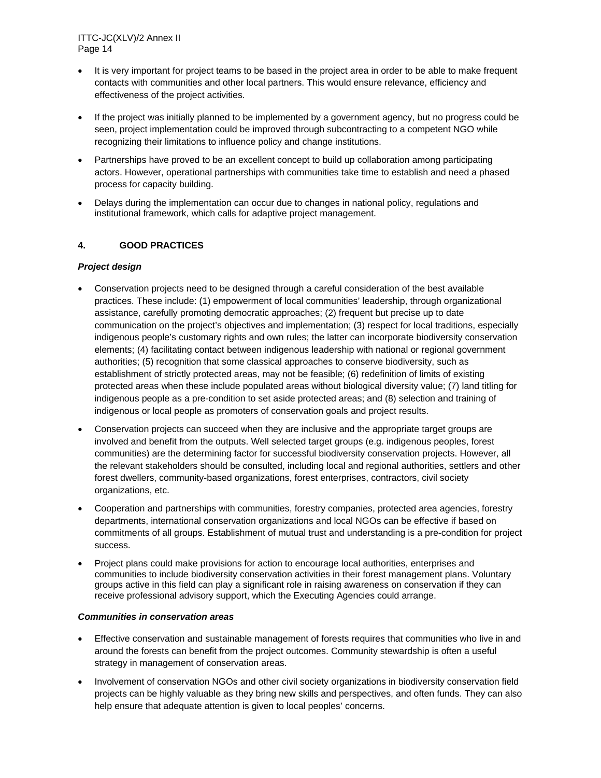- It is very important for project teams to be based in the project area in order to be able to make frequent contacts with communities and other local partners. This would ensure relevance, efficiency and effectiveness of the project activities.
- If the project was initially planned to be implemented by a government agency, but no progress could be seen, project implementation could be improved through subcontracting to a competent NGO while recognizing their limitations to influence policy and change institutions.
- Partnerships have proved to be an excellent concept to build up collaboration among participating actors. However, operational partnerships with communities take time to establish and need a phased process for capacity building.
- Delays during the implementation can occur due to changes in national policy, regulations and institutional framework, which calls for adaptive project management.

## **4. GOOD PRACTICES**

## *Project design*

- Conservation projects need to be designed through a careful consideration of the best available practices. These include: (1) empowerment of local communities' leadership, through organizational assistance, carefully promoting democratic approaches; (2) frequent but precise up to date communication on the project's objectives and implementation; (3) respect for local traditions, especially indigenous people's customary rights and own rules; the latter can incorporate biodiversity conservation elements; (4) facilitating contact between indigenous leadership with national or regional government authorities; (5) recognition that some classical approaches to conserve biodiversity, such as establishment of strictly protected areas, may not be feasible; (6) redefinition of limits of existing protected areas when these include populated areas without biological diversity value; (7) land titling for indigenous people as a pre-condition to set aside protected areas; and (8) selection and training of indigenous or local people as promoters of conservation goals and project results.
- Conservation projects can succeed when they are inclusive and the appropriate target groups are involved and benefit from the outputs. Well selected target groups (e.g. indigenous peoples, forest communities) are the determining factor for successful biodiversity conservation projects. However, all the relevant stakeholders should be consulted, including local and regional authorities, settlers and other forest dwellers, community-based organizations, forest enterprises, contractors, civil society organizations, etc.
- Cooperation and partnerships with communities, forestry companies, protected area agencies, forestry departments, international conservation organizations and local NGOs can be effective if based on commitments of all groups. Establishment of mutual trust and understanding is a pre-condition for project success.
- Project plans could make provisions for action to encourage local authorities, enterprises and communities to include biodiversity conservation activities in their forest management plans. Voluntary groups active in this field can play a significant role in raising awareness on conservation if they can receive professional advisory support, which the Executing Agencies could arrange.

#### *Communities in conservation areas*

- Effective conservation and sustainable management of forests requires that communities who live in and around the forests can benefit from the project outcomes. Community stewardship is often a useful strategy in management of conservation areas.
- Involvement of conservation NGOs and other civil society organizations in biodiversity conservation field projects can be highly valuable as they bring new skills and perspectives, and often funds. They can also help ensure that adequate attention is given to local peoples' concerns.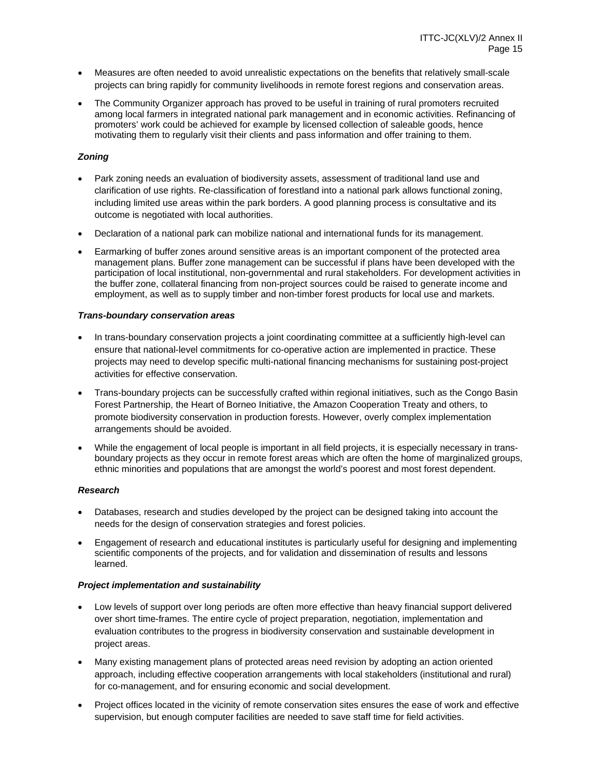- Measures are often needed to avoid unrealistic expectations on the benefits that relatively small-scale projects can bring rapidly for community livelihoods in remote forest regions and conservation areas.
- The Community Organizer approach has proved to be useful in training of rural promoters recruited among local farmers in integrated national park management and in economic activities. Refinancing of promoters' work could be achieved for example by licensed collection of saleable goods, hence motivating them to regularly visit their clients and pass information and offer training to them.

## *Zoning*

- Park zoning needs an evaluation of biodiversity assets, assessment of traditional land use and clarification of use rights. Re-classification of forestland into a national park allows functional zoning, including limited use areas within the park borders. A good planning process is consultative and its outcome is negotiated with local authorities.
- Declaration of a national park can mobilize national and international funds for its management.
- Earmarking of buffer zones around sensitive areas is an important component of the protected area management plans. Buffer zone management can be successful if plans have been developed with the participation of local institutional, non-governmental and rural stakeholders. For development activities in the buffer zone, collateral financing from non-project sources could be raised to generate income and employment, as well as to supply timber and non-timber forest products for local use and markets.

#### *Trans-boundary conservation areas*

- In trans-boundary conservation projects a joint coordinating committee at a sufficiently high-level can ensure that national-level commitments for co-operative action are implemented in practice. These projects may need to develop specific multi-national financing mechanisms for sustaining post-project activities for effective conservation.
- Trans-boundary projects can be successfully crafted within regional initiatives, such as the Congo Basin Forest Partnership, the Heart of Borneo Initiative, the Amazon Cooperation Treaty and others, to promote biodiversity conservation in production forests. However, overly complex implementation arrangements should be avoided.
- While the engagement of local people is important in all field projects, it is especially necessary in transboundary projects as they occur in remote forest areas which are often the home of marginalized groups, ethnic minorities and populations that are amongst the world's poorest and most forest dependent.

#### *Research*

- Databases, research and studies developed by the project can be designed taking into account the needs for the design of conservation strategies and forest policies.
- Engagement of research and educational institutes is particularly useful for designing and implementing scientific components of the projects, and for validation and dissemination of results and lessons learned.

## *Project implementation and sustainability*

- Low levels of support over long periods are often more effective than heavy financial support delivered over short time-frames. The entire cycle of project preparation, negotiation, implementation and evaluation contributes to the progress in biodiversity conservation and sustainable development in project areas.
- Many existing management plans of protected areas need revision by adopting an action oriented approach, including effective cooperation arrangements with local stakeholders (institutional and rural) for co-management, and for ensuring economic and social development.
- Project offices located in the vicinity of remote conservation sites ensures the ease of work and effective supervision, but enough computer facilities are needed to save staff time for field activities.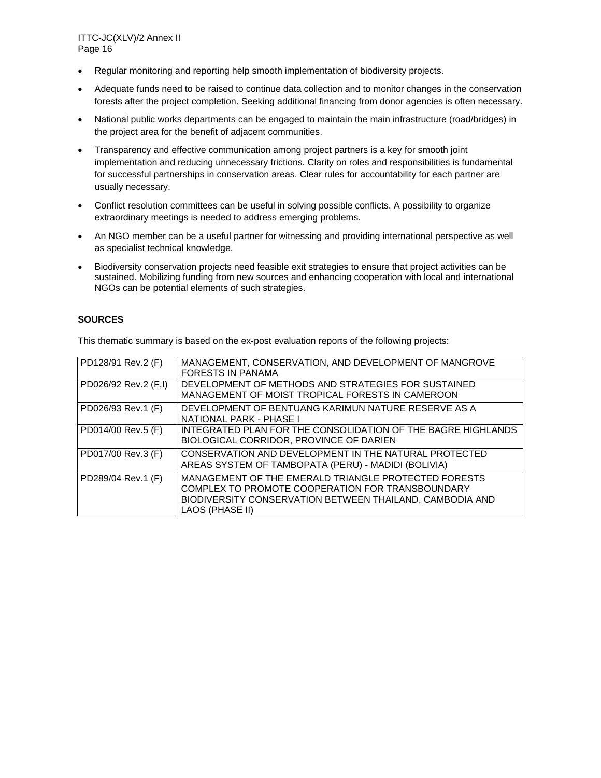- Regular monitoring and reporting help smooth implementation of biodiversity projects.
- Adequate funds need to be raised to continue data collection and to monitor changes in the conservation forests after the project completion. Seeking additional financing from donor agencies is often necessary.
- National public works departments can be engaged to maintain the main infrastructure (road/bridges) in the project area for the benefit of adjacent communities.
- Transparency and effective communication among project partners is a key for smooth joint implementation and reducing unnecessary frictions. Clarity on roles and responsibilities is fundamental for successful partnerships in conservation areas. Clear rules for accountability for each partner are usually necessary.
- Conflict resolution committees can be useful in solving possible conflicts. A possibility to organize extraordinary meetings is needed to address emerging problems.
- An NGO member can be a useful partner for witnessing and providing international perspective as well as specialist technical knowledge.
- Biodiversity conservation projects need feasible exit strategies to ensure that project activities can be sustained. Mobilizing funding from new sources and enhancing cooperation with local and international NGOs can be potential elements of such strategies.

#### **SOURCES**

This thematic summary is based on the ex-post evaluation reports of the following projects:

| PD128/91 Rev.2 (F)   | MANAGEMENT, CONSERVATION, AND DEVELOPMENT OF MANGROVE<br><b>FORESTS IN PANAMA</b>                                                                                                       |
|----------------------|-----------------------------------------------------------------------------------------------------------------------------------------------------------------------------------------|
| PD026/92 Rev.2 (F,I) | DEVELOPMENT OF METHODS AND STRATEGIES FOR SUSTAINED<br>MANAGEMENT OF MOIST TROPICAL FORESTS IN CAMEROON                                                                                 |
| PD026/93 Rev.1 (F)   | DEVELOPMENT OF BENTUANG KARIMUN NATURE RESERVE AS A<br>NATIONAL PARK - PHASE I                                                                                                          |
| PD014/00 Rev.5 (F)   | INTEGRATED PLAN FOR THE CONSOLIDATION OF THE BAGRE HIGHLANDS<br>BIOLOGICAL CORRIDOR, PROVINCE OF DARIEN                                                                                 |
| PD017/00 Rev.3 (F)   | CONSERVATION AND DEVELOPMENT IN THE NATURAL PROTECTED<br>AREAS SYSTEM OF TAMBOPATA (PERU) - MADIDI (BOLIVIA)                                                                            |
| PD289/04 Rev.1 (F)   | MANAGEMENT OF THE EMERALD TRIANGLE PROTECTED FORESTS<br>COMPLEX TO PROMOTE COOPERATION FOR TRANSBOUNDARY<br>BIODIVERSITY CONSERVATION BETWEEN THAILAND, CAMBODIA AND<br>LAOS (PHASE II) |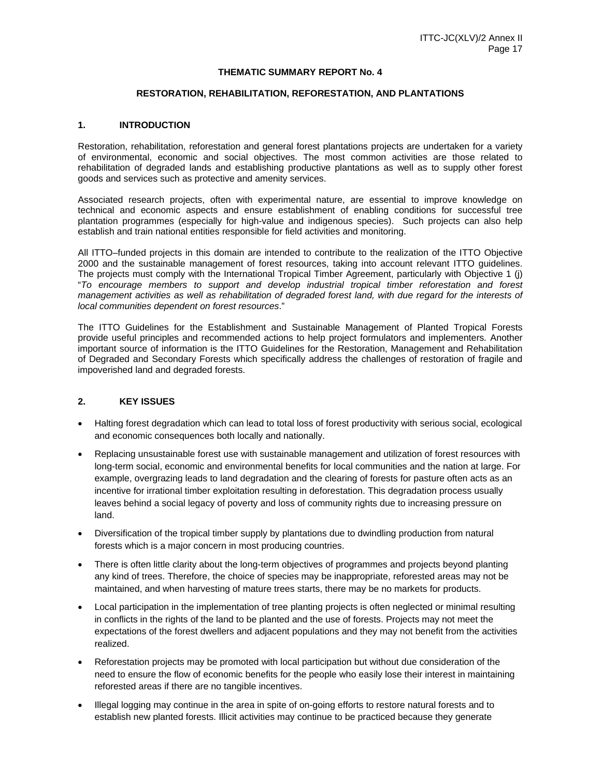#### **THEMATIC SUMMARY REPORT No. 4**

#### **RESTORATION, REHABILITATION, REFORESTATION, AND PLANTATIONS**

#### **1. INTRODUCTION**

Restoration, rehabilitation, reforestation and general forest plantations projects are undertaken for a variety of environmental, economic and social objectives. The most common activities are those related to rehabilitation of degraded lands and establishing productive plantations as well as to supply other forest goods and services such as protective and amenity services.

Associated research projects, often with experimental nature, are essential to improve knowledge on technical and economic aspects and ensure establishment of enabling conditions for successful tree plantation programmes (especially for high-value and indigenous species). Such projects can also help establish and train national entities responsible for field activities and monitoring.

All ITTO–funded projects in this domain are intended to contribute to the realization of the ITTO Objective 2000 and the sustainable management of forest resources, taking into account relevant ITTO guidelines. The projects must comply with the International Tropical Timber Agreement, particularly with Objective 1 (j) "*To encourage members to support and develop industrial tropical timber reforestation and forest management activities as well as rehabilitation of degraded forest land, with due regard for the interests of local communities dependent on forest resources*."

The ITTO Guidelines for the Establishment and Sustainable Management of Planted Tropical Forests provide useful principles and recommended actions to help project formulators and implementers*.* Another important source of information is the ITTO Guidelines for the Restoration, Management and Rehabilitation of Degraded and Secondary Forests which specifically address the challenges of restoration of fragile and impoverished land and degraded forests.

## **2. KEY ISSUES**

- Halting forest degradation which can lead to total loss of forest productivity with serious social, ecological and economic consequences both locally and nationally.
- Replacing unsustainable forest use with sustainable management and utilization of forest resources with long-term social, economic and environmental benefits for local communities and the nation at large. For example, overgrazing leads to land degradation and the clearing of forests for pasture often acts as an incentive for irrational timber exploitation resulting in deforestation. This degradation process usually leaves behind a social legacy of poverty and loss of community rights due to increasing pressure on land.
- Diversification of the tropical timber supply by plantations due to dwindling production from natural forests which is a major concern in most producing countries.
- There is often little clarity about the long-term objectives of programmes and projects beyond planting any kind of trees. Therefore, the choice of species may be inappropriate, reforested areas may not be maintained, and when harvesting of mature trees starts, there may be no markets for products.
- Local participation in the implementation of tree planting projects is often neglected or minimal resulting in conflicts in the rights of the land to be planted and the use of forests. Projects may not meet the expectations of the forest dwellers and adjacent populations and they may not benefit from the activities realized.
- Reforestation projects may be promoted with local participation but without due consideration of the need to ensure the flow of economic benefits for the people who easily lose their interest in maintaining reforested areas if there are no tangible incentives.
- Illegal logging may continue in the area in spite of on-going efforts to restore natural forests and to establish new planted forests. Illicit activities may continue to be practiced because they generate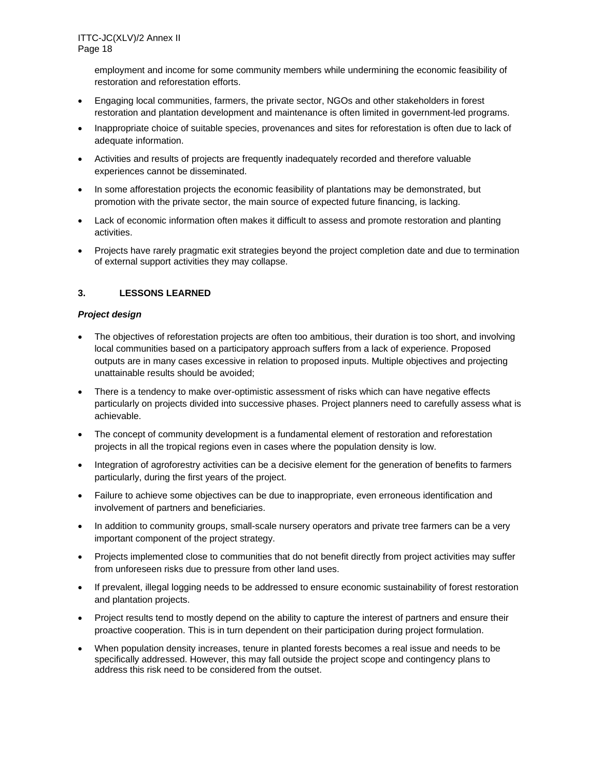employment and income for some community members while undermining the economic feasibility of restoration and reforestation efforts.

- Engaging local communities, farmers, the private sector, NGOs and other stakeholders in forest restoration and plantation development and maintenance is often limited in government-led programs.
- Inappropriate choice of suitable species, provenances and sites for reforestation is often due to lack of adequate information.
- Activities and results of projects are frequently inadequately recorded and therefore valuable experiences cannot be disseminated.
- In some afforestation projects the economic feasibility of plantations may be demonstrated, but promotion with the private sector, the main source of expected future financing, is lacking.
- Lack of economic information often makes it difficult to assess and promote restoration and planting activities.
- Projects have rarely pragmatic exit strategies beyond the project completion date and due to termination of external support activities they may collapse.

## **3. LESSONS LEARNED**

## *Project design*

- The objectives of reforestation projects are often too ambitious, their duration is too short, and involving local communities based on a participatory approach suffers from a lack of experience. Proposed outputs are in many cases excessive in relation to proposed inputs. Multiple objectives and projecting unattainable results should be avoided;
- There is a tendency to make over-optimistic assessment of risks which can have negative effects particularly on projects divided into successive phases. Project planners need to carefully assess what is achievable.
- The concept of community development is a fundamental element of restoration and reforestation projects in all the tropical regions even in cases where the population density is low.
- Integration of agroforestry activities can be a decisive element for the generation of benefits to farmers particularly, during the first years of the project.
- Failure to achieve some objectives can be due to inappropriate, even erroneous identification and involvement of partners and beneficiaries.
- In addition to community groups, small-scale nursery operators and private tree farmers can be a very important component of the project strategy.
- Projects implemented close to communities that do not benefit directly from project activities may suffer from unforeseen risks due to pressure from other land uses.
- If prevalent, illegal logging needs to be addressed to ensure economic sustainability of forest restoration and plantation projects.
- Project results tend to mostly depend on the ability to capture the interest of partners and ensure their proactive cooperation. This is in turn dependent on their participation during project formulation.
- When population density increases, tenure in planted forests becomes a real issue and needs to be specifically addressed. However, this may fall outside the project scope and contingency plans to address this risk need to be considered from the outset.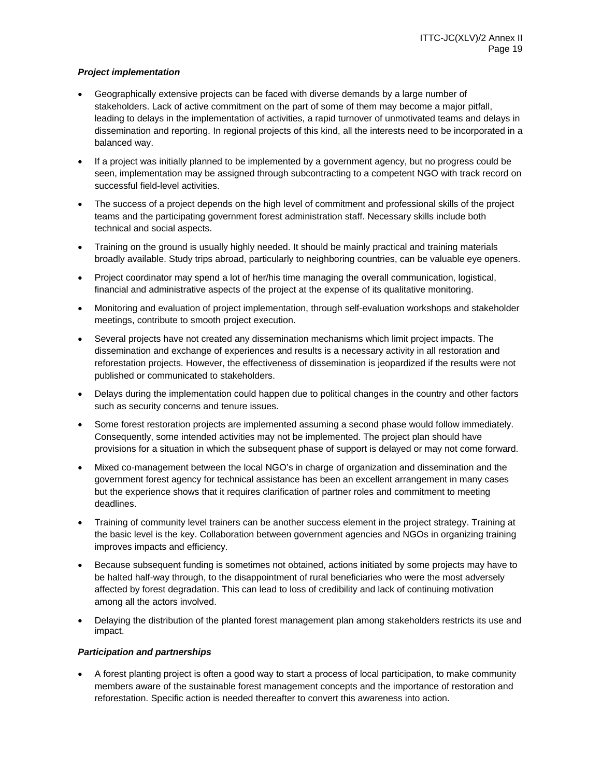## *Project implementation*

- Geographically extensive projects can be faced with diverse demands by a large number of stakeholders. Lack of active commitment on the part of some of them may become a major pitfall, leading to delays in the implementation of activities, a rapid turnover of unmotivated teams and delays in dissemination and reporting. In regional projects of this kind, all the interests need to be incorporated in a balanced way.
- If a project was initially planned to be implemented by a government agency, but no progress could be seen, implementation may be assigned through subcontracting to a competent NGO with track record on successful field-level activities.
- The success of a project depends on the high level of commitment and professional skills of the project teams and the participating government forest administration staff. Necessary skills include both technical and social aspects.
- Training on the ground is usually highly needed. It should be mainly practical and training materials broadly available. Study trips abroad, particularly to neighboring countries, can be valuable eye openers.
- Project coordinator may spend a lot of her/his time managing the overall communication, logistical, financial and administrative aspects of the project at the expense of its qualitative monitoring.
- Monitoring and evaluation of project implementation, through self-evaluation workshops and stakeholder meetings, contribute to smooth project execution.
- Several projects have not created any dissemination mechanisms which limit project impacts. The dissemination and exchange of experiences and results is a necessary activity in all restoration and reforestation projects. However, the effectiveness of dissemination is jeopardized if the results were not published or communicated to stakeholders.
- Delays during the implementation could happen due to political changes in the country and other factors such as security concerns and tenure issues.
- Some forest restoration projects are implemented assuming a second phase would follow immediately. Consequently, some intended activities may not be implemented. The project plan should have provisions for a situation in which the subsequent phase of support is delayed or may not come forward.
- Mixed co-management between the local NGO's in charge of organization and dissemination and the government forest agency for technical assistance has been an excellent arrangement in many cases but the experience shows that it requires clarification of partner roles and commitment to meeting deadlines.
- Training of community level trainers can be another success element in the project strategy. Training at the basic level is the key. Collaboration between government agencies and NGOs in organizing training improves impacts and efficiency.
- Because subsequent funding is sometimes not obtained, actions initiated by some projects may have to be halted half-way through, to the disappointment of rural beneficiaries who were the most adversely affected by forest degradation. This can lead to loss of credibility and lack of continuing motivation among all the actors involved.
- Delaying the distribution of the planted forest management plan among stakeholders restricts its use and impact.

## *Participation and partnerships*

 A forest planting project is often a good way to start a process of local participation, to make community members aware of the sustainable forest management concepts and the importance of restoration and reforestation. Specific action is needed thereafter to convert this awareness into action.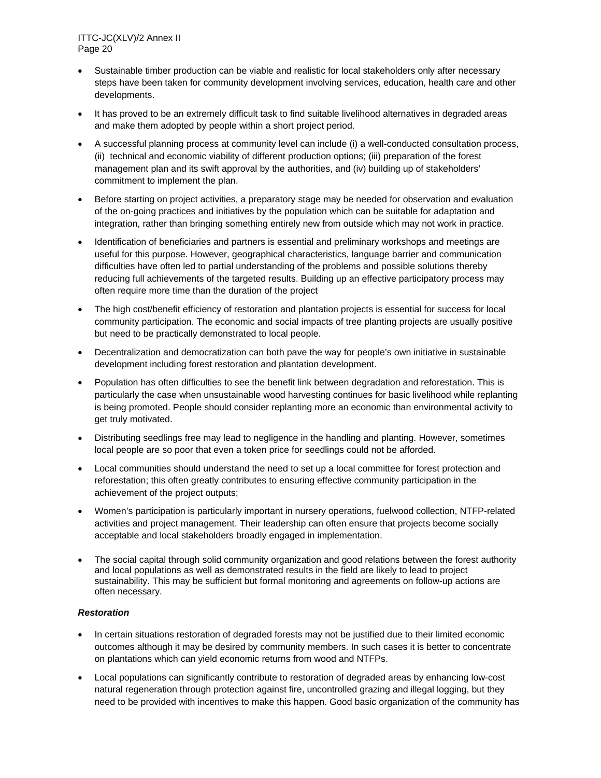- Sustainable timber production can be viable and realistic for local stakeholders only after necessary steps have been taken for community development involving services, education, health care and other developments.
- It has proved to be an extremely difficult task to find suitable livelihood alternatives in degraded areas and make them adopted by people within a short project period.
- A successful planning process at community level can include (i) a well-conducted consultation process, (ii) technical and economic viability of different production options; (iii) preparation of the forest management plan and its swift approval by the authorities, and (iv) building up of stakeholders' commitment to implement the plan.
- Before starting on project activities, a preparatory stage may be needed for observation and evaluation of the on-going practices and initiatives by the population which can be suitable for adaptation and integration, rather than bringing something entirely new from outside which may not work in practice.
- Identification of beneficiaries and partners is essential and preliminary workshops and meetings are useful for this purpose. However, geographical characteristics, language barrier and communication difficulties have often led to partial understanding of the problems and possible solutions thereby reducing full achievements of the targeted results. Building up an effective participatory process may often require more time than the duration of the project
- The high cost/benefit efficiency of restoration and plantation projects is essential for success for local community participation. The economic and social impacts of tree planting projects are usually positive but need to be practically demonstrated to local people.
- Decentralization and democratization can both pave the way for people's own initiative in sustainable development including forest restoration and plantation development.
- Population has often difficulties to see the benefit link between degradation and reforestation. This is particularly the case when unsustainable wood harvesting continues for basic livelihood while replanting is being promoted. People should consider replanting more an economic than environmental activity to get truly motivated.
- Distributing seedlings free may lead to negligence in the handling and planting. However, sometimes local people are so poor that even a token price for seedlings could not be afforded.
- Local communities should understand the need to set up a local committee for forest protection and reforestation; this often greatly contributes to ensuring effective community participation in the achievement of the project outputs;
- Women's participation is particularly important in nursery operations, fuelwood collection, NTFP-related activities and project management. Their leadership can often ensure that projects become socially acceptable and local stakeholders broadly engaged in implementation.
- The social capital through solid community organization and good relations between the forest authority and local populations as well as demonstrated results in the field are likely to lead to project sustainability. This may be sufficient but formal monitoring and agreements on follow-up actions are often necessary.

## *Restoration*

- In certain situations restoration of degraded forests may not be justified due to their limited economic outcomes although it may be desired by community members. In such cases it is better to concentrate on plantations which can yield economic returns from wood and NTFPs.
- Local populations can significantly contribute to restoration of degraded areas by enhancing low-cost natural regeneration through protection against fire, uncontrolled grazing and illegal logging, but they need to be provided with incentives to make this happen. Good basic organization of the community has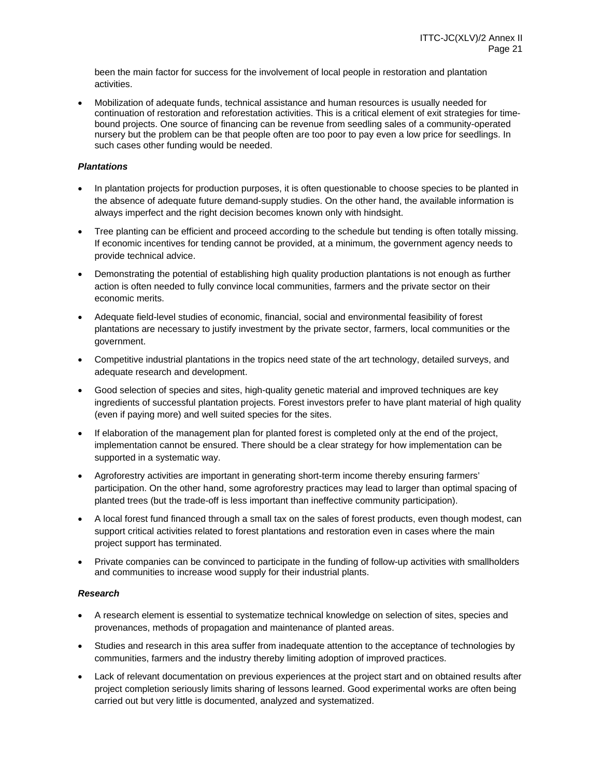been the main factor for success for the involvement of local people in restoration and plantation activities.

 Mobilization of adequate funds, technical assistance and human resources is usually needed for continuation of restoration and reforestation activities. This is a critical element of exit strategies for timebound projects. One source of financing can be revenue from seedling sales of a community-operated nursery but the problem can be that people often are too poor to pay even a low price for seedlings. In such cases other funding would be needed.

#### *Plantations*

- In plantation projects for production purposes, it is often questionable to choose species to be planted in the absence of adequate future demand-supply studies. On the other hand, the available information is always imperfect and the right decision becomes known only with hindsight.
- Tree planting can be efficient and proceed according to the schedule but tending is often totally missing. If economic incentives for tending cannot be provided, at a minimum, the government agency needs to provide technical advice.
- Demonstrating the potential of establishing high quality production plantations is not enough as further action is often needed to fully convince local communities, farmers and the private sector on their economic merits.
- Adequate field-level studies of economic, financial, social and environmental feasibility of forest plantations are necessary to justify investment by the private sector, farmers, local communities or the government.
- Competitive industrial plantations in the tropics need state of the art technology, detailed surveys, and adequate research and development.
- Good selection of species and sites, high-quality genetic material and improved techniques are key ingredients of successful plantation projects. Forest investors prefer to have plant material of high quality (even if paying more) and well suited species for the sites.
- If elaboration of the management plan for planted forest is completed only at the end of the project, implementation cannot be ensured. There should be a clear strategy for how implementation can be supported in a systematic way.
- Agroforestry activities are important in generating short-term income thereby ensuring farmers' participation. On the other hand, some agroforestry practices may lead to larger than optimal spacing of planted trees (but the trade-off is less important than ineffective community participation).
- A local forest fund financed through a small tax on the sales of forest products, even though modest, can support critical activities related to forest plantations and restoration even in cases where the main project support has terminated.
- Private companies can be convinced to participate in the funding of follow-up activities with smallholders and communities to increase wood supply for their industrial plants.

## *Research*

- A research element is essential to systematize technical knowledge on selection of sites, species and provenances, methods of propagation and maintenance of planted areas.
- Studies and research in this area suffer from inadequate attention to the acceptance of technologies by communities, farmers and the industry thereby limiting adoption of improved practices.
- Lack of relevant documentation on previous experiences at the project start and on obtained results after project completion seriously limits sharing of lessons learned. Good experimental works are often being carried out but very little is documented, analyzed and systematized.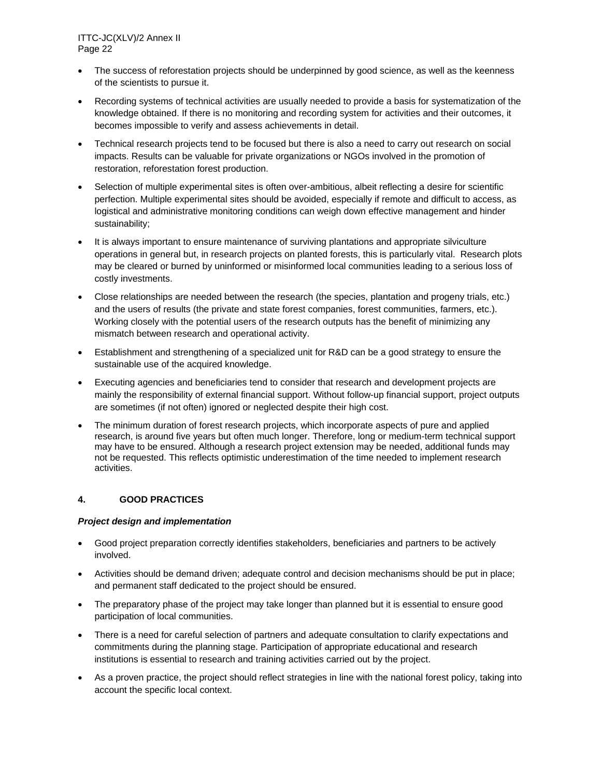- The success of reforestation projects should be underpinned by good science, as well as the keenness of the scientists to pursue it.
- Recording systems of technical activities are usually needed to provide a basis for systematization of the knowledge obtained. If there is no monitoring and recording system for activities and their outcomes, it becomes impossible to verify and assess achievements in detail.
- Technical research projects tend to be focused but there is also a need to carry out research on social impacts. Results can be valuable for private organizations or NGOs involved in the promotion of restoration, reforestation forest production.
- Selection of multiple experimental sites is often over-ambitious, albeit reflecting a desire for scientific perfection. Multiple experimental sites should be avoided, especially if remote and difficult to access, as logistical and administrative monitoring conditions can weigh down effective management and hinder sustainability;
- It is always important to ensure maintenance of surviving plantations and appropriate silviculture operations in general but, in research projects on planted forests, this is particularly vital. Research plots may be cleared or burned by uninformed or misinformed local communities leading to a serious loss of costly investments.
- Close relationships are needed between the research (the species, plantation and progeny trials, etc.) and the users of results (the private and state forest companies, forest communities, farmers, etc.). Working closely with the potential users of the research outputs has the benefit of minimizing any mismatch between research and operational activity.
- Establishment and strengthening of a specialized unit for R&D can be a good strategy to ensure the sustainable use of the acquired knowledge.
- Executing agencies and beneficiaries tend to consider that research and development projects are mainly the responsibility of external financial support. Without follow-up financial support, project outputs are sometimes (if not often) ignored or neglected despite their high cost.
- The minimum duration of forest research projects, which incorporate aspects of pure and applied research, is around five years but often much longer. Therefore, long or medium-term technical support may have to be ensured. Although a research project extension may be needed, additional funds may not be requested. This reflects optimistic underestimation of the time needed to implement research activities.

## **4. GOOD PRACTICES**

## *Project design and implementation*

- Good project preparation correctly identifies stakeholders, beneficiaries and partners to be actively involved.
- Activities should be demand driven; adequate control and decision mechanisms should be put in place; and permanent staff dedicated to the project should be ensured.
- The preparatory phase of the project may take longer than planned but it is essential to ensure good participation of local communities.
- There is a need for careful selection of partners and adequate consultation to clarify expectations and commitments during the planning stage. Participation of appropriate educational and research institutions is essential to research and training activities carried out by the project.
- As a proven practice, the project should reflect strategies in line with the national forest policy, taking into account the specific local context.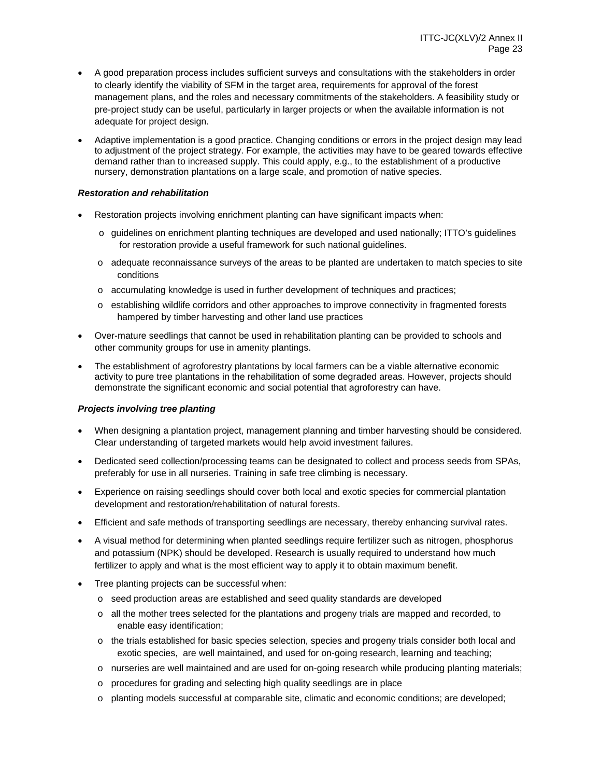- A good preparation process includes sufficient surveys and consultations with the stakeholders in order to clearly identify the viability of SFM in the target area, requirements for approval of the forest management plans, and the roles and necessary commitments of the stakeholders. A feasibility study or pre-project study can be useful, particularly in larger projects or when the available information is not adequate for project design.
- Adaptive implementation is a good practice. Changing conditions or errors in the project design may lead to adjustment of the project strategy. For example, the activities may have to be geared towards effective demand rather than to increased supply. This could apply, e.g., to the establishment of a productive nursery, demonstration plantations on a large scale, and promotion of native species.

#### *Restoration and rehabilitation*

- Restoration projects involving enrichment planting can have significant impacts when:
	- o guidelines on enrichment planting techniques are developed and used nationally; ITTO's guidelines for restoration provide a useful framework for such national guidelines.
	- o adequate reconnaissance surveys of the areas to be planted are undertaken to match species to site conditions
	- o accumulating knowledge is used in further development of techniques and practices;
	- o establishing wildlife corridors and other approaches to improve connectivity in fragmented forests hampered by timber harvesting and other land use practices
- Over-mature seedlings that cannot be used in rehabilitation planting can be provided to schools and other community groups for use in amenity plantings.
- The establishment of agroforestry plantations by local farmers can be a viable alternative economic activity to pure tree plantations in the rehabilitation of some degraded areas. However, projects should demonstrate the significant economic and social potential that agroforestry can have.

## *Projects involving tree planting*

- When designing a plantation project, management planning and timber harvesting should be considered. Clear understanding of targeted markets would help avoid investment failures.
- Dedicated seed collection/processing teams can be designated to collect and process seeds from SPAs, preferably for use in all nurseries. Training in safe tree climbing is necessary.
- Experience on raising seedlings should cover both local and exotic species for commercial plantation development and restoration/rehabilitation of natural forests.
- Efficient and safe methods of transporting seedlings are necessary, thereby enhancing survival rates.
- A visual method for determining when planted seedlings require fertilizer such as nitrogen, phosphorus and potassium (NPK) should be developed. Research is usually required to understand how much fertilizer to apply and what is the most efficient way to apply it to obtain maximum benefit.
- Tree planting projects can be successful when:
	- o seed production areas are established and seed quality standards are developed
	- o all the mother trees selected for the plantations and progeny trials are mapped and recorded, to enable easy identification;
	- o the trials established for basic species selection, species and progeny trials consider both local and exotic species, are well maintained, and used for on-going research, learning and teaching;
	- o nurseries are well maintained and are used for on-going research while producing planting materials;
	- o procedures for grading and selecting high quality seedlings are in place
	- o planting models successful at comparable site, climatic and economic conditions; are developed;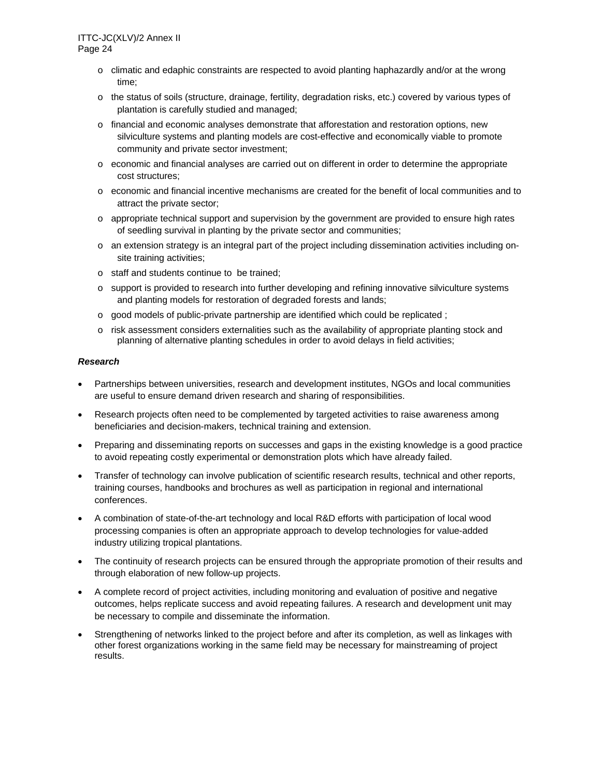- $\circ$  climatic and edaphic constraints are respected to avoid planting haphazardly and/or at the wrong time;
- o the status of soils (structure, drainage, fertility, degradation risks, etc.) covered by various types of plantation is carefully studied and managed;
- o financial and economic analyses demonstrate that afforestation and restoration options, new silviculture systems and planting models are cost-effective and economically viable to promote community and private sector investment;
- o economic and financial analyses are carried out on different in order to determine the appropriate cost structures;
- o economic and financial incentive mechanisms are created for the benefit of local communities and to attract the private sector;
- o appropriate technical support and supervision by the government are provided to ensure high rates of seedling survival in planting by the private sector and communities;
- o an extension strategy is an integral part of the project including dissemination activities including onsite training activities;
- o staff and students continue to be trained;
- o support is provided to research into further developing and refining innovative silviculture systems and planting models for restoration of degraded forests and lands;
- $\circ$  good models of public-private partnership are identified which could be replicated;
- o risk assessment considers externalities such as the availability of appropriate planting stock and planning of alternative planting schedules in order to avoid delays in field activities;

#### *Research*

- Partnerships between universities, research and development institutes, NGOs and local communities are useful to ensure demand driven research and sharing of responsibilities.
- Research projects often need to be complemented by targeted activities to raise awareness among beneficiaries and decision-makers, technical training and extension.
- Preparing and disseminating reports on successes and gaps in the existing knowledge is a good practice to avoid repeating costly experimental or demonstration plots which have already failed.
- Transfer of technology can involve publication of scientific research results, technical and other reports, training courses, handbooks and brochures as well as participation in regional and international conferences.
- A combination of state-of-the-art technology and local R&D efforts with participation of local wood processing companies is often an appropriate approach to develop technologies for value-added industry utilizing tropical plantations.
- The continuity of research projects can be ensured through the appropriate promotion of their results and through elaboration of new follow-up projects.
- A complete record of project activities, including monitoring and evaluation of positive and negative outcomes, helps replicate success and avoid repeating failures. A research and development unit may be necessary to compile and disseminate the information.
- Strengthening of networks linked to the project before and after its completion, as well as linkages with other forest organizations working in the same field may be necessary for mainstreaming of project results.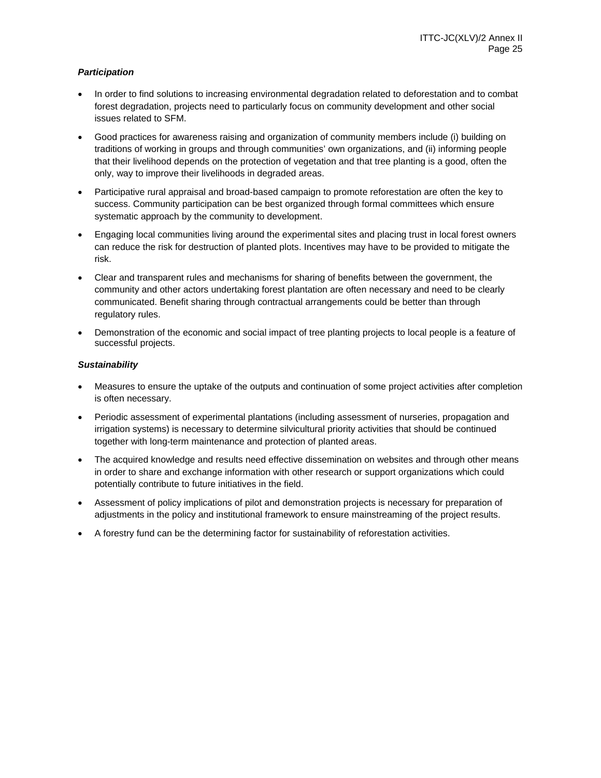## *Participation*

- In order to find solutions to increasing environmental degradation related to deforestation and to combat forest degradation, projects need to particularly focus on community development and other social issues related to SFM.
- Good practices for awareness raising and organization of community members include (i) building on traditions of working in groups and through communities' own organizations, and (ii) informing people that their livelihood depends on the protection of vegetation and that tree planting is a good, often the only, way to improve their livelihoods in degraded areas.
- Participative rural appraisal and broad-based campaign to promote reforestation are often the key to success. Community participation can be best organized through formal committees which ensure systematic approach by the community to development.
- Engaging local communities living around the experimental sites and placing trust in local forest owners can reduce the risk for destruction of planted plots. Incentives may have to be provided to mitigate the risk.
- Clear and transparent rules and mechanisms for sharing of benefits between the government, the community and other actors undertaking forest plantation are often necessary and need to be clearly communicated. Benefit sharing through contractual arrangements could be better than through regulatory rules.
- Demonstration of the economic and social impact of tree planting projects to local people is a feature of successful projects.

## *Sustainability*

- Measures to ensure the uptake of the outputs and continuation of some project activities after completion is often necessary.
- Periodic assessment of experimental plantations (including assessment of nurseries, propagation and irrigation systems) is necessary to determine silvicultural priority activities that should be continued together with long-term maintenance and protection of planted areas.
- The acquired knowledge and results need effective dissemination on websites and through other means in order to share and exchange information with other research or support organizations which could potentially contribute to future initiatives in the field.
- Assessment of policy implications of pilot and demonstration projects is necessary for preparation of adjustments in the policy and institutional framework to ensure mainstreaming of the project results.
- A forestry fund can be the determining factor for sustainability of reforestation activities.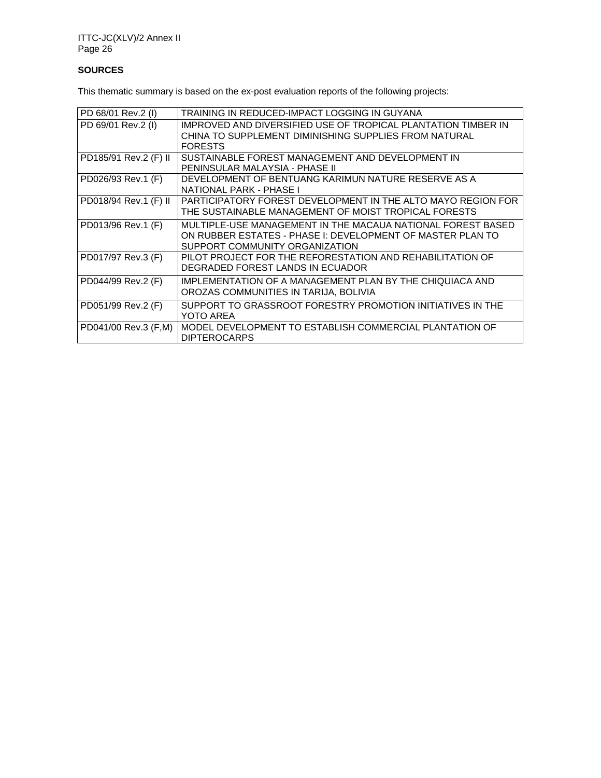## **SOURCES**

This thematic summary is based on the ex-post evaluation reports of the following projects:

| PD 68/01 Rev.2 (I)    | TRAINING IN REDUCED-IMPACT LOGGING IN GUYANA                                                                                                                |
|-----------------------|-------------------------------------------------------------------------------------------------------------------------------------------------------------|
| PD 69/01 Rev.2 (I)    | IMPROVED AND DIVERSIFIED USE OF TROPICAL PLANTATION TIMBER IN<br>CHINA TO SUPPLEMENT DIMINISHING SUPPLIES FROM NATURAL<br><b>FORESTS</b>                    |
| PD185/91 Rev.2 (F) II | SUSTAINABLE FOREST MANAGEMENT AND DEVELOPMENT IN<br>PENINSULAR MALAYSIA - PHASE II                                                                          |
| PD026/93 Rev.1 (F)    | DEVELOPMENT OF BENTUANG KARIMUN NATURE RESERVE AS A<br>NATIONAL PARK - PHASE I                                                                              |
| PD018/94 Rev.1 (F) II | PARTICIPATORY FOREST DEVELOPMENT IN THE ALTO MAYO REGION FOR<br>THE SUSTAINABLE MANAGEMENT OF MOIST TROPICAL FORESTS                                        |
| PD013/96 Rev.1 (F)    | MULTIPLE-USE MANAGEMENT IN THE MACAUA NATIONAL FOREST BASED<br>ON RUBBER ESTATES - PHASE I: DEVELOPMENT OF MASTER PLAN TO<br>SUPPORT COMMUNITY ORGANIZATION |
| PD017/97 Rev.3 (F)    | PILOT PROJECT FOR THE REFORESTATION AND REHABILITATION OF<br>DEGRADED FOREST LANDS IN ECUADOR                                                               |
| PD044/99 Rev.2 (F)    | IMPLEMENTATION OF A MANAGEMENT PLAN BY THE CHIQUIACA AND<br>OROZAS COMMUNITIES IN TARIJA, BOLIVIA                                                           |
| PD051/99 Rev.2 (F)    | SUPPORT TO GRASSROOT FORESTRY PROMOTION INITIATIVES IN THE<br>YOTO AREA                                                                                     |
| PD041/00 Rev.3 (F,M)  | MODEL DEVELOPMENT TO ESTABLISH COMMERCIAL PLANTATION OF<br><b>DIPTEROCARPS</b>                                                                              |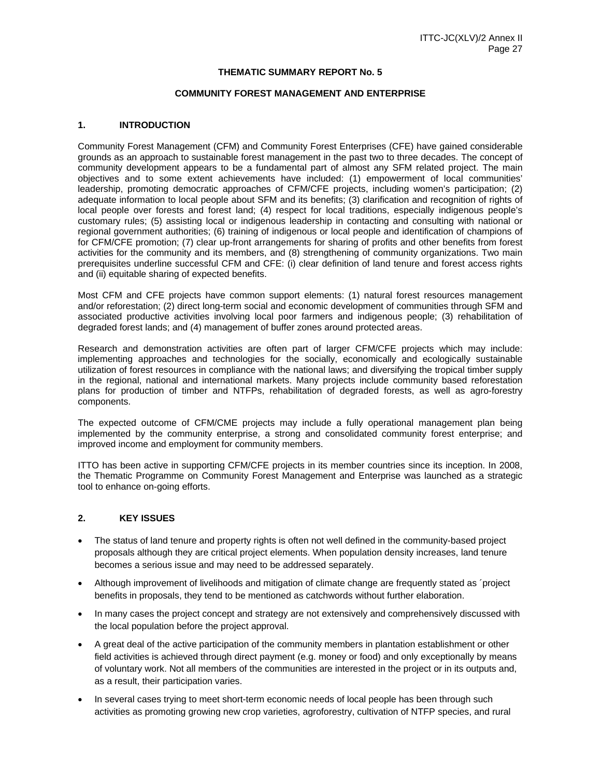#### **THEMATIC SUMMARY REPORT No. 5**

#### **COMMUNITY FOREST MANAGEMENT AND ENTERPRISE**

#### **1. INTRODUCTION**

Community Forest Management (CFM) and Community Forest Enterprises (CFE) have gained considerable grounds as an approach to sustainable forest management in the past two to three decades. The concept of community development appears to be a fundamental part of almost any SFM related project. The main objectives and to some extent achievements have included: (1) empowerment of local communities' leadership, promoting democratic approaches of CFM/CFE projects, including women's participation; (2) adequate information to local people about SFM and its benefits; (3) clarification and recognition of rights of local people over forests and forest land; (4) respect for local traditions, especially indigenous people's customary rules; (5) assisting local or indigenous leadership in contacting and consulting with national or regional government authorities; (6) training of indigenous or local people and identification of champions of for CFM/CFE promotion; (7) clear up-front arrangements for sharing of profits and other benefits from forest activities for the community and its members, and (8) strengthening of community organizations. Two main prerequisites underline successful CFM and CFE: (i) clear definition of land tenure and forest access rights and (ii) equitable sharing of expected benefits.

Most CFM and CFE projects have common support elements: (1) natural forest resources management and/or reforestation; (2) direct long-term social and economic development of communities through SFM and associated productive activities involving local poor farmers and indigenous people; (3) rehabilitation of degraded forest lands; and (4) management of buffer zones around protected areas.

Research and demonstration activities are often part of larger CFM/CFE projects which may include: implementing approaches and technologies for the socially, economically and ecologically sustainable utilization of forest resources in compliance with the national laws; and diversifying the tropical timber supply in the regional, national and international markets. Many projects include community based reforestation plans for production of timber and NTFPs, rehabilitation of degraded forests, as well as agro-forestry components.

The expected outcome of CFM/CME projects may include a fully operational management plan being implemented by the community enterprise, a strong and consolidated community forest enterprise; and improved income and employment for community members.

ITTO has been active in supporting CFM/CFE projects in its member countries since its inception. In 2008, the Thematic Programme on Community Forest Management and Enterprise was launched as a strategic tool to enhance on-going efforts.

## **2. KEY ISSUES**

- The status of land tenure and property rights is often not well defined in the community-based project proposals although they are critical project elements. When population density increases, land tenure becomes a serious issue and may need to be addressed separately.
- Although improvement of livelihoods and mitigation of climate change are frequently stated as ´project benefits in proposals, they tend to be mentioned as catchwords without further elaboration.
- In many cases the project concept and strategy are not extensively and comprehensively discussed with the local population before the project approval.
- A great deal of the active participation of the community members in plantation establishment or other field activities is achieved through direct payment (e.g. money or food) and only exceptionally by means of voluntary work. Not all members of the communities are interested in the project or in its outputs and, as a result, their participation varies.
- In several cases trying to meet short-term economic needs of local people has been through such activities as promoting growing new crop varieties, agroforestry, cultivation of NTFP species, and rural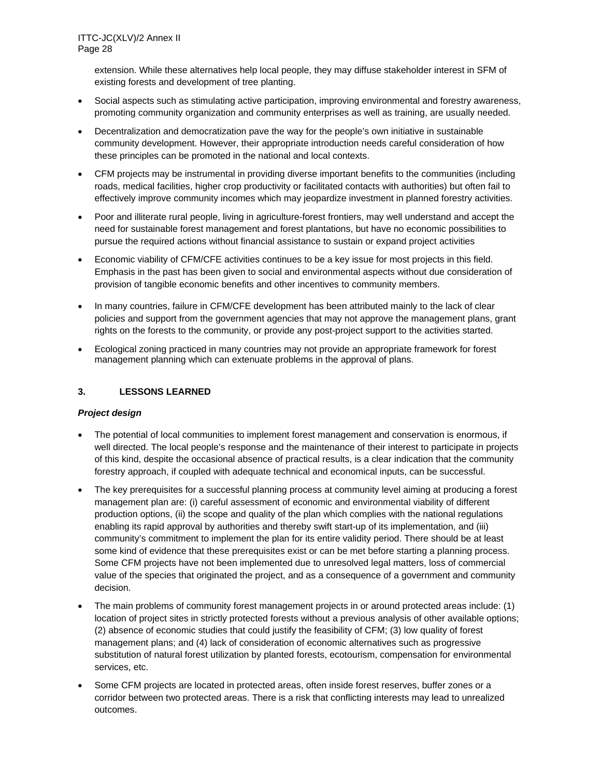extension. While these alternatives help local people, they may diffuse stakeholder interest in SFM of existing forests and development of tree planting.

- Social aspects such as stimulating active participation, improving environmental and forestry awareness, promoting community organization and community enterprises as well as training, are usually needed.
- Decentralization and democratization pave the way for the people's own initiative in sustainable community development. However, their appropriate introduction needs careful consideration of how these principles can be promoted in the national and local contexts.
- CFM projects may be instrumental in providing diverse important benefits to the communities (including roads, medical facilities, higher crop productivity or facilitated contacts with authorities) but often fail to effectively improve community incomes which may jeopardize investment in planned forestry activities.
- Poor and illiterate rural people, living in agriculture-forest frontiers, may well understand and accept the need for sustainable forest management and forest plantations, but have no economic possibilities to pursue the required actions without financial assistance to sustain or expand project activities
- Economic viability of CFM/CFE activities continues to be a key issue for most projects in this field. Emphasis in the past has been given to social and environmental aspects without due consideration of provision of tangible economic benefits and other incentives to community members.
- In many countries, failure in CFM/CFE development has been attributed mainly to the lack of clear policies and support from the government agencies that may not approve the management plans, grant rights on the forests to the community, or provide any post-project support to the activities started.
- Ecological zoning practiced in many countries may not provide an appropriate framework for forest management planning which can extenuate problems in the approval of plans.

## **3. LESSONS LEARNED**

## *Project design*

- The potential of local communities to implement forest management and conservation is enormous, if well directed. The local people's response and the maintenance of their interest to participate in projects of this kind, despite the occasional absence of practical results, is a clear indication that the community forestry approach, if coupled with adequate technical and economical inputs, can be successful.
- The key prerequisites for a successful planning process at community level aiming at producing a forest management plan are: (i) careful assessment of economic and environmental viability of different production options, (ii) the scope and quality of the plan which complies with the national regulations enabling its rapid approval by authorities and thereby swift start-up of its implementation, and (iii) community's commitment to implement the plan for its entire validity period. There should be at least some kind of evidence that these prerequisites exist or can be met before starting a planning process. Some CFM projects have not been implemented due to unresolved legal matters, loss of commercial value of the species that originated the project, and as a consequence of a government and community decision.
- The main problems of community forest management projects in or around protected areas include: (1) location of project sites in strictly protected forests without a previous analysis of other available options; (2) absence of economic studies that could justify the feasibility of CFM; (3) low quality of forest management plans; and (4) lack of consideration of economic alternatives such as progressive substitution of natural forest utilization by planted forests, ecotourism, compensation for environmental services, etc.
- Some CFM projects are located in protected areas, often inside forest reserves, buffer zones or a corridor between two protected areas. There is a risk that conflicting interests may lead to unrealized outcomes.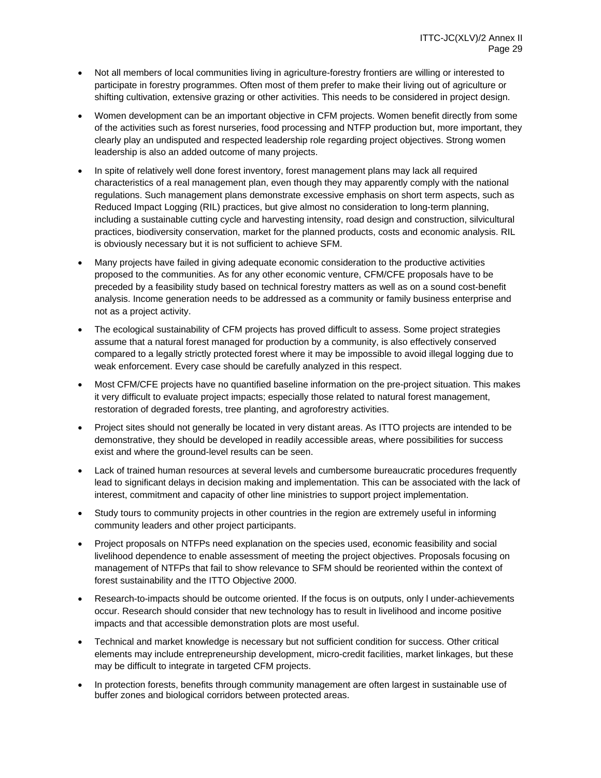- Not all members of local communities living in agriculture-forestry frontiers are willing or interested to participate in forestry programmes. Often most of them prefer to make their living out of agriculture or shifting cultivation, extensive grazing or other activities. This needs to be considered in project design.
- Women development can be an important objective in CFM projects. Women benefit directly from some of the activities such as forest nurseries, food processing and NTFP production but, more important, they clearly play an undisputed and respected leadership role regarding project objectives. Strong women leadership is also an added outcome of many projects.
- In spite of relatively well done forest inventory, forest management plans may lack all required characteristics of a real management plan, even though they may apparently comply with the national regulations. Such management plans demonstrate excessive emphasis on short term aspects, such as Reduced Impact Logging (RIL) practices, but give almost no consideration to long-term planning, including a sustainable cutting cycle and harvesting intensity, road design and construction, silvicultural practices, biodiversity conservation, market for the planned products, costs and economic analysis. RIL is obviously necessary but it is not sufficient to achieve SFM.
- Many projects have failed in giving adequate economic consideration to the productive activities proposed to the communities. As for any other economic venture, CFM/CFE proposals have to be preceded by a feasibility study based on technical forestry matters as well as on a sound cost-benefit analysis. Income generation needs to be addressed as a community or family business enterprise and not as a project activity.
- The ecological sustainability of CFM projects has proved difficult to assess. Some project strategies assume that a natural forest managed for production by a community, is also effectively conserved compared to a legally strictly protected forest where it may be impossible to avoid illegal logging due to weak enforcement. Every case should be carefully analyzed in this respect.
- Most CFM/CFE projects have no quantified baseline information on the pre-project situation. This makes it very difficult to evaluate project impacts; especially those related to natural forest management, restoration of degraded forests, tree planting, and agroforestry activities.
- Project sites should not generally be located in very distant areas. As ITTO projects are intended to be demonstrative, they should be developed in readily accessible areas, where possibilities for success exist and where the ground-level results can be seen.
- Lack of trained human resources at several levels and cumbersome bureaucratic procedures frequently lead to significant delays in decision making and implementation. This can be associated with the lack of interest, commitment and capacity of other line ministries to support project implementation.
- Study tours to community projects in other countries in the region are extremely useful in informing community leaders and other project participants.
- Project proposals on NTFPs need explanation on the species used, economic feasibility and social livelihood dependence to enable assessment of meeting the project objectives. Proposals focusing on management of NTFPs that fail to show relevance to SFM should be reoriented within the context of forest sustainability and the ITTO Objective 2000.
- Research-to-impacts should be outcome oriented. If the focus is on outputs, only l under-achievements occur. Research should consider that new technology has to result in livelihood and income positive impacts and that accessible demonstration plots are most useful.
- Technical and market knowledge is necessary but not sufficient condition for success. Other critical elements may include entrepreneurship development, micro-credit facilities, market linkages, but these may be difficult to integrate in targeted CFM projects.
- In protection forests, benefits through community management are often largest in sustainable use of buffer zones and biological corridors between protected areas.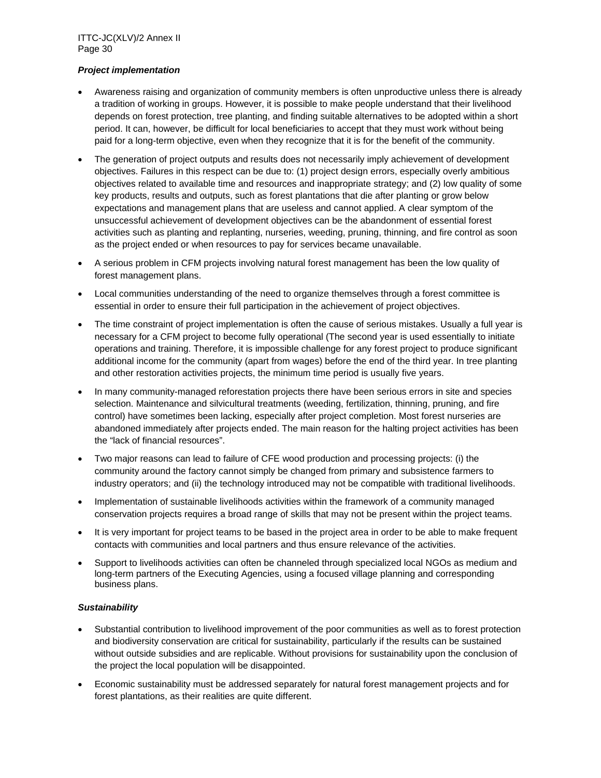## *Project implementation*

- Awareness raising and organization of community members is often unproductive unless there is already a tradition of working in groups. However, it is possible to make people understand that their livelihood depends on forest protection, tree planting, and finding suitable alternatives to be adopted within a short period. It can, however, be difficult for local beneficiaries to accept that they must work without being paid for a long-term objective, even when they recognize that it is for the benefit of the community.
- The generation of project outputs and results does not necessarily imply achievement of development objectives. Failures in this respect can be due to: (1) project design errors, especially overly ambitious objectives related to available time and resources and inappropriate strategy; and (2) low quality of some key products, results and outputs, such as forest plantations that die after planting or grow below expectations and management plans that are useless and cannot applied. A clear symptom of the unsuccessful achievement of development objectives can be the abandonment of essential forest activities such as planting and replanting, nurseries, weeding, pruning, thinning, and fire control as soon as the project ended or when resources to pay for services became unavailable.
- A serious problem in CFM projects involving natural forest management has been the low quality of forest management plans.
- Local communities understanding of the need to organize themselves through a forest committee is essential in order to ensure their full participation in the achievement of project objectives.
- The time constraint of project implementation is often the cause of serious mistakes. Usually a full year is necessary for a CFM project to become fully operational (The second year is used essentially to initiate operations and training. Therefore, it is impossible challenge for any forest project to produce significant additional income for the community (apart from wages) before the end of the third year. In tree planting and other restoration activities projects, the minimum time period is usually five years.
- In many community-managed reforestation projects there have been serious errors in site and species selection. Maintenance and silvicultural treatments (weeding, fertilization, thinning, pruning, and fire control) have sometimes been lacking, especially after project completion. Most forest nurseries are abandoned immediately after projects ended. The main reason for the halting project activities has been the "lack of financial resources".
- Two major reasons can lead to failure of CFE wood production and processing projects: (i) the community around the factory cannot simply be changed from primary and subsistence farmers to industry operators; and (ii) the technology introduced may not be compatible with traditional livelihoods.
- Implementation of sustainable livelihoods activities within the framework of a community managed conservation projects requires a broad range of skills that may not be present within the project teams.
- It is very important for project teams to be based in the project area in order to be able to make frequent contacts with communities and local partners and thus ensure relevance of the activities.
- Support to livelihoods activities can often be channeled through specialized local NGOs as medium and long-term partners of the Executing Agencies, using a focused village planning and corresponding business plans.

## *Sustainability*

- Substantial contribution to livelihood improvement of the poor communities as well as to forest protection and biodiversity conservation are critical for sustainability, particularly if the results can be sustained without outside subsidies and are replicable. Without provisions for sustainability upon the conclusion of the project the local population will be disappointed.
- Economic sustainability must be addressed separately for natural forest management projects and for forest plantations, as their realities are quite different.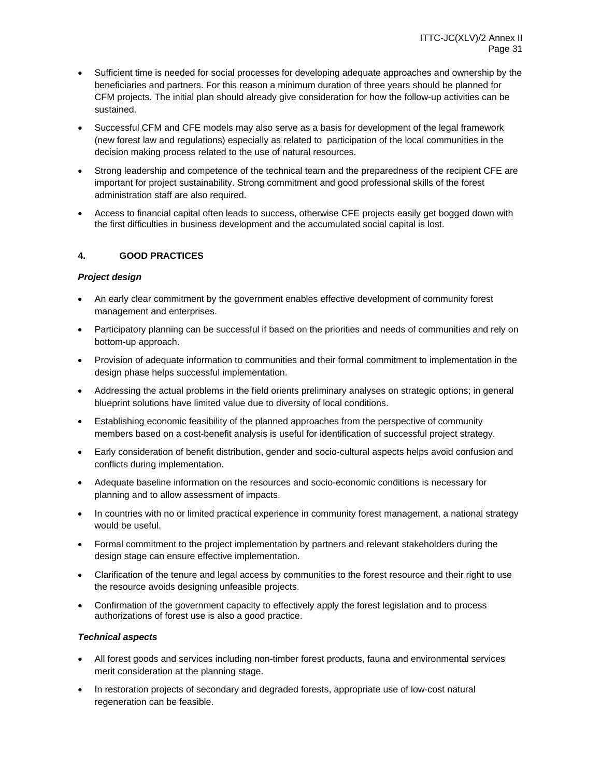- Sufficient time is needed for social processes for developing adequate approaches and ownership by the beneficiaries and partners. For this reason a minimum duration of three years should be planned for CFM projects. The initial plan should already give consideration for how the follow-up activities can be sustained.
- Successful CFM and CFE models may also serve as a basis for development of the legal framework (new forest law and regulations) especially as related to participation of the local communities in the decision making process related to the use of natural resources.
- Strong leadership and competence of the technical team and the preparedness of the recipient CFE are important for project sustainability. Strong commitment and good professional skills of the forest administration staff are also required.
- Access to financial capital often leads to success, otherwise CFE projects easily get bogged down with the first difficulties in business development and the accumulated social capital is lost.

## **4. GOOD PRACTICES**

## *Project design*

- An early clear commitment by the government enables effective development of community forest management and enterprises.
- Participatory planning can be successful if based on the priorities and needs of communities and rely on bottom-up approach.
- Provision of adequate information to communities and their formal commitment to implementation in the design phase helps successful implementation.
- Addressing the actual problems in the field orients preliminary analyses on strategic options; in general blueprint solutions have limited value due to diversity of local conditions.
- Establishing economic feasibility of the planned approaches from the perspective of community members based on a cost-benefit analysis is useful for identification of successful project strategy.
- Early consideration of benefit distribution, gender and socio-cultural aspects helps avoid confusion and conflicts during implementation.
- Adequate baseline information on the resources and socio-economic conditions is necessary for planning and to allow assessment of impacts.
- In countries with no or limited practical experience in community forest management, a national strategy would be useful.
- Formal commitment to the project implementation by partners and relevant stakeholders during the design stage can ensure effective implementation.
- Clarification of the tenure and legal access by communities to the forest resource and their right to use the resource avoids designing unfeasible projects.
- Confirmation of the government capacity to effectively apply the forest legislation and to process authorizations of forest use is also a good practice.

#### *Technical aspects*

- All forest goods and services including non-timber forest products, fauna and environmental services merit consideration at the planning stage.
- In restoration projects of secondary and degraded forests, appropriate use of low-cost natural regeneration can be feasible.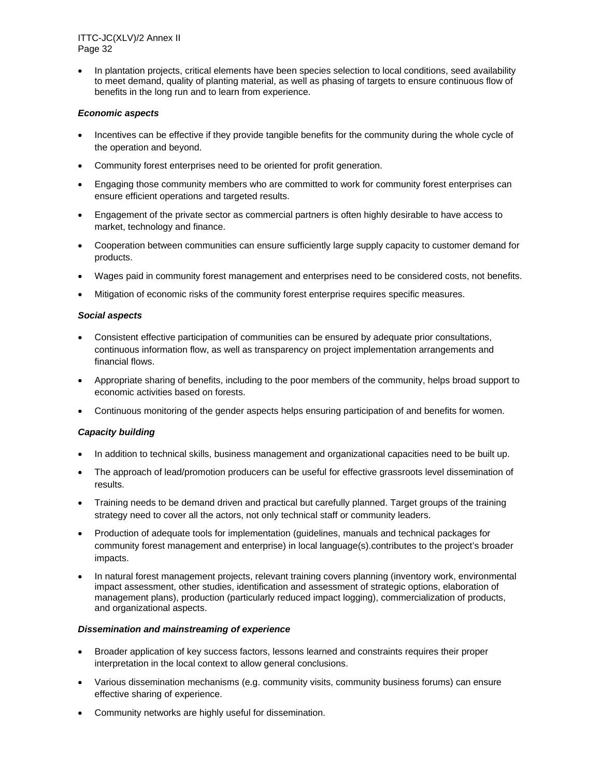In plantation projects, critical elements have been species selection to local conditions, seed availability to meet demand, quality of planting material, as well as phasing of targets to ensure continuous flow of benefits in the long run and to learn from experience.

#### *Economic aspects*

- Incentives can be effective if they provide tangible benefits for the community during the whole cycle of the operation and beyond.
- Community forest enterprises need to be oriented for profit generation.
- Engaging those community members who are committed to work for community forest enterprises can ensure efficient operations and targeted results.
- Engagement of the private sector as commercial partners is often highly desirable to have access to market, technology and finance.
- Cooperation between communities can ensure sufficiently large supply capacity to customer demand for products.
- Wages paid in community forest management and enterprises need to be considered costs, not benefits.
- Mitigation of economic risks of the community forest enterprise requires specific measures.

#### *Social aspects*

- Consistent effective participation of communities can be ensured by adequate prior consultations, continuous information flow, as well as transparency on project implementation arrangements and financial flows.
- Appropriate sharing of benefits, including to the poor members of the community, helps broad support to economic activities based on forests.
- Continuous monitoring of the gender aspects helps ensuring participation of and benefits for women.

## *Capacity building*

- In addition to technical skills, business management and organizational capacities need to be built up.
- The approach of lead/promotion producers can be useful for effective grassroots level dissemination of results.
- Training needs to be demand driven and practical but carefully planned. Target groups of the training strategy need to cover all the actors, not only technical staff or community leaders.
- Production of adequate tools for implementation (guidelines, manuals and technical packages for community forest management and enterprise) in local language(s).contributes to the project's broader impacts.
- In natural forest management projects, relevant training covers planning (inventory work, environmental impact assessment, other studies, identification and assessment of strategic options, elaboration of management plans), production (particularly reduced impact logging), commercialization of products, and organizational aspects.

## *Dissemination and mainstreaming of experience*

- Broader application of key success factors, lessons learned and constraints requires their proper interpretation in the local context to allow general conclusions.
- Various dissemination mechanisms (e.g. community visits, community business forums) can ensure effective sharing of experience.
- Community networks are highly useful for dissemination.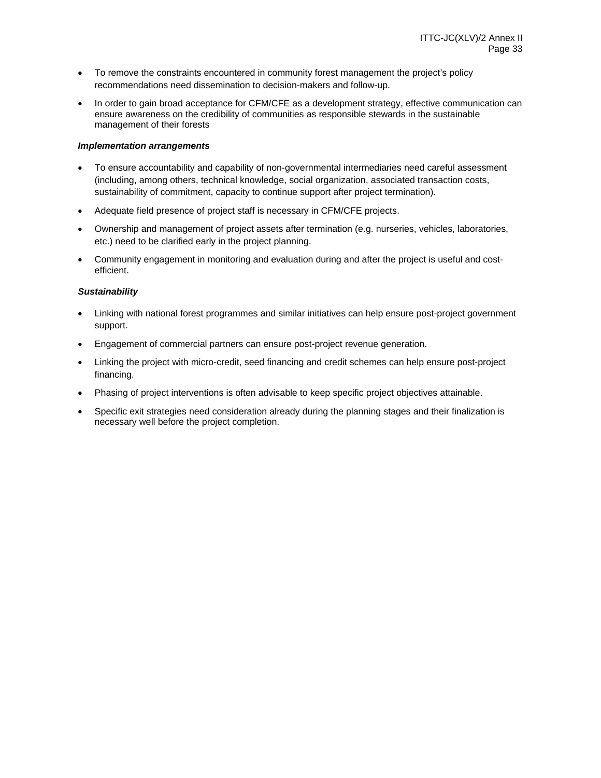- To remove the constraints encountered in community forest management the project's policy recommendations need dissemination to decision-makers and follow-up.
- In order to gain broad acceptance for CFM/CFE as a development strategy, effective communication can ensure awareness on the credibility of communities as responsible stewards in the sustainable management of their forests

#### *Implementation arrangements*

- To ensure accountability and capability of non-governmental intermediaries need careful assessment (including, among others, technical knowledge, social organization, associated transaction costs, sustainability of commitment, capacity to continue support after project termination).
- Adequate field presence of project staff is necessary in CFM/CFE projects.
- Ownership and management of project assets after termination (e.g. nurseries, vehicles, laboratories, etc.) need to be clarified early in the project planning.
- Community engagement in monitoring and evaluation during and after the project is useful and costefficient.

#### *Sustainability*

- Linking with national forest programmes and similar initiatives can help ensure post-project government support.
- Engagement of commercial partners can ensure post-project revenue generation.
- Linking the project with micro-credit, seed financing and credit schemes can help ensure post-project financing.
- Phasing of project interventions is often advisable to keep specific project objectives attainable.
- Specific exit strategies need consideration already during the planning stages and their finalization is necessary well before the project completion.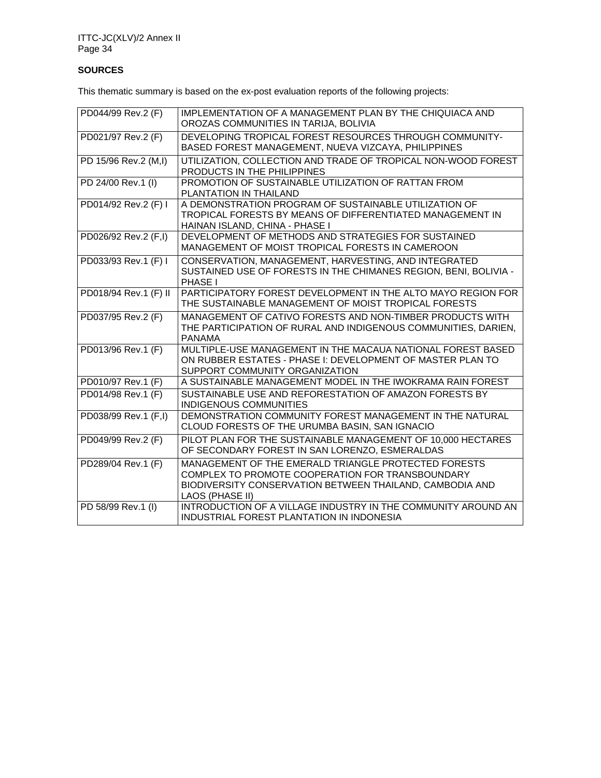## **SOURCES**

This thematic summary is based on the ex-post evaluation reports of the following projects:

| PD044/99 Rev.2 (F)    | IMPLEMENTATION OF A MANAGEMENT PLAN BY THE CHIQUIACA AND<br>OROZAS COMMUNITIES IN TARIJA, BOLIVIA                                                                                       |
|-----------------------|-----------------------------------------------------------------------------------------------------------------------------------------------------------------------------------------|
| PD021/97 Rev.2 (F)    | DEVELOPING TROPICAL FOREST RESOURCES THROUGH COMMUNITY-<br>BASED FOREST MANAGEMENT, NUEVA VIZCAYA, PHILIPPINES                                                                          |
| PD 15/96 Rev.2 (M,I)  | UTILIZATION, COLLECTION AND TRADE OF TROPICAL NON-WOOD FOREST<br>PRODUCTS IN THE PHILIPPINES                                                                                            |
| PD 24/00 Rev.1 (I)    | PROMOTION OF SUSTAINABLE UTILIZATION OF RATTAN FROM<br>PLANTATION IN THAILAND                                                                                                           |
| PD014/92 Rev.2 (F) I  | A DEMONSTRATION PROGRAM OF SUSTAINABLE UTILIZATION OF<br>TROPICAL FORESTS BY MEANS OF DIFFERENTIATED MANAGEMENT IN<br>HAINAN ISLAND, CHINA - PHASE I                                    |
| PD026/92 Rev.2 (F,I)  | DEVELOPMENT OF METHODS AND STRATEGIES FOR SUSTAINED<br>MANAGEMENT OF MOIST TROPICAL FORESTS IN CAMEROON                                                                                 |
| PD033/93 Rev.1 (F) I  | CONSERVATION, MANAGEMENT, HARVESTING, AND INTEGRATED<br>SUSTAINED USE OF FORESTS IN THE CHIMANES REGION, BENI, BOLIVIA -<br>PHASE I                                                     |
| PD018/94 Rev.1 (F) II | PARTICIPATORY FOREST DEVELOPMENT IN THE ALTO MAYO REGION FOR<br>THE SUSTAINABLE MANAGEMENT OF MOIST TROPICAL FORESTS                                                                    |
| PD037/95 Rev.2 (F)    | MANAGEMENT OF CATIVO FORESTS AND NON-TIMBER PRODUCTS WITH<br>THE PARTICIPATION OF RURAL AND INDIGENOUS COMMUNITIES, DARIEN,<br><b>PANAMA</b>                                            |
| PD013/96 Rev.1 (F)    | MULTIPLE-USE MANAGEMENT IN THE MACAUA NATIONAL FOREST BASED<br>ON RUBBER ESTATES - PHASE I: DEVELOPMENT OF MASTER PLAN TO<br>SUPPORT COMMUNITY ORGANIZATION                             |
| PD010/97 Rev.1 (F)    | A SUSTAINABLE MANAGEMENT MODEL IN THE IWOKRAMA RAIN FOREST                                                                                                                              |
| PD014/98 Rev.1 (F)    | SUSTAINABLE USE AND REFORESTATION OF AMAZON FORESTS BY<br>INDIGENOUS COMMUNITIES                                                                                                        |
| PD038/99 Rev.1 (F,I)  | DEMONSTRATION COMMUNITY FOREST MANAGEMENT IN THE NATURAL<br>CLOUD FORESTS OF THE URUMBA BASIN, SAN IGNACIO                                                                              |
| PD049/99 Rev.2 (F)    | PILOT PLAN FOR THE SUSTAINABLE MANAGEMENT OF 10,000 HECTARES<br>OF SECONDARY FOREST IN SAN LORENZO, ESMERALDAS                                                                          |
| PD289/04 Rev.1 (F)    | MANAGEMENT OF THE EMERALD TRIANGLE PROTECTED FORESTS<br>COMPLEX TO PROMOTE COOPERATION FOR TRANSBOUNDARY<br>BIODIVERSITY CONSERVATION BETWEEN THAILAND, CAMBODIA AND<br>LAOS (PHASE II) |
| PD 58/99 Rev.1 (I)    | INTRODUCTION OF A VILLAGE INDUSTRY IN THE COMMUNITY AROUND AN<br>INDUSTRIAL FOREST PLANTATION IN INDONESIA                                                                              |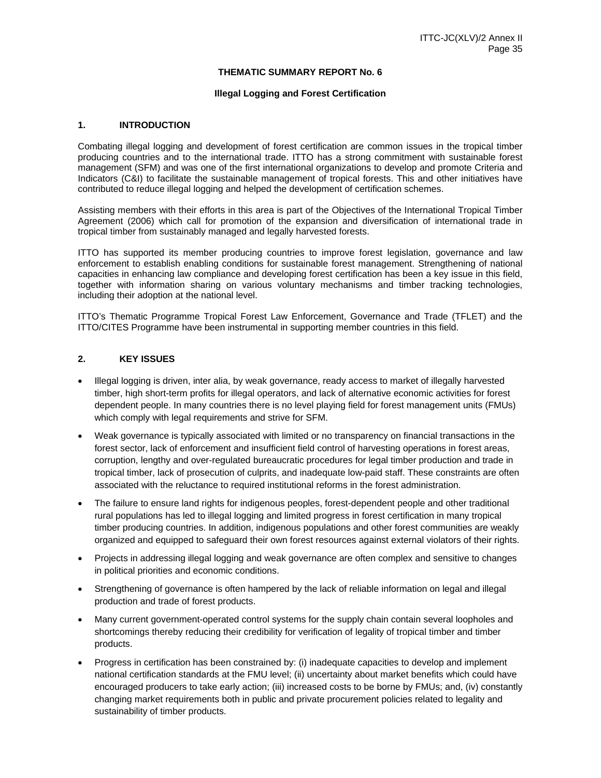#### **THEMATIC SUMMARY REPORT No. 6**

#### **Illegal Logging and Forest Certification**

#### **1. INTRODUCTION**

Combating illegal logging and development of forest certification are common issues in the tropical timber producing countries and to the international trade. ITTO has a strong commitment with sustainable forest management (SFM) and was one of the first international organizations to develop and promote Criteria and Indicators (C&I) to facilitate the sustainable management of tropical forests. This and other initiatives have contributed to reduce illegal logging and helped the development of certification schemes.

Assisting members with their efforts in this area is part of the Objectives of the International Tropical Timber Agreement (2006) which call for promotion of the expansion and diversification of international trade in tropical timber from sustainably managed and legally harvested forests.

ITTO has supported its member producing countries to improve forest legislation, governance and law enforcement to establish enabling conditions for sustainable forest management. Strengthening of national capacities in enhancing law compliance and developing forest certification has been a key issue in this field, together with information sharing on various voluntary mechanisms and timber tracking technologies, including their adoption at the national level.

ITTO's Thematic Programme Tropical Forest Law Enforcement, Governance and Trade (TFLET) and the ITTO/CITES Programme have been instrumental in supporting member countries in this field.

#### **2. KEY ISSUES**

- Illegal logging is driven, inter alia, by weak governance, ready access to market of illegally harvested timber, high short-term profits for illegal operators, and lack of alternative economic activities for forest dependent people. In many countries there is no level playing field for forest management units (FMUs) which comply with legal requirements and strive for SFM.
- Weak governance is typically associated with limited or no transparency on financial transactions in the forest sector, lack of enforcement and insufficient field control of harvesting operations in forest areas, corruption, lengthy and over-regulated bureaucratic procedures for legal timber production and trade in tropical timber, lack of prosecution of culprits, and inadequate low-paid staff. These constraints are often associated with the reluctance to required institutional reforms in the forest administration.
- The failure to ensure land rights for indigenous peoples, forest-dependent people and other traditional rural populations has led to illegal logging and limited progress in forest certification in many tropical timber producing countries. In addition, indigenous populations and other forest communities are weakly organized and equipped to safeguard their own forest resources against external violators of their rights.
- Projects in addressing illegal logging and weak governance are often complex and sensitive to changes in political priorities and economic conditions.
- Strengthening of governance is often hampered by the lack of reliable information on legal and illegal production and trade of forest products.
- Many current government-operated control systems for the supply chain contain several loopholes and shortcomings thereby reducing their credibility for verification of legality of tropical timber and timber products.
- Progress in certification has been constrained by: (i) inadequate capacities to develop and implement national certification standards at the FMU level; (ii) uncertainty about market benefits which could have encouraged producers to take early action; (iii) increased costs to be borne by FMUs; and, (iv) constantly changing market requirements both in public and private procurement policies related to legality and sustainability of timber products.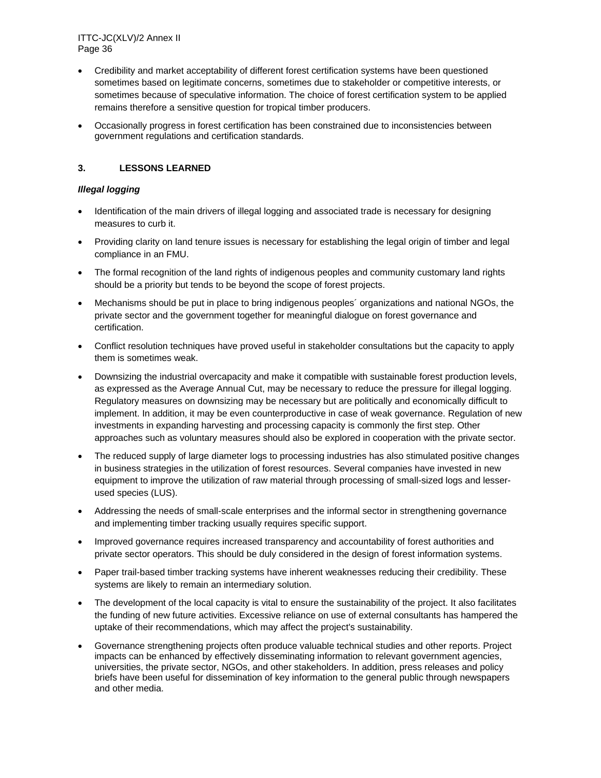- Credibility and market acceptability of different forest certification systems have been questioned sometimes based on legitimate concerns, sometimes due to stakeholder or competitive interests, or sometimes because of speculative information. The choice of forest certification system to be applied remains therefore a sensitive question for tropical timber producers.
- Occasionally progress in forest certification has been constrained due to inconsistencies between government regulations and certification standards.

## **3. LESSONS LEARNED**

## *Illegal logging*

- Identification of the main drivers of illegal logging and associated trade is necessary for designing measures to curb it.
- Providing clarity on land tenure issues is necessary for establishing the legal origin of timber and legal compliance in an FMU.
- The formal recognition of the land rights of indigenous peoples and community customary land rights should be a priority but tends to be beyond the scope of forest projects.
- Mechanisms should be put in place to bring indigenous peoples´ organizations and national NGOs, the private sector and the government together for meaningful dialogue on forest governance and certification.
- Conflict resolution techniques have proved useful in stakeholder consultations but the capacity to apply them is sometimes weak.
- Downsizing the industrial overcapacity and make it compatible with sustainable forest production levels, as expressed as the Average Annual Cut, may be necessary to reduce the pressure for illegal logging. Regulatory measures on downsizing may be necessary but are politically and economically difficult to implement. In addition, it may be even counterproductive in case of weak governance. Regulation of new investments in expanding harvesting and processing capacity is commonly the first step. Other approaches such as voluntary measures should also be explored in cooperation with the private sector.
- The reduced supply of large diameter logs to processing industries has also stimulated positive changes in business strategies in the utilization of forest resources. Several companies have invested in new equipment to improve the utilization of raw material through processing of small-sized logs and lesserused species (LUS).
- Addressing the needs of small-scale enterprises and the informal sector in strengthening governance and implementing timber tracking usually requires specific support.
- Improved governance requires increased transparency and accountability of forest authorities and private sector operators. This should be duly considered in the design of forest information systems.
- Paper trail-based timber tracking systems have inherent weaknesses reducing their credibility. These systems are likely to remain an intermediary solution.
- The development of the local capacity is vital to ensure the sustainability of the project. It also facilitates the funding of new future activities. Excessive reliance on use of external consultants has hampered the uptake of their recommendations, which may affect the project's sustainability.
- Governance strengthening projects often produce valuable technical studies and other reports. Project impacts can be enhanced by effectively disseminating information to relevant government agencies, universities, the private sector, NGOs, and other stakeholders. In addition, press releases and policy briefs have been useful for dissemination of key information to the general public through newspapers and other media.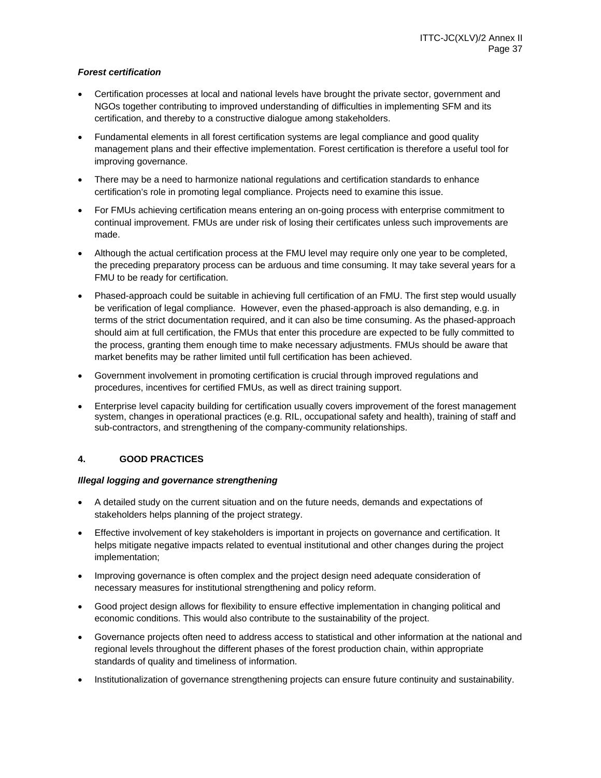### *Forest certification*

- Certification processes at local and national levels have brought the private sector, government and NGOs together contributing to improved understanding of difficulties in implementing SFM and its certification, and thereby to a constructive dialogue among stakeholders.
- Fundamental elements in all forest certification systems are legal compliance and good quality management plans and their effective implementation. Forest certification is therefore a useful tool for improving governance.
- There may be a need to harmonize national regulations and certification standards to enhance certification's role in promoting legal compliance. Projects need to examine this issue.
- For FMUs achieving certification means entering an on-going process with enterprise commitment to continual improvement. FMUs are under risk of losing their certificates unless such improvements are made.
- Although the actual certification process at the FMU level may require only one year to be completed, the preceding preparatory process can be arduous and time consuming. It may take several years for a FMU to be ready for certification.
- Phased-approach could be suitable in achieving full certification of an FMU. The first step would usually be verification of legal compliance. However, even the phased-approach is also demanding, e.g. in terms of the strict documentation required, and it can also be time consuming. As the phased-approach should aim at full certification, the FMUs that enter this procedure are expected to be fully committed to the process, granting them enough time to make necessary adjustments. FMUs should be aware that market benefits may be rather limited until full certification has been achieved.
- Government involvement in promoting certification is crucial through improved regulations and procedures, incentives for certified FMUs, as well as direct training support.
- Enterprise level capacity building for certification usually covers improvement of the forest management system, changes in operational practices (e.g. RIL, occupational safety and health), training of staff and sub-contractors, and strengthening of the company-community relationships.

# **4. GOOD PRACTICES**

### *Illegal logging and governance strengthening*

- A detailed study on the current situation and on the future needs, demands and expectations of stakeholders helps planning of the project strategy.
- Effective involvement of key stakeholders is important in projects on governance and certification. It helps mitigate negative impacts related to eventual institutional and other changes during the project implementation;
- Improving governance is often complex and the project design need adequate consideration of necessary measures for institutional strengthening and policy reform.
- Good project design allows for flexibility to ensure effective implementation in changing political and economic conditions. This would also contribute to the sustainability of the project.
- Governance projects often need to address access to statistical and other information at the national and regional levels throughout the different phases of the forest production chain, within appropriate standards of quality and timeliness of information.
- Institutionalization of governance strengthening projects can ensure future continuity and sustainability.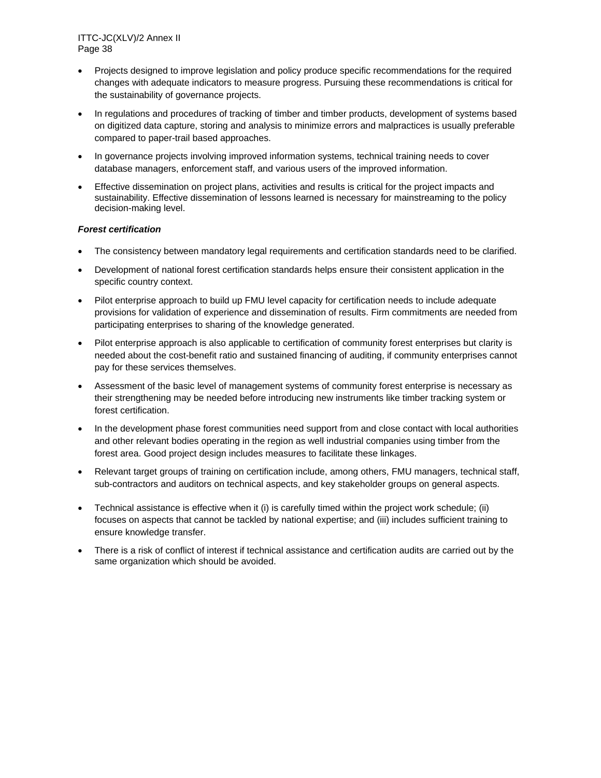- Projects designed to improve legislation and policy produce specific recommendations for the required changes with adequate indicators to measure progress. Pursuing these recommendations is critical for the sustainability of governance projects.
- In regulations and procedures of tracking of timber and timber products, development of systems based on digitized data capture, storing and analysis to minimize errors and malpractices is usually preferable compared to paper-trail based approaches.
- In governance projects involving improved information systems, technical training needs to cover database managers, enforcement staff, and various users of the improved information.
- Effective dissemination on project plans, activities and results is critical for the project impacts and sustainability. Effective dissemination of lessons learned is necessary for mainstreaming to the policy decision-making level.

### *Forest certification*

- The consistency between mandatory legal requirements and certification standards need to be clarified.
- Development of national forest certification standards helps ensure their consistent application in the specific country context.
- Pilot enterprise approach to build up FMU level capacity for certification needs to include adequate provisions for validation of experience and dissemination of results. Firm commitments are needed from participating enterprises to sharing of the knowledge generated.
- Pilot enterprise approach is also applicable to certification of community forest enterprises but clarity is needed about the cost-benefit ratio and sustained financing of auditing, if community enterprises cannot pay for these services themselves.
- Assessment of the basic level of management systems of community forest enterprise is necessary as their strengthening may be needed before introducing new instruments like timber tracking system or forest certification.
- In the development phase forest communities need support from and close contact with local authorities and other relevant bodies operating in the region as well industrial companies using timber from the forest area. Good project design includes measures to facilitate these linkages.
- Relevant target groups of training on certification include, among others, FMU managers, technical staff, sub-contractors and auditors on technical aspects, and key stakeholder groups on general aspects.
- Technical assistance is effective when it (i) is carefully timed within the project work schedule; (ii) focuses on aspects that cannot be tackled by national expertise; and (iii) includes sufficient training to ensure knowledge transfer.
- There is a risk of conflict of interest if technical assistance and certification audits are carried out by the same organization which should be avoided.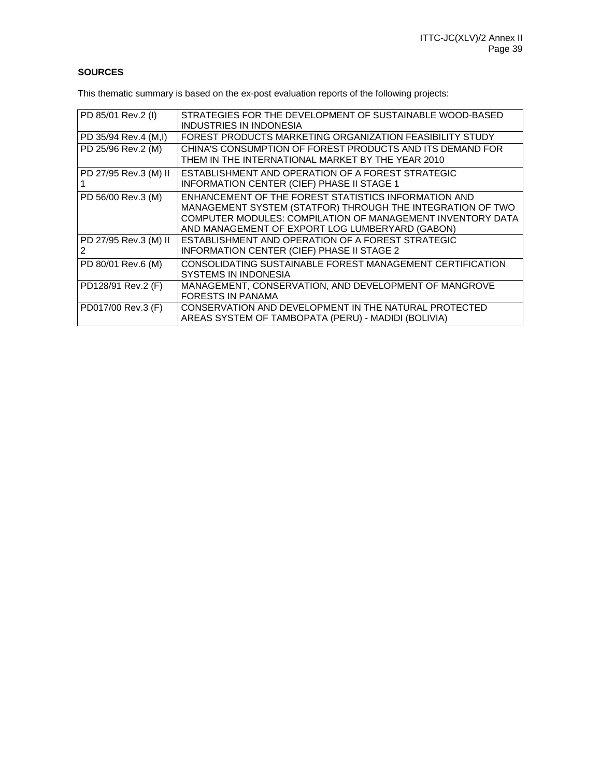# **SOURCES**

This thematic summary is based on the ex-post evaluation reports of the following projects:

| PD 85/01 Rev.2 (I)         | STRATEGIES FOR THE DEVELOPMENT OF SUSTAINABLE WOOD-BASED<br>INDUSTRIES IN INDONESIA                                                                                                                                                 |
|----------------------------|-------------------------------------------------------------------------------------------------------------------------------------------------------------------------------------------------------------------------------------|
| PD 35/94 Rev.4 (M,I)       | FOREST PRODUCTS MARKETING ORGANIZATION FEASIBILITY STUDY                                                                                                                                                                            |
| PD 25/96 Rev.2 (M)         | CHINA'S CONSUMPTION OF FOREST PRODUCTS AND ITS DEMAND FOR<br>THEM IN THE INTERNATIONAL MARKET BY THE YEAR 2010                                                                                                                      |
| PD 27/95 Rev.3 (M) II      | ESTABLISHMENT AND OPERATION OF A FOREST STRATEGIC<br><b>INFORMATION CENTER (CIEF) PHASE II STAGE 1</b>                                                                                                                              |
| PD 56/00 Rev.3 (M)         | ENHANCEMENT OF THE FOREST STATISTICS INFORMATION AND<br>MANAGEMENT SYSTEM (STATFOR) THROUGH THE INTEGRATION OF TWO<br>COMPUTER MODULES: COMPILATION OF MANAGEMENT INVENTORY DATA<br>AND MANAGEMENT OF EXPORT LOG LUMBERYARD (GABON) |
| PD 27/95 Rev.3 (M) II<br>2 | ESTABLISHMENT AND OPERATION OF A FOREST STRATEGIC<br><b>INFORMATION CENTER (CIEF) PHASE II STAGE 2</b>                                                                                                                              |
| PD 80/01 Rev.6 (M)         | CONSOLIDATING SUSTAINABLE FOREST MANAGEMENT CERTIFICATION<br>SYSTEMS IN INDONESIA                                                                                                                                                   |
| PD128/91 Rev.2 (F)         | MANAGEMENT, CONSERVATION, AND DEVELOPMENT OF MANGROVE<br><b>FORESTS IN PANAMA</b>                                                                                                                                                   |
| PD017/00 Rev.3 (F)         | CONSERVATION AND DEVELOPMENT IN THE NATURAL PROTECTED<br>AREAS SYSTEM OF TAMBOPATA (PERU) - MADIDI (BOLIVIA)                                                                                                                        |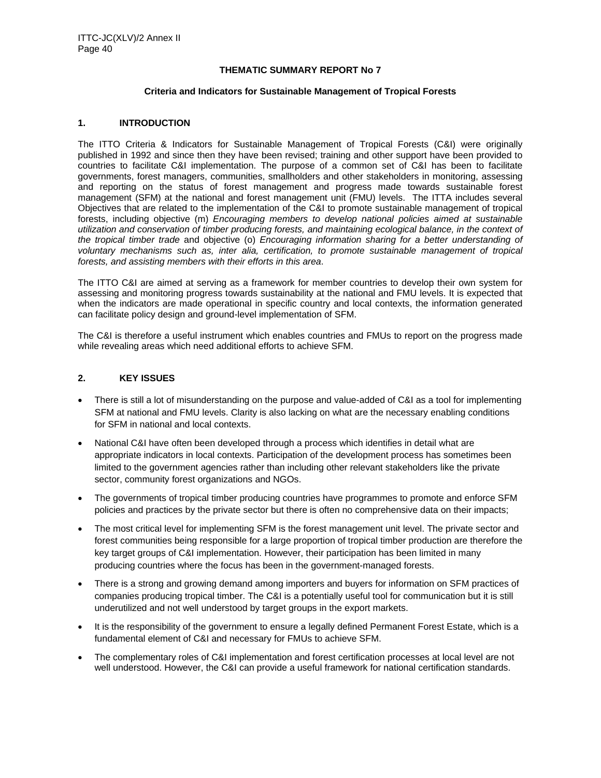### **THEMATIC SUMMARY REPORT No 7**

#### **Criteria and Indicators for Sustainable Management of Tropical Forests**

### **1. INTRODUCTION**

The ITTO Criteria & Indicators for Sustainable Management of Tropical Forests (C&I) were originally published in 1992 and since then they have been revised; training and other support have been provided to countries to facilitate C&I implementation. The purpose of a common set of C&I has been to facilitate governments, forest managers, communities, smallholders and other stakeholders in monitoring, assessing and reporting on the status of forest management and progress made towards sustainable forest management (SFM) at the national and forest management unit (FMU) levels. The ITTA includes several Objectives that are related to the implementation of the C&I to promote sustainable management of tropical forests, including objective (m) *Encouraging members to develop national policies aimed at sustainable utilization and conservation of timber producing forests, and maintaining ecological balance, in the context of the tropical timber trade* and objective (o) *Encouraging information sharing for a better understanding of voluntary mechanisms such as, inter alia, certification, to promote sustainable management of tropical forests, and assisting members with their efforts in this area*.

The ITTO C&I are aimed at serving as a framework for member countries to develop their own system for assessing and monitoring progress towards sustainability at the national and FMU levels. It is expected that when the indicators are made operational in specific country and local contexts, the information generated can facilitate policy design and ground-level implementation of SFM.

The C&I is therefore a useful instrument which enables countries and FMUs to report on the progress made while revealing areas which need additional efforts to achieve SFM.

# **2. KEY ISSUES**

- There is still a lot of misunderstanding on the purpose and value-added of C&I as a tool for implementing SFM at national and FMU levels. Clarity is also lacking on what are the necessary enabling conditions for SFM in national and local contexts.
- National C&I have often been developed through a process which identifies in detail what are appropriate indicators in local contexts. Participation of the development process has sometimes been limited to the government agencies rather than including other relevant stakeholders like the private sector, community forest organizations and NGOs.
- The governments of tropical timber producing countries have programmes to promote and enforce SFM policies and practices by the private sector but there is often no comprehensive data on their impacts;
- The most critical level for implementing SFM is the forest management unit level. The private sector and forest communities being responsible for a large proportion of tropical timber production are therefore the key target groups of C&I implementation. However, their participation has been limited in many producing countries where the focus has been in the government-managed forests.
- There is a strong and growing demand among importers and buyers for information on SFM practices of companies producing tropical timber. The C&I is a potentially useful tool for communication but it is still underutilized and not well understood by target groups in the export markets.
- It is the responsibility of the government to ensure a legally defined Permanent Forest Estate, which is a fundamental element of C&I and necessary for FMUs to achieve SFM.
- The complementary roles of C&I implementation and forest certification processes at local level are not well understood. However, the C&I can provide a useful framework for national certification standards.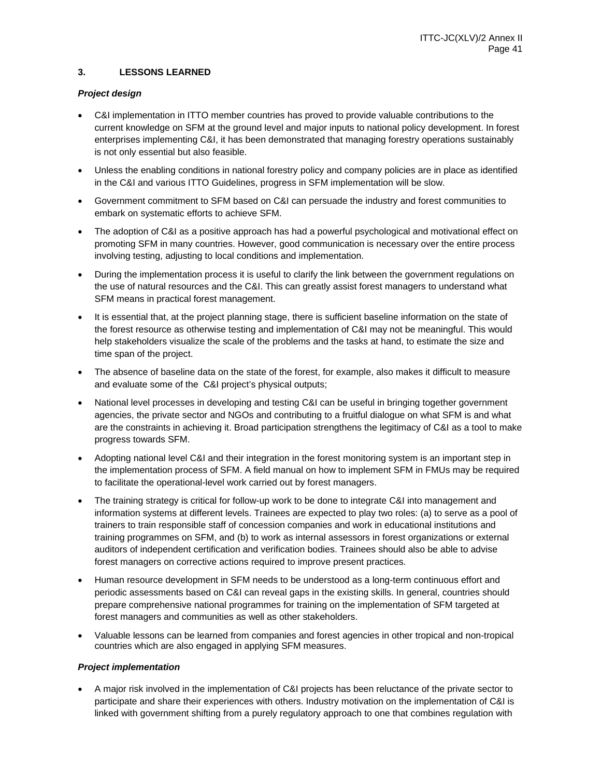### **3. LESSONS LEARNED**

### *Project design*

- C&I implementation in ITTO member countries has proved to provide valuable contributions to the current knowledge on SFM at the ground level and major inputs to national policy development. In forest enterprises implementing C&I, it has been demonstrated that managing forestry operations sustainably is not only essential but also feasible.
- Unless the enabling conditions in national forestry policy and company policies are in place as identified in the C&I and various ITTO Guidelines, progress in SFM implementation will be slow.
- Government commitment to SFM based on C&I can persuade the industry and forest communities to embark on systematic efforts to achieve SFM.
- The adoption of C&I as a positive approach has had a powerful psychological and motivational effect on promoting SFM in many countries. However, good communication is necessary over the entire process involving testing, adjusting to local conditions and implementation.
- During the implementation process it is useful to clarify the link between the government regulations on the use of natural resources and the C&I. This can greatly assist forest managers to understand what SFM means in practical forest management.
- It is essential that, at the project planning stage, there is sufficient baseline information on the state of the forest resource as otherwise testing and implementation of C&I may not be meaningful. This would help stakeholders visualize the scale of the problems and the tasks at hand, to estimate the size and time span of the project.
- The absence of baseline data on the state of the forest, for example, also makes it difficult to measure and evaluate some of the C&I project's physical outputs;
- National level processes in developing and testing C&I can be useful in bringing together government agencies, the private sector and NGOs and contributing to a fruitful dialogue on what SFM is and what are the constraints in achieving it. Broad participation strengthens the legitimacy of C&I as a tool to make progress towards SFM.
- Adopting national level C&I and their integration in the forest monitoring system is an important step in the implementation process of SFM. A field manual on how to implement SFM in FMUs may be required to facilitate the operational-level work carried out by forest managers.
- The training strategy is critical for follow-up work to be done to integrate C&I into management and information systems at different levels. Trainees are expected to play two roles: (a) to serve as a pool of trainers to train responsible staff of concession companies and work in educational institutions and training programmes on SFM, and (b) to work as internal assessors in forest organizations or external auditors of independent certification and verification bodies. Trainees should also be able to advise forest managers on corrective actions required to improve present practices.
- Human resource development in SFM needs to be understood as a long-term continuous effort and periodic assessments based on C&I can reveal gaps in the existing skills. In general, countries should prepare comprehensive national programmes for training on the implementation of SFM targeted at forest managers and communities as well as other stakeholders.
- Valuable lessons can be learned from companies and forest agencies in other tropical and non-tropical countries which are also engaged in applying SFM measures.

### *Project implementation*

 A major risk involved in the implementation of C&I projects has been reluctance of the private sector to participate and share their experiences with others. Industry motivation on the implementation of C&I is linked with government shifting from a purely regulatory approach to one that combines regulation with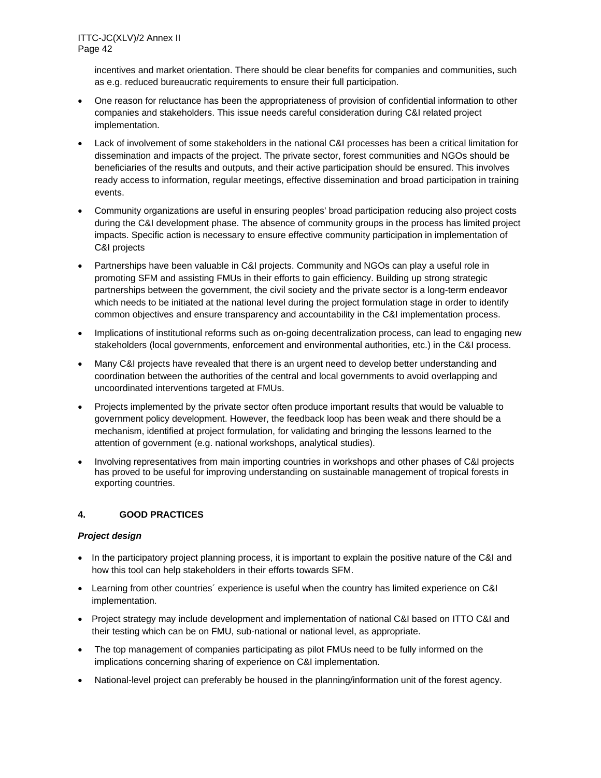incentives and market orientation. There should be clear benefits for companies and communities, such as e.g. reduced bureaucratic requirements to ensure their full participation.

- One reason for reluctance has been the appropriateness of provision of confidential information to other companies and stakeholders. This issue needs careful consideration during C&I related project implementation.
- Lack of involvement of some stakeholders in the national C&I processes has been a critical limitation for dissemination and impacts of the project. The private sector, forest communities and NGOs should be beneficiaries of the results and outputs, and their active participation should be ensured. This involves ready access to information, regular meetings, effective dissemination and broad participation in training events.
- Community organizations are useful in ensuring peoples' broad participation reducing also project costs during the C&I development phase. The absence of community groups in the process has limited project impacts. Specific action is necessary to ensure effective community participation in implementation of C&I projects
- Partnerships have been valuable in C&I projects. Community and NGOs can play a useful role in promoting SFM and assisting FMUs in their efforts to gain efficiency. Building up strong strategic partnerships between the government, the civil society and the private sector is a long-term endeavor which needs to be initiated at the national level during the project formulation stage in order to identify common objectives and ensure transparency and accountability in the C&I implementation process.
- Implications of institutional reforms such as on-going decentralization process, can lead to engaging new stakeholders (local governments, enforcement and environmental authorities, etc.) in the C&I process.
- Many C&I projects have revealed that there is an urgent need to develop better understanding and coordination between the authorities of the central and local governments to avoid overlapping and uncoordinated interventions targeted at FMUs.
- Projects implemented by the private sector often produce important results that would be valuable to government policy development. However, the feedback loop has been weak and there should be a mechanism, identified at project formulation, for validating and bringing the lessons learned to the attention of government (e.g. national workshops, analytical studies).
- Involving representatives from main importing countries in workshops and other phases of C&I projects has proved to be useful for improving understanding on sustainable management of tropical forests in exporting countries.

### **4. GOOD PRACTICES**

### *Project design*

- In the participatory project planning process, it is important to explain the positive nature of the C&I and how this tool can help stakeholders in their efforts towards SFM.
- Learning from other countries´ experience is useful when the country has limited experience on C&I implementation.
- Project strategy may include development and implementation of national C&I based on ITTO C&I and their testing which can be on FMU, sub-national or national level, as appropriate.
- The top management of companies participating as pilot FMUs need to be fully informed on the implications concerning sharing of experience on C&I implementation.
- National-level project can preferably be housed in the planning/information unit of the forest agency.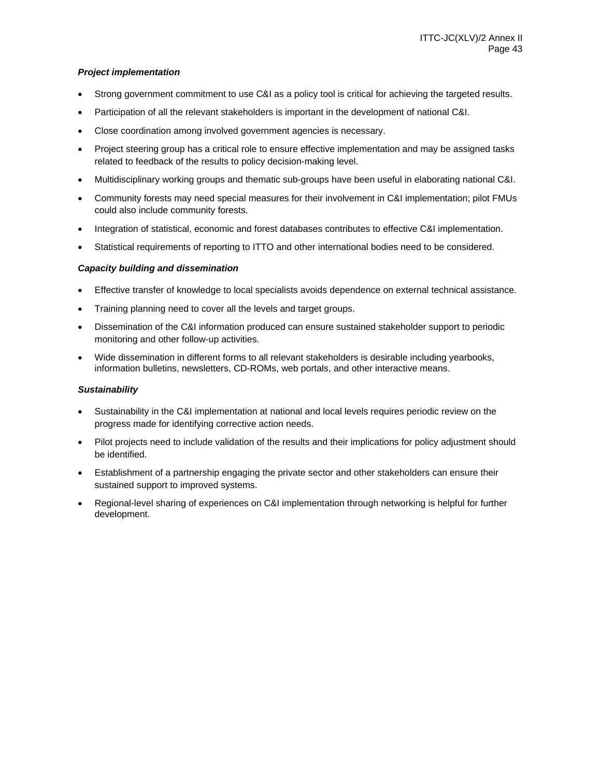### *Project implementation*

- Strong government commitment to use C&I as a policy tool is critical for achieving the targeted results.
- Participation of all the relevant stakeholders is important in the development of national C&I.
- Close coordination among involved government agencies is necessary.
- Project steering group has a critical role to ensure effective implementation and may be assigned tasks related to feedback of the results to policy decision-making level.
- Multidisciplinary working groups and thematic sub-groups have been useful in elaborating national C&I.
- Community forests may need special measures for their involvement in C&I implementation; pilot FMUs could also include community forests.
- Integration of statistical, economic and forest databases contributes to effective C&I implementation.
- Statistical requirements of reporting to ITTO and other international bodies need to be considered.

### *Capacity building and dissemination*

- Effective transfer of knowledge to local specialists avoids dependence on external technical assistance.
- Training planning need to cover all the levels and target groups.
- Dissemination of the C&I information produced can ensure sustained stakeholder support to periodic monitoring and other follow-up activities.
- Wide dissemination in different forms to all relevant stakeholders is desirable including yearbooks, information bulletins, newsletters, CD-ROMs, web portals, and other interactive means.

#### *Sustainability*

- Sustainability in the C&I implementation at national and local levels requires periodic review on the progress made for identifying corrective action needs.
- Pilot projects need to include validation of the results and their implications for policy adjustment should be identified.
- Establishment of a partnership engaging the private sector and other stakeholders can ensure their sustained support to improved systems.
- Regional-level sharing of experiences on C&I implementation through networking is helpful for further development.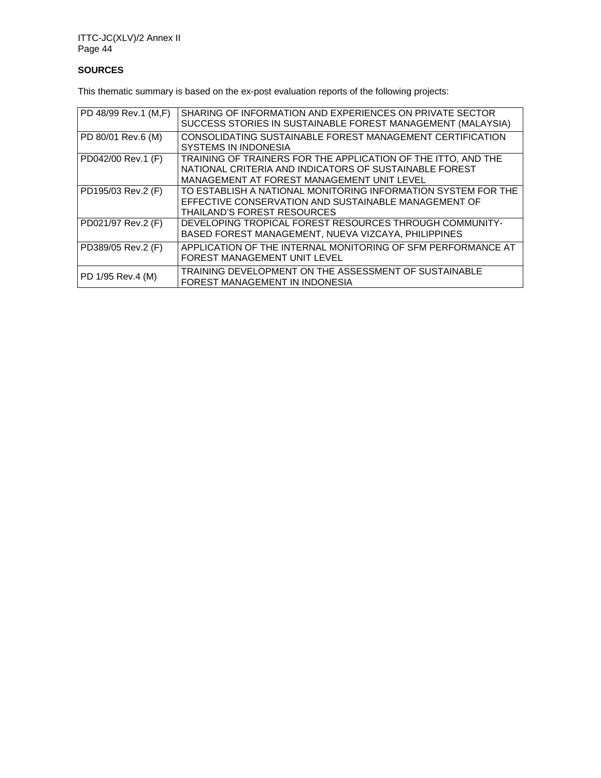# **SOURCES**

This thematic summary is based on the ex-post evaluation reports of the following projects:

| PD 48/99 Rev.1 (M,F) | SHARING OF INFORMATION AND EXPERIENCES ON PRIVATE SECTOR<br>SUCCESS STORIES IN SUSTAINABLE FOREST MANAGEMENT (MALAYSIA)                                               |
|----------------------|-----------------------------------------------------------------------------------------------------------------------------------------------------------------------|
| PD 80/01 Rev.6 (M)   | CONSOLIDATING SUSTAINABLE FOREST MANAGEMENT CERTIFICATION<br><b>SYSTEMS IN INDONESIA</b>                                                                              |
| PD042/00 Rev.1 (F)   | TRAINING OF TRAINERS FOR THE APPLICATION OF THE ITTO, AND THE<br>NATIONAL CRITERIA AND INDICATORS OF SUSTAINABLE FOREST<br>MANAGEMENT AT FOREST MANAGEMENT UNIT LEVEL |
| PD195/03 Rev.2 (F)   | TO ESTABLISH A NATIONAL MONITORING INFORMATION SYSTEM FOR THE<br>EFFECTIVE CONSERVATION AND SUSTAINABLE MANAGEMENT OF<br><b>THAILAND'S FOREST RESOURCES</b>           |
| PD021/97 Rev.2 (F)   | DEVELOPING TROPICAL FOREST RESOURCES THROUGH COMMUNITY-<br>BASED FOREST MANAGEMENT, NUEVA VIZCAYA, PHILIPPINES                                                        |
| PD389/05 Rev.2 (F)   | APPLICATION OF THE INTERNAL MONITORING OF SFM PERFORMANCE AT<br>FOREST MANAGEMENT UNIT LEVEL                                                                          |
| PD 1/95 Rev.4 (M)    | TRAINING DEVELOPMENT ON THE ASSESSMENT OF SUSTAINABLE<br>FOREST MANAGEMENT IN INDONESIA                                                                               |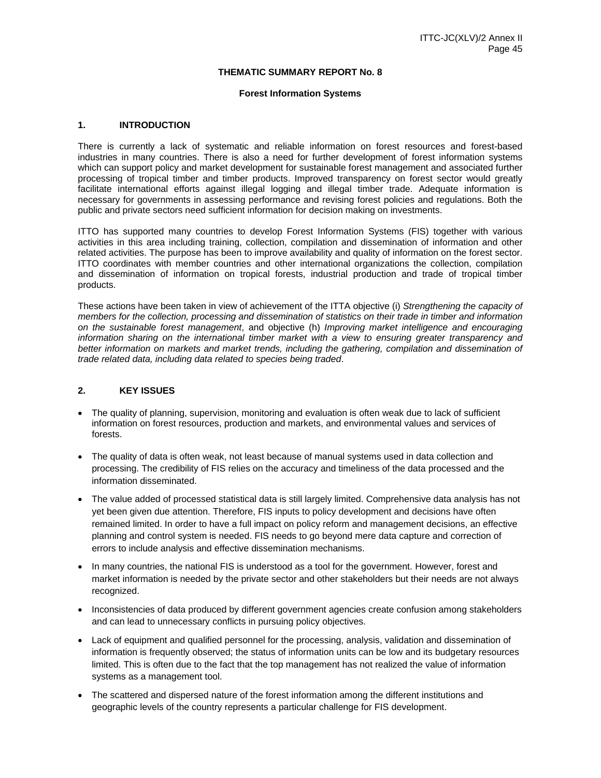#### **THEMATIC SUMMARY REPORT No. 8**

#### **Forest Information Systems**

#### **1. INTRODUCTION**

There is currently a lack of systematic and reliable information on forest resources and forest-based industries in many countries. There is also a need for further development of forest information systems which can support policy and market development for sustainable forest management and associated further processing of tropical timber and timber products. Improved transparency on forest sector would greatly facilitate international efforts against illegal logging and illegal timber trade. Adequate information is necessary for governments in assessing performance and revising forest policies and regulations. Both the public and private sectors need sufficient information for decision making on investments.

ITTO has supported many countries to develop Forest Information Systems (FIS) together with various activities in this area including training, collection, compilation and dissemination of information and other related activities. The purpose has been to improve availability and quality of information on the forest sector. ITTO coordinates with member countries and other international organizations the collection, compilation and dissemination of information on tropical forests, industrial production and trade of tropical timber products.

These actions have been taken in view of achievement of the ITTA objective (i) *Strengthening the capacity of members for the collection, processing and dissemination of statistics on their trade in timber and information on the sustainable forest management*, and objective (h) *Improving market intelligence and encouraging information sharing on the international timber market with a view to ensuring greater transparency and better information on markets and market trends, including the gathering, compilation and dissemination of trade related data, including data related to species being traded*.

### **2. KEY ISSUES**

- The quality of planning, supervision, monitoring and evaluation is often weak due to lack of sufficient information on forest resources, production and markets, and environmental values and services of forests.
- The quality of data is often weak, not least because of manual systems used in data collection and processing. The credibility of FIS relies on the accuracy and timeliness of the data processed and the information disseminated.
- The value added of processed statistical data is still largely limited. Comprehensive data analysis has not yet been given due attention. Therefore, FIS inputs to policy development and decisions have often remained limited. In order to have a full impact on policy reform and management decisions, an effective planning and control system is needed. FIS needs to go beyond mere data capture and correction of errors to include analysis and effective dissemination mechanisms.
- In many countries, the national FIS is understood as a tool for the government. However, forest and market information is needed by the private sector and other stakeholders but their needs are not always recognized.
- Inconsistencies of data produced by different government agencies create confusion among stakeholders and can lead to unnecessary conflicts in pursuing policy objectives.
- Lack of equipment and qualified personnel for the processing, analysis, validation and dissemination of information is frequently observed; the status of information units can be low and its budgetary resources limited. This is often due to the fact that the top management has not realized the value of information systems as a management tool.
- The scattered and dispersed nature of the forest information among the different institutions and geographic levels of the country represents a particular challenge for FIS development.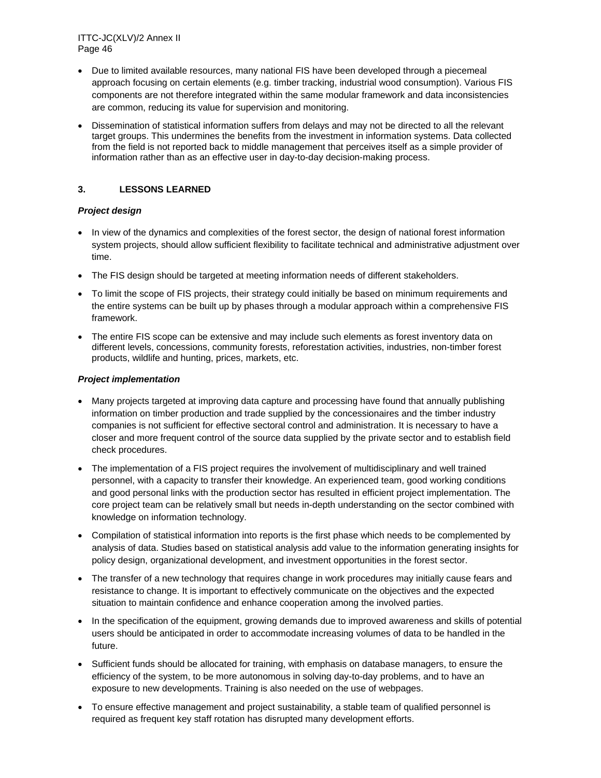- Due to limited available resources, many national FIS have been developed through a piecemeal approach focusing on certain elements (e.g. timber tracking, industrial wood consumption). Various FIS components are not therefore integrated within the same modular framework and data inconsistencies are common, reducing its value for supervision and monitoring.
- Dissemination of statistical information suffers from delays and may not be directed to all the relevant target groups. This undermines the benefits from the investment in information systems. Data collected from the field is not reported back to middle management that perceives itself as a simple provider of information rather than as an effective user in day-to-day decision-making process.

### **3. LESSONS LEARNED**

### *Project design*

- In view of the dynamics and complexities of the forest sector, the design of national forest information system projects, should allow sufficient flexibility to facilitate technical and administrative adjustment over time.
- The FIS design should be targeted at meeting information needs of different stakeholders.
- To limit the scope of FIS projects, their strategy could initially be based on minimum requirements and the entire systems can be built up by phases through a modular approach within a comprehensive FIS framework.
- The entire FIS scope can be extensive and may include such elements as forest inventory data on different levels, concessions, community forests, reforestation activities, industries, non-timber forest products, wildlife and hunting, prices, markets, etc.

### *Project implementation*

- Many projects targeted at improving data capture and processing have found that annually publishing information on timber production and trade supplied by the concessionaires and the timber industry companies is not sufficient for effective sectoral control and administration. It is necessary to have a closer and more frequent control of the source data supplied by the private sector and to establish field check procedures.
- The implementation of a FIS project requires the involvement of multidisciplinary and well trained personnel, with a capacity to transfer their knowledge. An experienced team, good working conditions and good personal links with the production sector has resulted in efficient project implementation. The core project team can be relatively small but needs in-depth understanding on the sector combined with knowledge on information technology.
- Compilation of statistical information into reports is the first phase which needs to be complemented by analysis of data. Studies based on statistical analysis add value to the information generating insights for policy design, organizational development, and investment opportunities in the forest sector.
- The transfer of a new technology that requires change in work procedures may initially cause fears and resistance to change. It is important to effectively communicate on the objectives and the expected situation to maintain confidence and enhance cooperation among the involved parties.
- In the specification of the equipment, growing demands due to improved awareness and skills of potential users should be anticipated in order to accommodate increasing volumes of data to be handled in the future.
- Sufficient funds should be allocated for training, with emphasis on database managers, to ensure the efficiency of the system, to be more autonomous in solving day-to-day problems, and to have an exposure to new developments. Training is also needed on the use of webpages.
- To ensure effective management and project sustainability, a stable team of qualified personnel is required as frequent key staff rotation has disrupted many development efforts.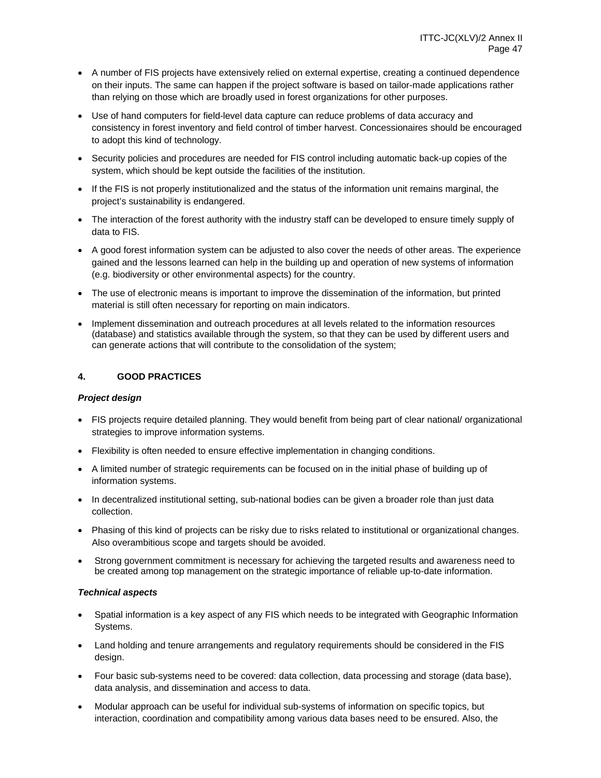- A number of FIS projects have extensively relied on external expertise, creating a continued dependence on their inputs. The same can happen if the project software is based on tailor-made applications rather than relying on those which are broadly used in forest organizations for other purposes.
- Use of hand computers for field-level data capture can reduce problems of data accuracy and consistency in forest inventory and field control of timber harvest. Concessionaires should be encouraged to adopt this kind of technology.
- Security policies and procedures are needed for FIS control including automatic back-up copies of the system, which should be kept outside the facilities of the institution.
- If the FIS is not properly institutionalized and the status of the information unit remains marginal, the project's sustainability is endangered.
- The interaction of the forest authority with the industry staff can be developed to ensure timely supply of data to FIS.
- A good forest information system can be adjusted to also cover the needs of other areas. The experience gained and the lessons learned can help in the building up and operation of new systems of information (e.g. biodiversity or other environmental aspects) for the country.
- The use of electronic means is important to improve the dissemination of the information, but printed material is still often necessary for reporting on main indicators.
- Implement dissemination and outreach procedures at all levels related to the information resources (database) and statistics available through the system, so that they can be used by different users and can generate actions that will contribute to the consolidation of the system;

### **4. GOOD PRACTICES**

### *Project design*

- FIS projects require detailed planning. They would benefit from being part of clear national/ organizational strategies to improve information systems.
- Flexibility is often needed to ensure effective implementation in changing conditions.
- A limited number of strategic requirements can be focused on in the initial phase of building up of information systems.
- In decentralized institutional setting, sub-national bodies can be given a broader role than just data collection.
- Phasing of this kind of projects can be risky due to risks related to institutional or organizational changes. Also overambitious scope and targets should be avoided.
- Strong government commitment is necessary for achieving the targeted results and awareness need to be created among top management on the strategic importance of reliable up-to-date information.

### *Technical aspects*

- Spatial information is a key aspect of any FIS which needs to be integrated with Geographic Information Systems.
- Land holding and tenure arrangements and regulatory requirements should be considered in the FIS design.
- Four basic sub-systems need to be covered: data collection, data processing and storage (data base), data analysis, and dissemination and access to data.
- Modular approach can be useful for individual sub-systems of information on specific topics, but interaction, coordination and compatibility among various data bases need to be ensured. Also, the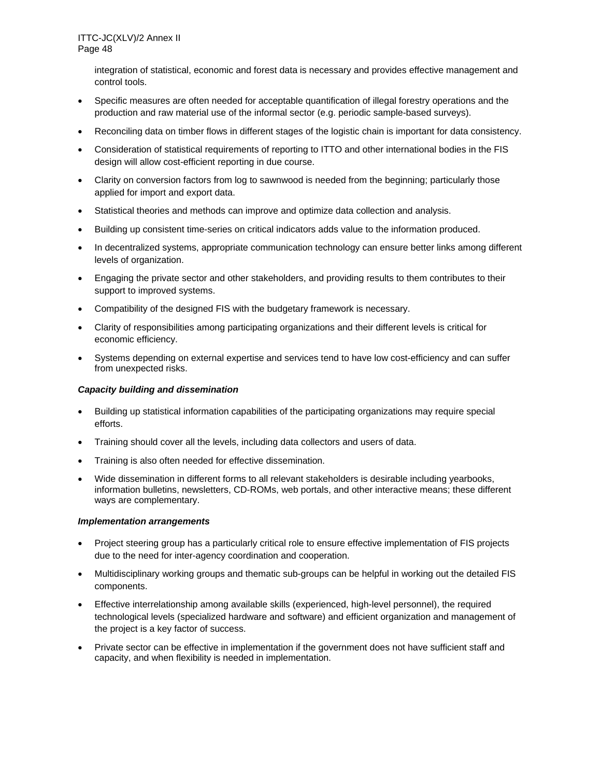integration of statistical, economic and forest data is necessary and provides effective management and control tools.

- Specific measures are often needed for acceptable quantification of illegal forestry operations and the production and raw material use of the informal sector (e.g. periodic sample-based surveys).
- Reconciling data on timber flows in different stages of the logistic chain is important for data consistency.
- Consideration of statistical requirements of reporting to ITTO and other international bodies in the FIS design will allow cost-efficient reporting in due course.
- Clarity on conversion factors from log to sawnwood is needed from the beginning; particularly those applied for import and export data.
- Statistical theories and methods can improve and optimize data collection and analysis.
- Building up consistent time-series on critical indicators adds value to the information produced.
- In decentralized systems, appropriate communication technology can ensure better links among different levels of organization.
- Engaging the private sector and other stakeholders, and providing results to them contributes to their support to improved systems.
- Compatibility of the designed FIS with the budgetary framework is necessary.
- Clarity of responsibilities among participating organizations and their different levels is critical for economic efficiency.
- Systems depending on external expertise and services tend to have low cost-efficiency and can suffer from unexpected risks.

#### *Capacity building and dissemination*

- Building up statistical information capabilities of the participating organizations may require special efforts.
- Training should cover all the levels, including data collectors and users of data.
- Training is also often needed for effective dissemination.
- Wide dissemination in different forms to all relevant stakeholders is desirable including yearbooks, information bulletins, newsletters, CD-ROMs, web portals, and other interactive means; these different ways are complementary.

#### *Implementation arrangements*

- Project steering group has a particularly critical role to ensure effective implementation of FIS projects due to the need for inter-agency coordination and cooperation.
- Multidisciplinary working groups and thematic sub-groups can be helpful in working out the detailed FIS components.
- Effective interrelationship among available skills (experienced, high-level personnel), the required technological levels (specialized hardware and software) and efficient organization and management of the project is a key factor of success.
- Private sector can be effective in implementation if the government does not have sufficient staff and capacity, and when flexibility is needed in implementation.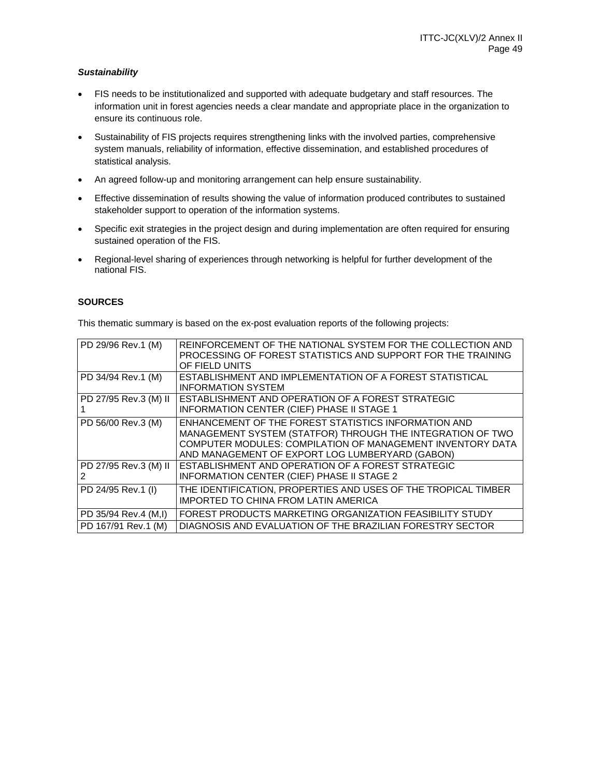### *Sustainability*

- FIS needs to be institutionalized and supported with adequate budgetary and staff resources. The information unit in forest agencies needs a clear mandate and appropriate place in the organization to ensure its continuous role.
- Sustainability of FIS projects requires strengthening links with the involved parties, comprehensive system manuals, reliability of information, effective dissemination, and established procedures of statistical analysis.
- An agreed follow-up and monitoring arrangement can help ensure sustainability.
- Effective dissemination of results showing the value of information produced contributes to sustained stakeholder support to operation of the information systems.
- Specific exit strategies in the project design and during implementation are often required for ensuring sustained operation of the FIS.
- Regional-level sharing of experiences through networking is helpful for further development of the national FIS.

### **SOURCES**

This thematic summary is based on the ex-post evaluation reports of the following projects:

| PD 29/96 Rev.1 (M)    | REINFORCEMENT OF THE NATIONAL SYSTEM FOR THE COLLECTION AND<br>PROCESSING OF FOREST STATISTICS AND SUPPORT FOR THE TRAINING<br>OF FIELD UNITS                                                                                       |
|-----------------------|-------------------------------------------------------------------------------------------------------------------------------------------------------------------------------------------------------------------------------------|
| PD 34/94 Rev.1 (M)    | ESTABLISHMENT AND IMPLEMENTATION OF A FOREST STATISTICAL<br><b>INFORMATION SYSTEM</b>                                                                                                                                               |
| PD 27/95 Rev.3 (M) II | ESTABLISHMENT AND OPERATION OF A FOREST STRATEGIC<br><b>INFORMATION CENTER (CIEF) PHASE II STAGE 1</b>                                                                                                                              |
| PD 56/00 Rev.3 (M)    | ENHANCEMENT OF THE FOREST STATISTICS INFORMATION AND<br>MANAGEMENT SYSTEM (STATFOR) THROUGH THE INTEGRATION OF TWO<br>COMPUTER MODULES: COMPILATION OF MANAGEMENT INVENTORY DATA<br>AND MANAGEMENT OF EXPORT LOG LUMBERYARD (GABON) |
| PD 27/95 Rev.3 (M) II | ESTABLISHMENT AND OPERATION OF A FOREST STRATEGIC<br><b>INFORMATION CENTER (CIEF) PHASE II STAGE 2</b>                                                                                                                              |
| PD 24/95 Rev.1 (I)    | THE IDENTIFICATION, PROPERTIES AND USES OF THE TROPICAL TIMBER<br>IMPORTED TO CHINA FROM LATIN AMERICA                                                                                                                              |
| PD 35/94 Rev.4 (M,I)  | FOREST PRODUCTS MARKETING ORGANIZATION FEASIBILITY STUDY                                                                                                                                                                            |
| PD 167/91 Rev.1 (M)   | DIAGNOSIS AND EVALUATION OF THE BRAZILIAN FORESTRY SECTOR                                                                                                                                                                           |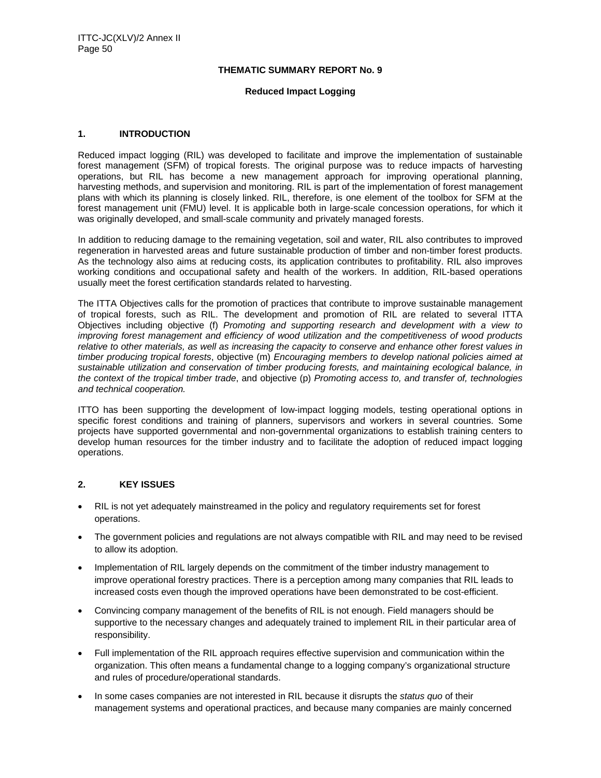#### **THEMATIC SUMMARY REPORT No. 9**

#### **Reduced Impact Logging**

#### **1. INTRODUCTION**

Reduced impact logging (RIL) was developed to facilitate and improve the implementation of sustainable forest management (SFM) of tropical forests. The original purpose was to reduce impacts of harvesting operations, but RIL has become a new management approach for improving operational planning, harvesting methods, and supervision and monitoring. RIL is part of the implementation of forest management plans with which its planning is closely linked. RIL, therefore, is one element of the toolbox for SFM at the forest management unit (FMU) level. It is applicable both in large-scale concession operations, for which it was originally developed, and small-scale community and privately managed forests.

In addition to reducing damage to the remaining vegetation, soil and water, RIL also contributes to improved regeneration in harvested areas and future sustainable production of timber and non-timber forest products. As the technology also aims at reducing costs, its application contributes to profitability. RIL also improves working conditions and occupational safety and health of the workers. In addition, RIL-based operations usually meet the forest certification standards related to harvesting.

The ITTA Objectives calls for the promotion of practices that contribute to improve sustainable management of tropical forests, such as RIL. The development and promotion of RIL are related to several ITTA Objectives including objective (f) *Promoting and supporting research and development with a view to improving forest management and efficiency of wood utilization and the competitiveness of wood products relative to other materials, as well as increasing the capacity to conserve and enhance other forest values in timber producing tropical forests*, objective (m) *Encouraging members to develop national policies aimed at sustainable utilization and conservation of timber producing forests, and maintaining ecological balance, in the context of the tropical timber trade*, and objective (p) *Promoting access to, and transfer of, technologies and technical cooperation.* 

ITTO has been supporting the development of low-impact logging models, testing operational options in specific forest conditions and training of planners, supervisors and workers in several countries. Some projects have supported governmental and non-governmental organizations to establish training centers to develop human resources for the timber industry and to facilitate the adoption of reduced impact logging operations.

### **2. KEY ISSUES**

- RIL is not yet adequately mainstreamed in the policy and regulatory requirements set for forest operations.
- The government policies and regulations are not always compatible with RIL and may need to be revised to allow its adoption.
- Implementation of RIL largely depends on the commitment of the timber industry management to improve operational forestry practices. There is a perception among many companies that RIL leads to increased costs even though the improved operations have been demonstrated to be cost-efficient.
- Convincing company management of the benefits of RIL is not enough. Field managers should be supportive to the necessary changes and adequately trained to implement RIL in their particular area of responsibility.
- Full implementation of the RIL approach requires effective supervision and communication within the organization. This often means a fundamental change to a logging company's organizational structure and rules of procedure/operational standards.
- In some cases companies are not interested in RIL because it disrupts the *status quo* of their management systems and operational practices, and because many companies are mainly concerned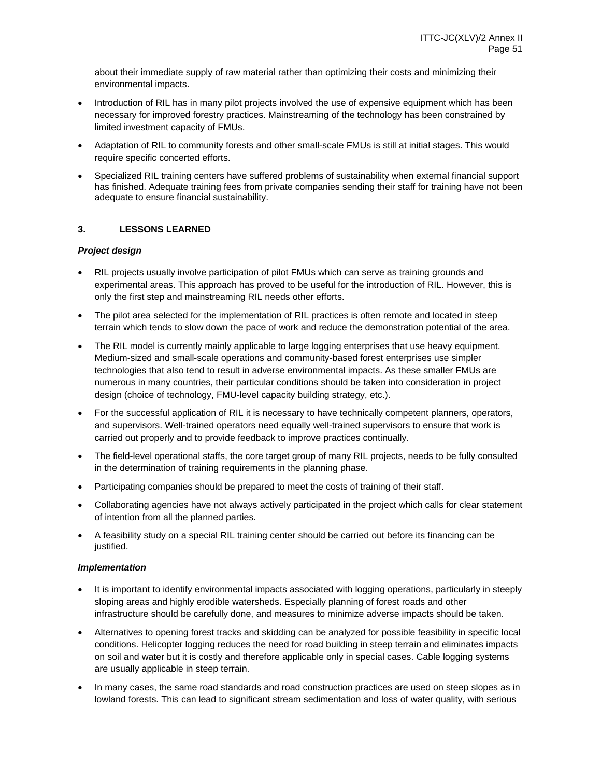about their immediate supply of raw material rather than optimizing their costs and minimizing their environmental impacts.

- Introduction of RIL has in many pilot projects involved the use of expensive equipment which has been necessary for improved forestry practices. Mainstreaming of the technology has been constrained by limited investment capacity of FMUs.
- Adaptation of RIL to community forests and other small-scale FMUs is still at initial stages. This would require specific concerted efforts.
- Specialized RIL training centers have suffered problems of sustainability when external financial support has finished. Adequate training fees from private companies sending their staff for training have not been adequate to ensure financial sustainability.

### **3. LESSONS LEARNED**

### *Project design*

- RIL projects usually involve participation of pilot FMUs which can serve as training grounds and experimental areas. This approach has proved to be useful for the introduction of RIL. However, this is only the first step and mainstreaming RIL needs other efforts.
- The pilot area selected for the implementation of RIL practices is often remote and located in steep terrain which tends to slow down the pace of work and reduce the demonstration potential of the area.
- The RIL model is currently mainly applicable to large logging enterprises that use heavy equipment. Medium-sized and small-scale operations and community-based forest enterprises use simpler technologies that also tend to result in adverse environmental impacts. As these smaller FMUs are numerous in many countries, their particular conditions should be taken into consideration in project design (choice of technology, FMU-level capacity building strategy, etc.).
- For the successful application of RIL it is necessary to have technically competent planners, operators, and supervisors. Well-trained operators need equally well-trained supervisors to ensure that work is carried out properly and to provide feedback to improve practices continually.
- The field-level operational staffs, the core target group of many RIL projects, needs to be fully consulted in the determination of training requirements in the planning phase.
- Participating companies should be prepared to meet the costs of training of their staff.
- Collaborating agencies have not always actively participated in the project which calls for clear statement of intention from all the planned parties.
- A feasibility study on a special RIL training center should be carried out before its financing can be justified.

#### *Implementation*

- It is important to identify environmental impacts associated with logging operations, particularly in steeply sloping areas and highly erodible watersheds. Especially planning of forest roads and other infrastructure should be carefully done, and measures to minimize adverse impacts should be taken.
- Alternatives to opening forest tracks and skidding can be analyzed for possible feasibility in specific local conditions. Helicopter logging reduces the need for road building in steep terrain and eliminates impacts on soil and water but it is costly and therefore applicable only in special cases. Cable logging systems are usually applicable in steep terrain.
- In many cases, the same road standards and road construction practices are used on steep slopes as in lowland forests. This can lead to significant stream sedimentation and loss of water quality, with serious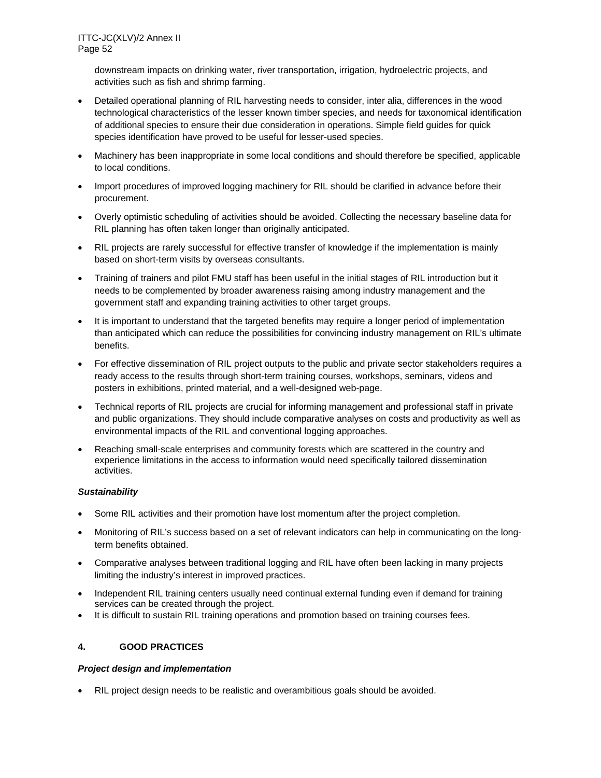downstream impacts on drinking water, river transportation, irrigation, hydroelectric projects, and activities such as fish and shrimp farming.

- Detailed operational planning of RIL harvesting needs to consider, inter alia, differences in the wood technological characteristics of the lesser known timber species, and needs for taxonomical identification of additional species to ensure their due consideration in operations. Simple field guides for quick species identification have proved to be useful for lesser-used species.
- Machinery has been inappropriate in some local conditions and should therefore be specified, applicable to local conditions.
- Import procedures of improved logging machinery for RIL should be clarified in advance before their procurement.
- Overly optimistic scheduling of activities should be avoided. Collecting the necessary baseline data for RIL planning has often taken longer than originally anticipated.
- RIL projects are rarely successful for effective transfer of knowledge if the implementation is mainly based on short-term visits by overseas consultants.
- Training of trainers and pilot FMU staff has been useful in the initial stages of RIL introduction but it needs to be complemented by broader awareness raising among industry management and the government staff and expanding training activities to other target groups.
- It is important to understand that the targeted benefits may require a longer period of implementation than anticipated which can reduce the possibilities for convincing industry management on RIL's ultimate benefits.
- For effective dissemination of RIL project outputs to the public and private sector stakeholders requires a ready access to the results through short-term training courses, workshops, seminars, videos and posters in exhibitions, printed material, and a well-designed web-page.
- Technical reports of RIL projects are crucial for informing management and professional staff in private and public organizations. They should include comparative analyses on costs and productivity as well as environmental impacts of the RIL and conventional logging approaches.
- Reaching small-scale enterprises and community forests which are scattered in the country and experience limitations in the access to information would need specifically tailored dissemination activities.

### *Sustainability*

- Some RIL activities and their promotion have lost momentum after the project completion.
- Monitoring of RIL's success based on a set of relevant indicators can help in communicating on the longterm benefits obtained.
- Comparative analyses between traditional logging and RIL have often been lacking in many projects limiting the industry's interest in improved practices.
- Independent RIL training centers usually need continual external funding even if demand for training services can be created through the project.
- It is difficult to sustain RIL training operations and promotion based on training courses fees.

# **4. GOOD PRACTICES**

### *Project design and implementation*

RIL project design needs to be realistic and overambitious goals should be avoided.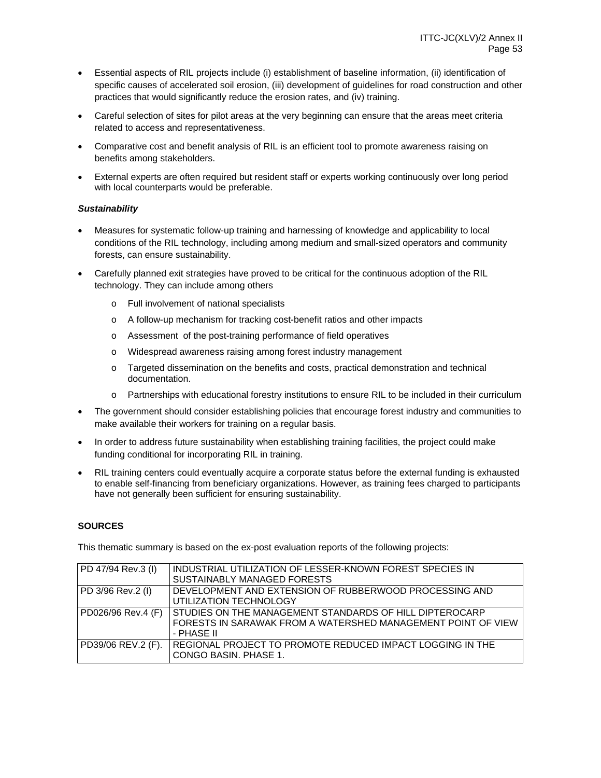- Essential aspects of RIL projects include (i) establishment of baseline information, (ii) identification of specific causes of accelerated soil erosion, (iii) development of guidelines for road construction and other practices that would significantly reduce the erosion rates, and (iv) training.
- Careful selection of sites for pilot areas at the very beginning can ensure that the areas meet criteria related to access and representativeness.
- Comparative cost and benefit analysis of RIL is an efficient tool to promote awareness raising on benefits among stakeholders.
- External experts are often required but resident staff or experts working continuously over long period with local counterparts would be preferable.

### *Sustainability*

- Measures for systematic follow-up training and harnessing of knowledge and applicability to local conditions of the RIL technology, including among medium and small-sized operators and community forests, can ensure sustainability.
- Carefully planned exit strategies have proved to be critical for the continuous adoption of the RIL technology. They can include among others
	- o Full involvement of national specialists
	- o A follow-up mechanism for tracking cost-benefit ratios and other impacts
	- o Assessment of the post-training performance of field operatives
	- o Widespread awareness raising among forest industry management
	- o Targeted dissemination on the benefits and costs, practical demonstration and technical documentation.
	- o Partnerships with educational forestry institutions to ensure RIL to be included in their curriculum
- The government should consider establishing policies that encourage forest industry and communities to make available their workers for training on a regular basis.
- In order to address future sustainability when establishing training facilities, the project could make funding conditional for incorporating RIL in training.
- RIL training centers could eventually acquire a corporate status before the external funding is exhausted to enable self-financing from beneficiary organizations. However, as training fees charged to participants have not generally been sufficient for ensuring sustainability.

### **SOURCES**

This thematic summary is based on the ex-post evaluation reports of the following projects:

| PD 47/94 Rev.3 (I) | INDUSTRIAL UTILIZATION OF LESSER-KNOWN FOREST SPECIES IN     |
|--------------------|--------------------------------------------------------------|
|                    | SUSTAINABLY MANAGED FORESTS                                  |
| PD 3/96 Rev.2 (I)  | DEVELOPMENT AND EXTENSION OF RUBBERWOOD PROCESSING AND       |
|                    | UTILIZATION TECHNOLOGY                                       |
| PD026/96 Rev.4 (F) | STUDIES ON THE MANAGEMENT STANDARDS OF HILL DIPTEROCARP      |
|                    | FORESTS IN SARAWAK FROM A WATERSHED MANAGEMENT POINT OF VIEW |
|                    | - PHASE II                                                   |
| PD39/06 REV.2 (F). | REGIONAL PROJECT TO PROMOTE REDUCED IMPACT LOGGING IN THE    |
|                    | CONGO BASIN. PHASE 1.                                        |
|                    |                                                              |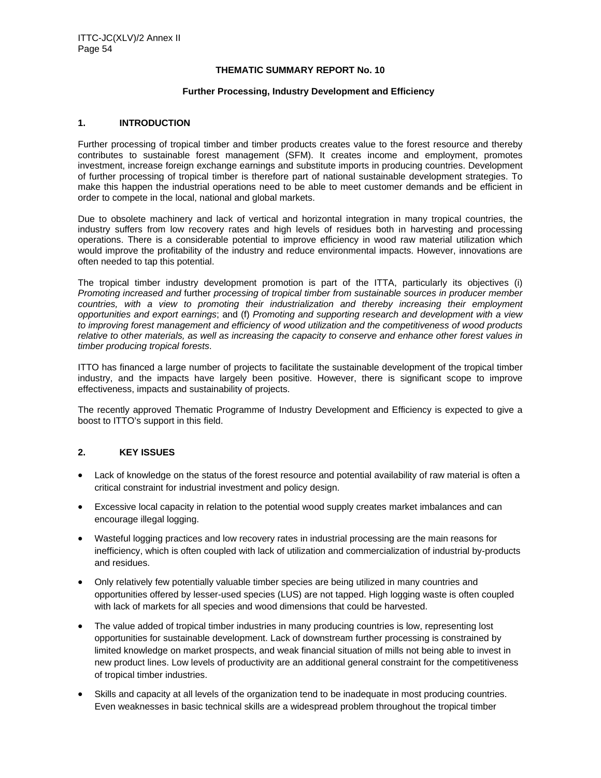#### **THEMATIC SUMMARY REPORT No. 10**

#### **Further Processing, Industry Development and Efficiency**

#### **1. INTRODUCTION**

Further processing of tropical timber and timber products creates value to the forest resource and thereby contributes to sustainable forest management (SFM). It creates income and employment, promotes investment, increase foreign exchange earnings and substitute imports in producing countries. Development of further processing of tropical timber is therefore part of national sustainable development strategies. To make this happen the industrial operations need to be able to meet customer demands and be efficient in order to compete in the local, national and global markets.

Due to obsolete machinery and lack of vertical and horizontal integration in many tropical countries, the industry suffers from low recovery rates and high levels of residues both in harvesting and processing operations. There is a considerable potential to improve efficiency in wood raw material utilization which would improve the profitability of the industry and reduce environmental impacts. However, innovations are often needed to tap this potential.

The tropical timber industry development promotion is part of the ITTA, particularly its objectives (i) *Promoting increased and* further *processing of tropical timber from sustainable sources in producer member countries, with a view to promoting their industrialization and thereby increasing their employment opportunities and export earnings*; and (f) *Promoting and supporting research and development with a view to improving forest management and efficiency of wood utilization and the competitiveness of wood products relative to other materials, as well as increasing the capacity to conserve and enhance other forest values in timber producing tropical forests*.

ITTO has financed a large number of projects to facilitate the sustainable development of the tropical timber industry, and the impacts have largely been positive. However, there is significant scope to improve effectiveness, impacts and sustainability of projects.

The recently approved Thematic Programme of Industry Development and Efficiency is expected to give a boost to ITTO's support in this field.

### **2. KEY ISSUES**

- Lack of knowledge on the status of the forest resource and potential availability of raw material is often a critical constraint for industrial investment and policy design.
- Excessive local capacity in relation to the potential wood supply creates market imbalances and can encourage illegal logging.
- Wasteful logging practices and low recovery rates in industrial processing are the main reasons for inefficiency, which is often coupled with lack of utilization and commercialization of industrial by-products and residues.
- Only relatively few potentially valuable timber species are being utilized in many countries and opportunities offered by lesser-used species (LUS) are not tapped. High logging waste is often coupled with lack of markets for all species and wood dimensions that could be harvested.
- The value added of tropical timber industries in many producing countries is low, representing lost opportunities for sustainable development. Lack of downstream further processing is constrained by limited knowledge on market prospects, and weak financial situation of mills not being able to invest in new product lines. Low levels of productivity are an additional general constraint for the competitiveness of tropical timber industries.
- Skills and capacity at all levels of the organization tend to be inadequate in most producing countries. Even weaknesses in basic technical skills are a widespread problem throughout the tropical timber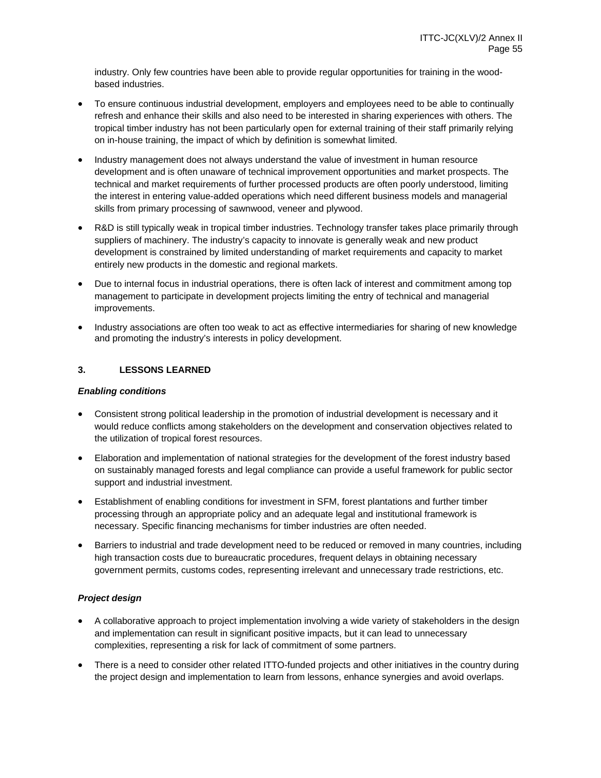industry. Only few countries have been able to provide regular opportunities for training in the woodbased industries.

- To ensure continuous industrial development, employers and employees need to be able to continually refresh and enhance their skills and also need to be interested in sharing experiences with others. The tropical timber industry has not been particularly open for external training of their staff primarily relying on in-house training, the impact of which by definition is somewhat limited.
- Industry management does not always understand the value of investment in human resource development and is often unaware of technical improvement opportunities and market prospects. The technical and market requirements of further processed products are often poorly understood, limiting the interest in entering value-added operations which need different business models and managerial skills from primary processing of sawnwood, veneer and plywood.
- R&D is still typically weak in tropical timber industries. Technology transfer takes place primarily through suppliers of machinery. The industry's capacity to innovate is generally weak and new product development is constrained by limited understanding of market requirements and capacity to market entirely new products in the domestic and regional markets.
- Due to internal focus in industrial operations, there is often lack of interest and commitment among top management to participate in development projects limiting the entry of technical and managerial improvements.
- Industry associations are often too weak to act as effective intermediaries for sharing of new knowledge and promoting the industry's interests in policy development.

### **3. LESSONS LEARNED**

### *Enabling conditions*

- Consistent strong political leadership in the promotion of industrial development is necessary and it would reduce conflicts among stakeholders on the development and conservation objectives related to the utilization of tropical forest resources.
- Elaboration and implementation of national strategies for the development of the forest industry based on sustainably managed forests and legal compliance can provide a useful framework for public sector support and industrial investment.
- Establishment of enabling conditions for investment in SFM, forest plantations and further timber processing through an appropriate policy and an adequate legal and institutional framework is necessary. Specific financing mechanisms for timber industries are often needed.
- Barriers to industrial and trade development need to be reduced or removed in many countries, including high transaction costs due to bureaucratic procedures, frequent delays in obtaining necessary government permits, customs codes, representing irrelevant and unnecessary trade restrictions, etc.

### *Project design*

- A collaborative approach to project implementation involving a wide variety of stakeholders in the design and implementation can result in significant positive impacts, but it can lead to unnecessary complexities, representing a risk for lack of commitment of some partners.
- There is a need to consider other related ITTO-funded projects and other initiatives in the country during the project design and implementation to learn from lessons, enhance synergies and avoid overlaps.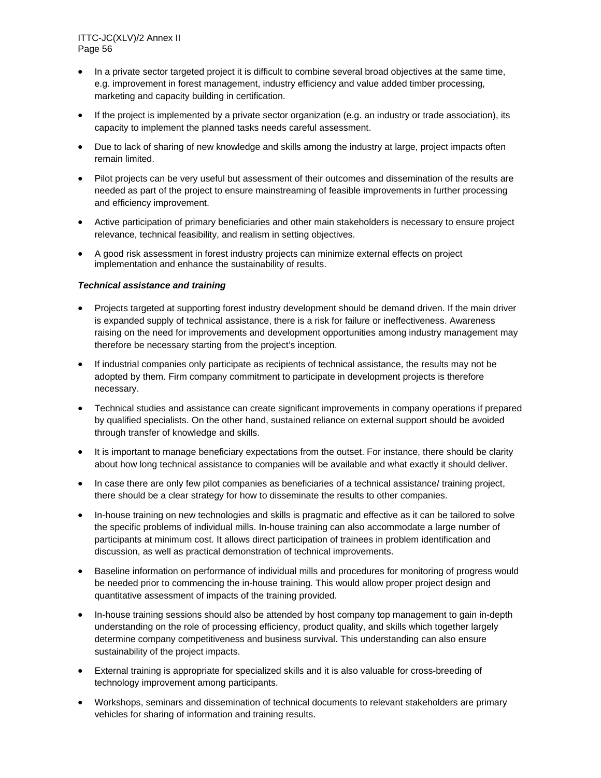- In a private sector targeted project it is difficult to combine several broad objectives at the same time, e.g. improvement in forest management, industry efficiency and value added timber processing, marketing and capacity building in certification.
- If the project is implemented by a private sector organization (e.g. an industry or trade association), its capacity to implement the planned tasks needs careful assessment.
- Due to lack of sharing of new knowledge and skills among the industry at large, project impacts often remain limited.
- Pilot projects can be very useful but assessment of their outcomes and dissemination of the results are needed as part of the project to ensure mainstreaming of feasible improvements in further processing and efficiency improvement.
- Active participation of primary beneficiaries and other main stakeholders is necessary to ensure project relevance, technical feasibility, and realism in setting objectives.
- A good risk assessment in forest industry projects can minimize external effects on project implementation and enhance the sustainability of results.

### *Technical assistance and training*

- Projects targeted at supporting forest industry development should be demand driven. If the main driver is expanded supply of technical assistance, there is a risk for failure or ineffectiveness. Awareness raising on the need for improvements and development opportunities among industry management may therefore be necessary starting from the project's inception.
- If industrial companies only participate as recipients of technical assistance, the results may not be adopted by them. Firm company commitment to participate in development projects is therefore necessary.
- Technical studies and assistance can create significant improvements in company operations if prepared by qualified specialists. On the other hand, sustained reliance on external support should be avoided through transfer of knowledge and skills.
- It is important to manage beneficiary expectations from the outset. For instance, there should be clarity about how long technical assistance to companies will be available and what exactly it should deliver.
- In case there are only few pilot companies as beneficiaries of a technical assistance/ training project, there should be a clear strategy for how to disseminate the results to other companies.
- In-house training on new technologies and skills is pragmatic and effective as it can be tailored to solve the specific problems of individual mills. In-house training can also accommodate a large number of participants at minimum cost. It allows direct participation of trainees in problem identification and discussion, as well as practical demonstration of technical improvements.
- Baseline information on performance of individual mills and procedures for monitoring of progress would be needed prior to commencing the in-house training. This would allow proper project design and quantitative assessment of impacts of the training provided.
- In-house training sessions should also be attended by host company top management to gain in-depth understanding on the role of processing efficiency, product quality, and skills which together largely determine company competitiveness and business survival. This understanding can also ensure sustainability of the project impacts.
- External training is appropriate for specialized skills and it is also valuable for cross-breeding of technology improvement among participants.
- Workshops, seminars and dissemination of technical documents to relevant stakeholders are primary vehicles for sharing of information and training results.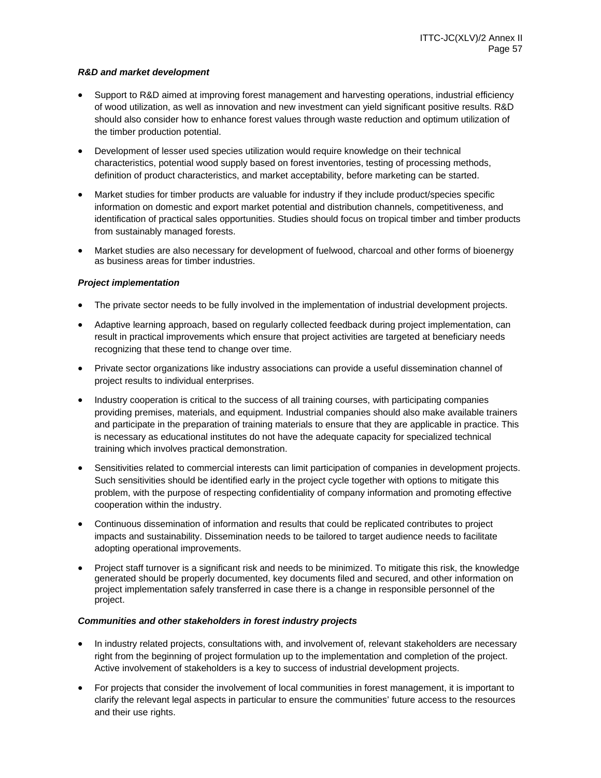### *R&D and market development*

- Support to R&D aimed at improving forest management and harvesting operations, industrial efficiency of wood utilization, as well as innovation and new investment can yield significant positive results. R&D should also consider how to enhance forest values through waste reduction and optimum utilization of the timber production potential.
- Development of lesser used species utilization would require knowledge on their technical characteristics, potential wood supply based on forest inventories, testing of processing methods, definition of product characteristics, and market acceptability, before marketing can be started.
- Market studies for timber products are valuable for industry if they include product/species specific information on domestic and export market potential and distribution channels, competitiveness, and identification of practical sales opportunities. Studies should focus on tropical timber and timber products from sustainably managed forests.
- Market studies are also necessary for development of fuelwood, charcoal and other forms of bioenergy as business areas for timber industries.

### *Project imp*l*ementation*

- The private sector needs to be fully involved in the implementation of industrial development projects.
- Adaptive learning approach, based on regularly collected feedback during project implementation, can result in practical improvements which ensure that project activities are targeted at beneficiary needs recognizing that these tend to change over time.
- Private sector organizations like industry associations can provide a useful dissemination channel of project results to individual enterprises.
- Industry cooperation is critical to the success of all training courses, with participating companies providing premises, materials, and equipment. Industrial companies should also make available trainers and participate in the preparation of training materials to ensure that they are applicable in practice. This is necessary as educational institutes do not have the adequate capacity for specialized technical training which involves practical demonstration.
- Sensitivities related to commercial interests can limit participation of companies in development projects. Such sensitivities should be identified early in the project cycle together with options to mitigate this problem, with the purpose of respecting confidentiality of company information and promoting effective cooperation within the industry.
- Continuous dissemination of information and results that could be replicated contributes to project impacts and sustainability. Dissemination needs to be tailored to target audience needs to facilitate adopting operational improvements.
- Project staff turnover is a significant risk and needs to be minimized. To mitigate this risk, the knowledge generated should be properly documented, key documents filed and secured, and other information on project implementation safely transferred in case there is a change in responsible personnel of the project.

#### *Communities and other stakeholders in forest industry projects*

- In industry related projects, consultations with, and involvement of, relevant stakeholders are necessary right from the beginning of project formulation up to the implementation and completion of the project. Active involvement of stakeholders is a key to success of industrial development projects.
- For projects that consider the involvement of local communities in forest management, it is important to clarify the relevant legal aspects in particular to ensure the communities' future access to the resources and their use rights.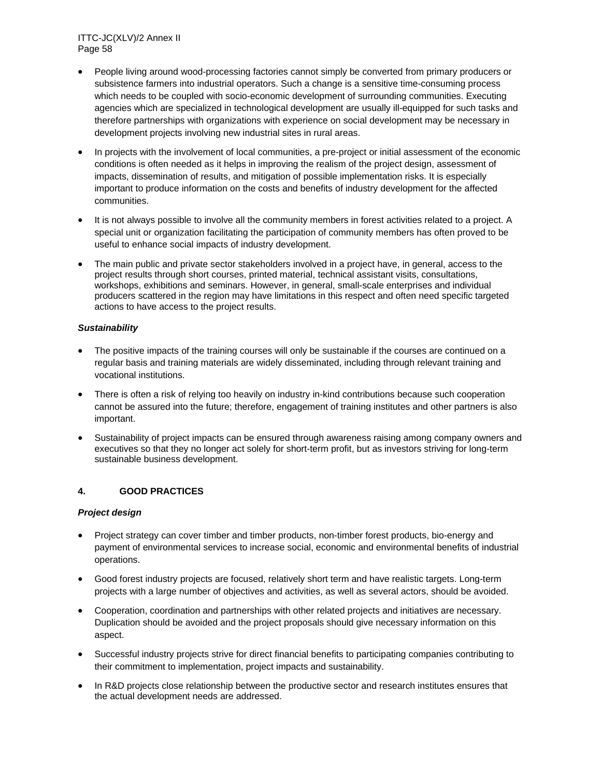- People living around wood-processing factories cannot simply be converted from primary producers or subsistence farmers into industrial operators. Such a change is a sensitive time-consuming process which needs to be coupled with socio-economic development of surrounding communities. Executing agencies which are specialized in technological development are usually ill-equipped for such tasks and therefore partnerships with organizations with experience on social development may be necessary in development projects involving new industrial sites in rural areas.
- In projects with the involvement of local communities, a pre-project or initial assessment of the economic conditions is often needed as it helps in improving the realism of the project design, assessment of impacts, dissemination of results, and mitigation of possible implementation risks. It is especially important to produce information on the costs and benefits of industry development for the affected communities.
- It is not always possible to involve all the community members in forest activities related to a project. A special unit or organization facilitating the participation of community members has often proved to be useful to enhance social impacts of industry development.
- The main public and private sector stakeholders involved in a project have, in general, access to the project results through short courses, printed material, technical assistant visits, consultations, workshops, exhibitions and seminars. However, in general, small-scale enterprises and individual producers scattered in the region may have limitations in this respect and often need specific targeted actions to have access to the project results.

### *Sustainability*

- The positive impacts of the training courses will only be sustainable if the courses are continued on a regular basis and training materials are widely disseminated, including through relevant training and vocational institutions.
- There is often a risk of relying too heavily on industry in-kind contributions because such cooperation cannot be assured into the future; therefore, engagement of training institutes and other partners is also important.
- Sustainability of project impacts can be ensured through awareness raising among company owners and executives so that they no longer act solely for short-term profit, but as investors striving for long-term sustainable business development.

### **4. GOOD PRACTICES**

### *Project design*

- Project strategy can cover timber and timber products, non-timber forest products, bio-energy and payment of environmental services to increase social, economic and environmental benefits of industrial operations.
- Good forest industry projects are focused, relatively short term and have realistic targets. Long-term projects with a large number of objectives and activities, as well as several actors, should be avoided.
- Cooperation, coordination and partnerships with other related projects and initiatives are necessary. Duplication should be avoided and the project proposals should give necessary information on this aspect.
- Successful industry projects strive for direct financial benefits to participating companies contributing to their commitment to implementation, project impacts and sustainability.
- In R&D projects close relationship between the productive sector and research institutes ensures that the actual development needs are addressed.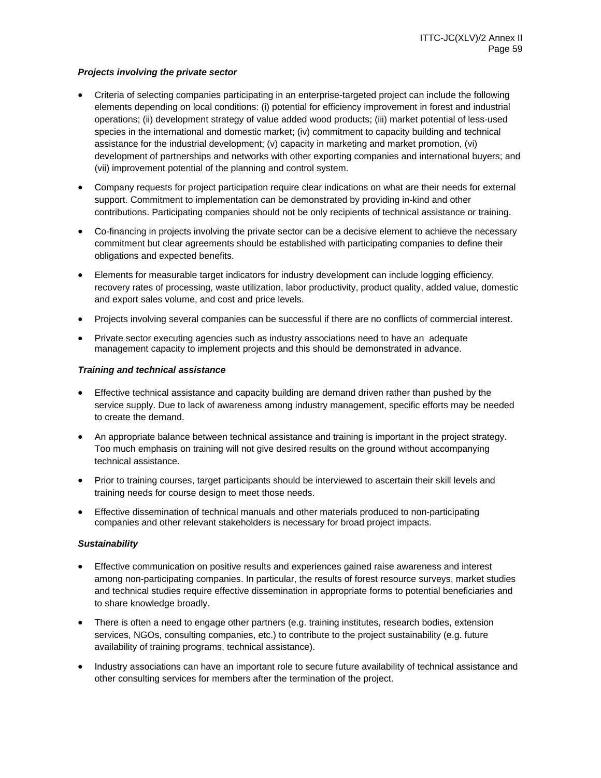### *Projects involving the private sector*

- Criteria of selecting companies participating in an enterprise-targeted project can include the following elements depending on local conditions: (i) potential for efficiency improvement in forest and industrial operations; (ii) development strategy of value added wood products; (iii) market potential of less-used species in the international and domestic market; (iv) commitment to capacity building and technical assistance for the industrial development; (v) capacity in marketing and market promotion, (vi) development of partnerships and networks with other exporting companies and international buyers; and (vii) improvement potential of the planning and control system.
- Company requests for project participation require clear indications on what are their needs for external support. Commitment to implementation can be demonstrated by providing in-kind and other contributions. Participating companies should not be only recipients of technical assistance or training.
- Co-financing in projects involving the private sector can be a decisive element to achieve the necessary commitment but clear agreements should be established with participating companies to define their obligations and expected benefits.
- Elements for measurable target indicators for industry development can include logging efficiency, recovery rates of processing, waste utilization, labor productivity, product quality, added value, domestic and export sales volume, and cost and price levels.
- Projects involving several companies can be successful if there are no conflicts of commercial interest.
- Private sector executing agencies such as industry associations need to have an adequate management capacity to implement projects and this should be demonstrated in advance.

### *Training and technical assistance*

- Effective technical assistance and capacity building are demand driven rather than pushed by the service supply. Due to lack of awareness among industry management, specific efforts may be needed to create the demand.
- An appropriate balance between technical assistance and training is important in the project strategy. Too much emphasis on training will not give desired results on the ground without accompanying technical assistance.
- Prior to training courses, target participants should be interviewed to ascertain their skill levels and training needs for course design to meet those needs.
- Effective dissemination of technical manuals and other materials produced to non-participating companies and other relevant stakeholders is necessary for broad project impacts.

#### *Sustainability*

- Effective communication on positive results and experiences gained raise awareness and interest among non-participating companies. In particular, the results of forest resource surveys, market studies and technical studies require effective dissemination in appropriate forms to potential beneficiaries and to share knowledge broadly.
- There is often a need to engage other partners (e.g. training institutes, research bodies, extension services, NGOs, consulting companies, etc.) to contribute to the project sustainability (e.g. future availability of training programs, technical assistance).
- Industry associations can have an important role to secure future availability of technical assistance and other consulting services for members after the termination of the project.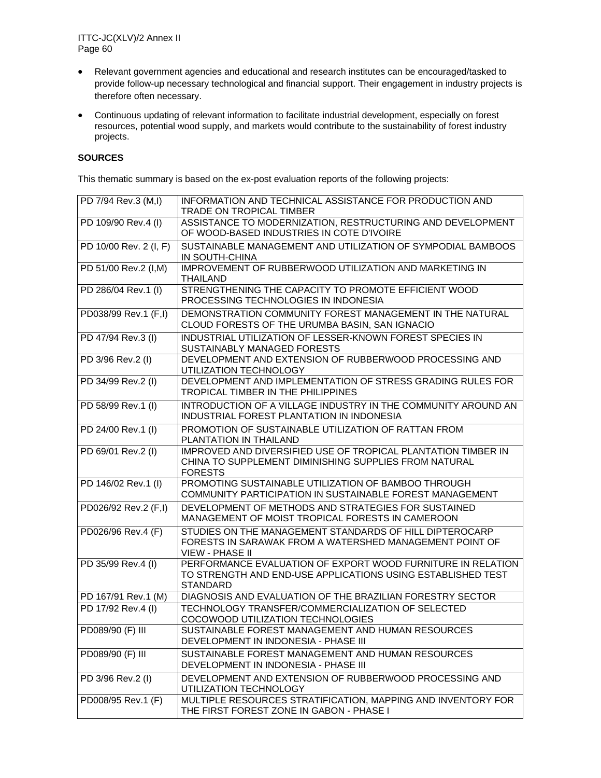- Relevant government agencies and educational and research institutes can be encouraged/tasked to provide follow-up necessary technological and financial support. Their engagement in industry projects is therefore often necessary.
- Continuous updating of relevant information to facilitate industrial development, especially on forest resources, potential wood supply, and markets would contribute to the sustainability of forest industry projects.

# **SOURCES**

This thematic summary is based on the ex-post evaluation reports of the following projects:

| PD 7/94 Rev.3 (M,I)    | INFORMATION AND TECHNICAL ASSISTANCE FOR PRODUCTION AND<br>TRADE ON TROPICAL TIMBER                                                          |
|------------------------|----------------------------------------------------------------------------------------------------------------------------------------------|
| PD 109/90 Rev.4 (I)    | ASSISTANCE TO MODERNIZATION, RESTRUCTURING AND DEVELOPMENT<br>OF WOOD-BASED INDUSTRIES IN COTE D'IVOIRE                                      |
| PD 10/00 Rev. 2 (I, F) | SUSTAINABLE MANAGEMENT AND UTILIZATION OF SYMPODIAL BAMBOOS<br>IN SOUTH-CHINA                                                                |
| PD 51/00 Rev.2 (I,M)   | IMPROVEMENT OF RUBBERWOOD UTILIZATION AND MARKETING IN<br><b>THAILAND</b>                                                                    |
| PD 286/04 Rev.1 (I)    | STRENGTHENING THE CAPACITY TO PROMOTE EFFICIENT WOOD<br>PROCESSING TECHNOLOGIES IN INDONESIA                                                 |
| PD038/99 Rev.1 (F,I)   | DEMONSTRATION COMMUNITY FOREST MANAGEMENT IN THE NATURAL<br>CLOUD FORESTS OF THE URUMBA BASIN, SAN IGNACIO                                   |
| PD 47/94 Rev.3 (I)     | INDUSTRIAL UTILIZATION OF LESSER-KNOWN FOREST SPECIES IN<br>SUSTAINABLY MANAGED FORESTS                                                      |
| PD 3/96 Rev.2 (I)      | DEVELOPMENT AND EXTENSION OF RUBBERWOOD PROCESSING AND<br>UTILIZATION TECHNOLOGY                                                             |
| PD 34/99 Rev.2 (I)     | DEVELOPMENT AND IMPLEMENTATION OF STRESS GRADING RULES FOR<br>TROPICAL TIMBER IN THE PHILIPPINES                                             |
| PD 58/99 Rev.1 (I)     | INTRODUCTION OF A VILLAGE INDUSTRY IN THE COMMUNITY AROUND AN<br>INDUSTRIAL FOREST PLANTATION IN INDONESIA                                   |
| PD 24/00 Rev.1 (I)     | PROMOTION OF SUSTAINABLE UTILIZATION OF RATTAN FROM<br>PLANTATION IN THAILAND                                                                |
| PD 69/01 Rev.2 (I)     | IMPROVED AND DIVERSIFIED USE OF TROPICAL PLANTATION TIMBER IN<br>CHINA TO SUPPLEMENT DIMINISHING SUPPLIES FROM NATURAL<br><b>FORESTS</b>     |
| PD 146/02 Rev.1 (I)    | PROMOTING SUSTAINABLE UTILIZATION OF BAMBOO THROUGH<br>COMMUNITY PARTICIPATION IN SUSTAINABLE FOREST MANAGEMENT                              |
| PD026/92 Rev.2 (F,I)   | DEVELOPMENT OF METHODS AND STRATEGIES FOR SUSTAINED<br>MANAGEMENT OF MOIST TROPICAL FORESTS IN CAMEROON                                      |
| PD026/96 Rev. 4 (F)    | STUDIES ON THE MANAGEMENT STANDARDS OF HILL DIPTEROCARP<br>FORESTS IN SARAWAK FROM A WATERSHED MANAGEMENT POINT OF<br><b>VIEW - PHASE II</b> |
| PD 35/99 Rev.4 (I)     | PERFORMANCE EVALUATION OF EXPORT WOOD FURNITURE IN RELATION<br>TO STRENGTH AND END-USE APPLICATIONS USING ESTABLISHED TEST<br>STANDARD       |
| PD 167/91 Rev.1 (M)    | DIAGNOSIS AND EVALUATION OF THE BRAZILIAN FORESTRY SECTOR                                                                                    |
| PD 17/92 Rev.4 (I)     | TECHNOLOGY TRANSFER/COMMERCIALIZATION OF SELECTED<br>COCOWOOD UTILIZATION TECHNOLOGIES                                                       |
| PD089/90 (F) III       | SUSTAINABLE FOREST MANAGEMENT AND HUMAN RESOURCES<br>DEVELOPMENT IN INDONESIA - PHASE III                                                    |
| PD089/90 (F) III       | SUSTAINABLE FOREST MANAGEMENT AND HUMAN RESOURCES<br>DEVELOPMENT IN INDONESIA - PHASE III                                                    |
| PD 3/96 Rev.2 (I)      | DEVELOPMENT AND EXTENSION OF RUBBERWOOD PROCESSING AND<br>UTILIZATION TECHNOLOGY                                                             |
| PD008/95 Rev.1 (F)     | MULTIPLE RESOURCES STRATIFICATION, MAPPING AND INVENTORY FOR<br>THE FIRST FOREST ZONE IN GABON - PHASE I                                     |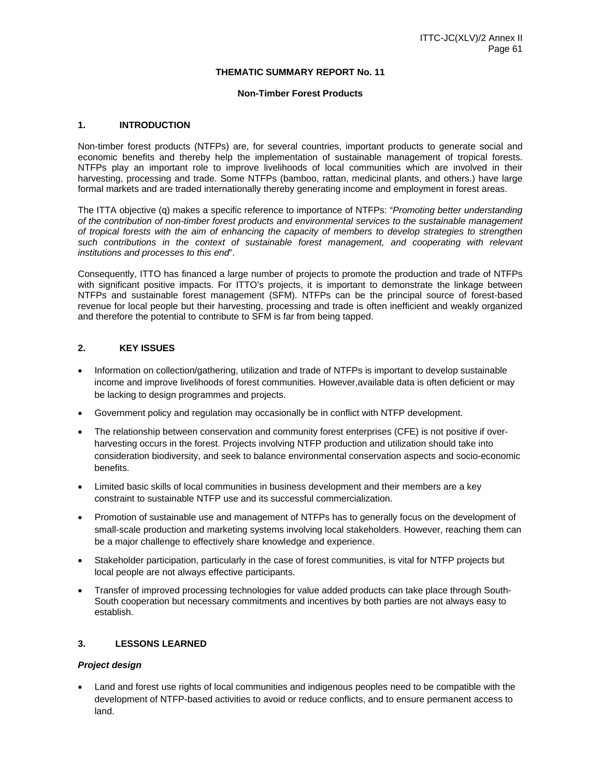### **THEMATIC SUMMARY REPORT No. 11**

#### **Non-Timber Forest Products**

#### **1. INTRODUCTION**

Non-timber forest products (NTFPs) are, for several countries, important products to generate social and economic benefits and thereby help the implementation of sustainable management of tropical forests. NTFPs play an important role to improve livelihoods of local communities which are involved in their harvesting, processing and trade. Some NTFPs (bamboo, rattan, medicinal plants, and others.) have large formal markets and are traded internationally thereby generating income and employment in forest areas.

The ITTA objective (q) makes a specific reference to importance of NTFPs: "*Promoting better understanding of the contribution of non-timber forest products and environmental services to the sustainable management of tropical forests with the aim of enhancing the capacity of members to develop strategies to strengthen*  such contributions in the context of sustainable forest management, and cooperating with relevant *institutions and processes to this end*".

Consequently, ITTO has financed a large number of projects to promote the production and trade of NTFPs with significant positive impacts. For ITTO's projects, it is important to demonstrate the linkage between NTFPs and sustainable forest management (SFM). NTFPs can be the principal source of forest-based revenue for local people but their harvesting, processing and trade is often inefficient and weakly organized and therefore the potential to contribute to SFM is far from being tapped.

#### **2. KEY ISSUES**

- Information on collection/gathering, utilization and trade of NTFPs is important to develop sustainable income and improve livelihoods of forest communities. However,available data is often deficient or may be lacking to design programmes and projects.
- Government policy and regulation may occasionally be in conflict with NTFP development.
- The relationship between conservation and community forest enterprises (CFE) is not positive if overharvesting occurs in the forest. Projects involving NTFP production and utilization should take into consideration biodiversity, and seek to balance environmental conservation aspects and socio-economic benefits.
- Limited basic skills of local communities in business development and their members are a key constraint to sustainable NTFP use and its successful commercialization.
- Promotion of sustainable use and management of NTFPs has to generally focus on the development of small-scale production and marketing systems involving local stakeholders. However, reaching them can be a major challenge to effectively share knowledge and experience.
- Stakeholder participation, particularly in the case of forest communities, is vital for NTFP projects but local people are not always effective participants.
- Transfer of improved processing technologies for value added products can take place through South-South cooperation but necessary commitments and incentives by both parties are not always easy to establish.

#### **3. LESSONS LEARNED**

### *Project design*

 Land and forest use rights of local communities and indigenous peoples need to be compatible with the development of NTFP-based activities to avoid or reduce conflicts, and to ensure permanent access to land.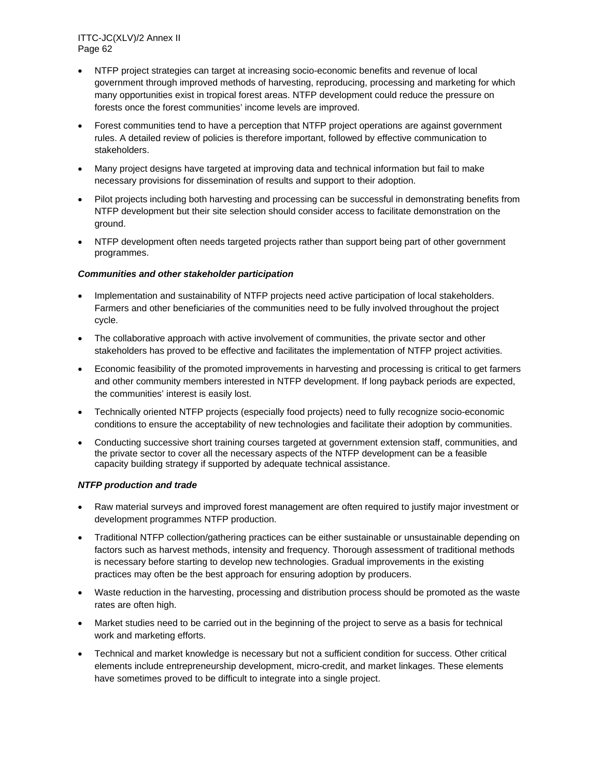- NTFP project strategies can target at increasing socio-economic benefits and revenue of local government through improved methods of harvesting, reproducing, processing and marketing for which many opportunities exist in tropical forest areas. NTFP development could reduce the pressure on forests once the forest communities' income levels are improved.
- Forest communities tend to have a perception that NTFP project operations are against government rules. A detailed review of policies is therefore important, followed by effective communication to stakeholders.
- Many project designs have targeted at improving data and technical information but fail to make necessary provisions for dissemination of results and support to their adoption.
- Pilot projects including both harvesting and processing can be successful in demonstrating benefits from NTFP development but their site selection should consider access to facilitate demonstration on the ground.
- NTFP development often needs targeted projects rather than support being part of other government programmes.

### *Communities and other stakeholder participation*

- Implementation and sustainability of NTFP projects need active participation of local stakeholders. Farmers and other beneficiaries of the communities need to be fully involved throughout the project cycle.
- The collaborative approach with active involvement of communities, the private sector and other stakeholders has proved to be effective and facilitates the implementation of NTFP project activities.
- Economic feasibility of the promoted improvements in harvesting and processing is critical to get farmers and other community members interested in NTFP development. If long payback periods are expected, the communities' interest is easily lost.
- Technically oriented NTFP projects (especially food projects) need to fully recognize socio-economic conditions to ensure the acceptability of new technologies and facilitate their adoption by communities.
- Conducting successive short training courses targeted at government extension staff, communities, and the private sector to cover all the necessary aspects of the NTFP development can be a feasible capacity building strategy if supported by adequate technical assistance.

### *NTFP production and trade*

- Raw material surveys and improved forest management are often required to justify major investment or development programmes NTFP production.
- Traditional NTFP collection/gathering practices can be either sustainable or unsustainable depending on factors such as harvest methods, intensity and frequency. Thorough assessment of traditional methods is necessary before starting to develop new technologies. Gradual improvements in the existing practices may often be the best approach for ensuring adoption by producers.
- Waste reduction in the harvesting, processing and distribution process should be promoted as the waste rates are often high.
- Market studies need to be carried out in the beginning of the project to serve as a basis for technical work and marketing efforts.
- Technical and market knowledge is necessary but not a sufficient condition for success. Other critical elements include entrepreneurship development, micro-credit, and market linkages. These elements have sometimes proved to be difficult to integrate into a single project.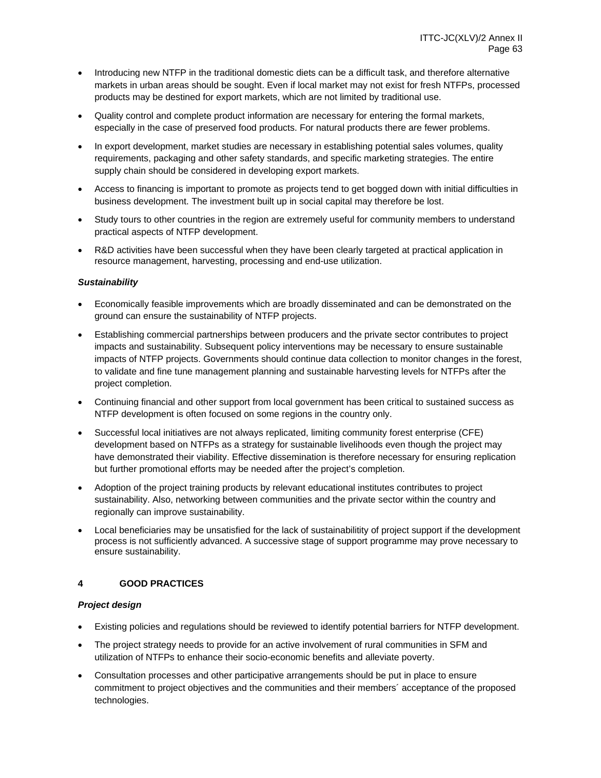- Introducing new NTFP in the traditional domestic diets can be a difficult task, and therefore alternative markets in urban areas should be sought. Even if local market may not exist for fresh NTFPs, processed products may be destined for export markets, which are not limited by traditional use.
- Quality control and complete product information are necessary for entering the formal markets, especially in the case of preserved food products. For natural products there are fewer problems.
- In export development, market studies are necessary in establishing potential sales volumes, quality requirements, packaging and other safety standards, and specific marketing strategies. The entire supply chain should be considered in developing export markets.
- Access to financing is important to promote as projects tend to get bogged down with initial difficulties in business development. The investment built up in social capital may therefore be lost.
- Study tours to other countries in the region are extremely useful for community members to understand practical aspects of NTFP development.
- R&D activities have been successful when they have been clearly targeted at practical application in resource management, harvesting, processing and end-use utilization.

### *Sustainability*

- Economically feasible improvements which are broadly disseminated and can be demonstrated on the ground can ensure the sustainability of NTFP projects.
- Establishing commercial partnerships between producers and the private sector contributes to project impacts and sustainability. Subsequent policy interventions may be necessary to ensure sustainable impacts of NTFP projects. Governments should continue data collection to monitor changes in the forest, to validate and fine tune management planning and sustainable harvesting levels for NTFPs after the project completion.
- Continuing financial and other support from local government has been critical to sustained success as NTFP development is often focused on some regions in the country only.
- Successful local initiatives are not always replicated, limiting community forest enterprise (CFE) development based on NTFPs as a strategy for sustainable livelihoods even though the project may have demonstrated their viability. Effective dissemination is therefore necessary for ensuring replication but further promotional efforts may be needed after the project's completion.
- Adoption of the project training products by relevant educational institutes contributes to project sustainability. Also, networking between communities and the private sector within the country and regionally can improve sustainability.
- Local beneficiaries may be unsatisfied for the lack of sustainabilitity of project support if the development process is not sufficiently advanced. A successive stage of support programme may prove necessary to ensure sustainability.

### **4 GOOD PRACTICES**

### *Project design*

- Existing policies and regulations should be reviewed to identify potential barriers for NTFP development.
- The project strategy needs to provide for an active involvement of rural communities in SFM and utilization of NTFPs to enhance their socio-economic benefits and alleviate poverty.
- Consultation processes and other participative arrangements should be put in place to ensure commitment to project objectives and the communities and their members´ acceptance of the proposed technologies.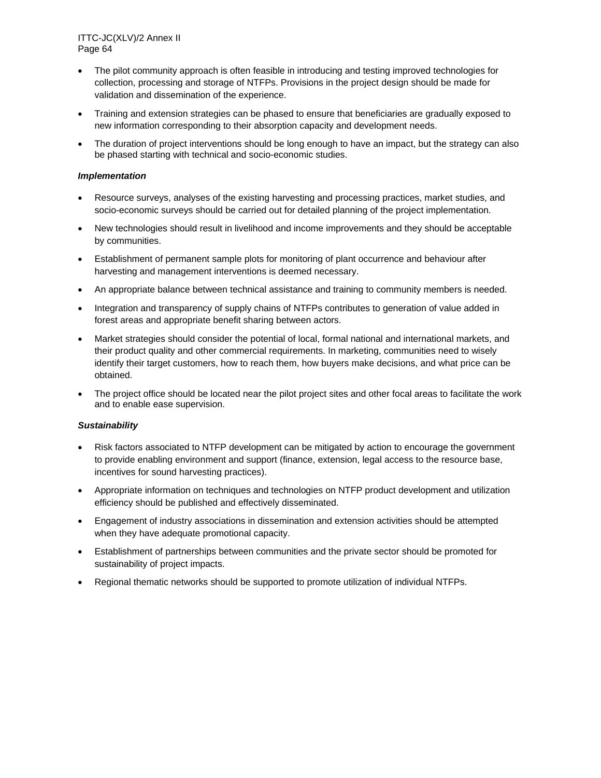- The pilot community approach is often feasible in introducing and testing improved technologies for collection, processing and storage of NTFPs. Provisions in the project design should be made for validation and dissemination of the experience.
- Training and extension strategies can be phased to ensure that beneficiaries are gradually exposed to new information corresponding to their absorption capacity and development needs.
- The duration of project interventions should be long enough to have an impact, but the strategy can also be phased starting with technical and socio-economic studies.

#### *Implementation*

- Resource surveys, analyses of the existing harvesting and processing practices, market studies, and socio-economic surveys should be carried out for detailed planning of the project implementation.
- New technologies should result in livelihood and income improvements and they should be acceptable by communities.
- Establishment of permanent sample plots for monitoring of plant occurrence and behaviour after harvesting and management interventions is deemed necessary.
- An appropriate balance between technical assistance and training to community members is needed.
- Integration and transparency of supply chains of NTFPs contributes to generation of value added in forest areas and appropriate benefit sharing between actors.
- Market strategies should consider the potential of local, formal national and international markets, and their product quality and other commercial requirements. In marketing, communities need to wisely identify their target customers, how to reach them, how buyers make decisions, and what price can be obtained.
- The project office should be located near the pilot project sites and other focal areas to facilitate the work and to enable ease supervision.

#### *Sustainability*

- Risk factors associated to NTFP development can be mitigated by action to encourage the government to provide enabling environment and support (finance, extension, legal access to the resource base, incentives for sound harvesting practices).
- Appropriate information on techniques and technologies on NTFP product development and utilization efficiency should be published and effectively disseminated.
- Engagement of industry associations in dissemination and extension activities should be attempted when they have adequate promotional capacity.
- Establishment of partnerships between communities and the private sector should be promoted for sustainability of project impacts.
- Regional thematic networks should be supported to promote utilization of individual NTFPs.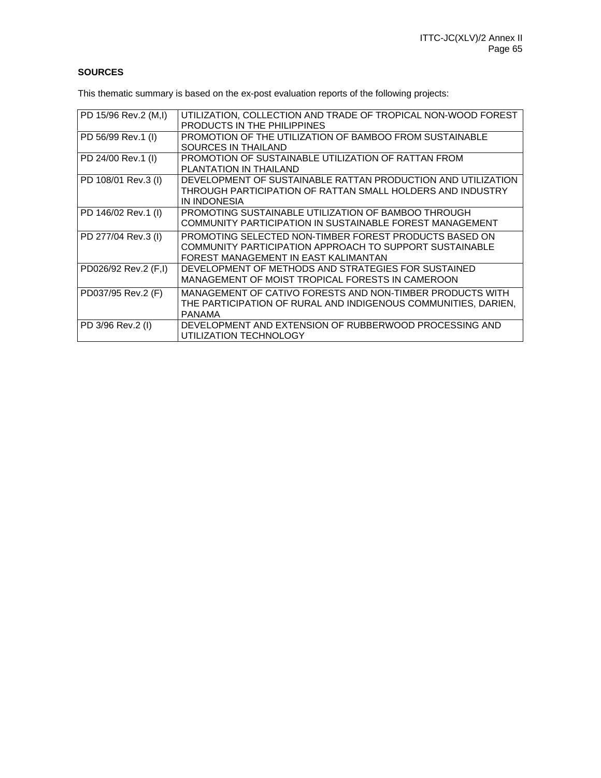# **SOURCES**

This thematic summary is based on the ex-post evaluation reports of the following projects:

| PD 15/96 Rev.2 (M,I) | UTILIZATION, COLLECTION AND TRADE OF TROPICAL NON-WOOD FOREST  |
|----------------------|----------------------------------------------------------------|
|                      | PRODUCTS IN THE PHILIPPINES                                    |
| PD 56/99 Rev.1 (I)   | PROMOTION OF THE UTILIZATION OF BAMBOO FROM SUSTAINABLE        |
|                      | SOURCES IN THAILAND                                            |
| PD 24/00 Rev.1 (I)   | PROMOTION OF SUSTAINABLE UTILIZATION OF RATTAN FROM            |
|                      | PLANTATION IN THAILAND                                         |
| PD 108/01 Rev.3 (I)  | DEVELOPMENT OF SUSTAINABLE RATTAN PRODUCTION AND UTILIZATION   |
|                      | THROUGH PARTICIPATION OF RATTAN SMALL HOLDERS AND INDUSTRY     |
|                      | IN INDONESIA                                                   |
| PD 146/02 Rev.1 (I)  | PROMOTING SUSTAINABLE UTILIZATION OF BAMBOO THROUGH            |
|                      | COMMUNITY PARTICIPATION IN SUSTAINABLE FOREST MANAGEMENT       |
| PD 277/04 Rev.3 (I)  | PROMOTING SELECTED NON-TIMBER FOREST PRODUCTS BASED ON         |
|                      | COMMUNITY PARTICIPATION APPROACH TO SUPPORT SUSTAINABLE        |
|                      | FOREST MANAGEMENT IN EAST KALIMANTAN                           |
| PD026/92 Rev.2 (F,I) | DEVELOPMENT OF METHODS AND STRATEGIES FOR SUSTAINED            |
|                      | MANAGEMENT OF MOIST TROPICAL FORESTS IN CAMEROON               |
| PD037/95 Rev.2 (F)   | MANAGEMENT OF CATIVO FORESTS AND NON-TIMBER PRODUCTS WITH      |
|                      | THE PARTICIPATION OF RURAL AND INDIGENOUS COMMUNITIES, DARIEN, |
|                      | PANAMA                                                         |
| PD 3/96 Rev.2 (I)    | DEVELOPMENT AND EXTENSION OF RUBBERWOOD PROCESSING AND         |
|                      | UTILIZATION TECHNOLOGY                                         |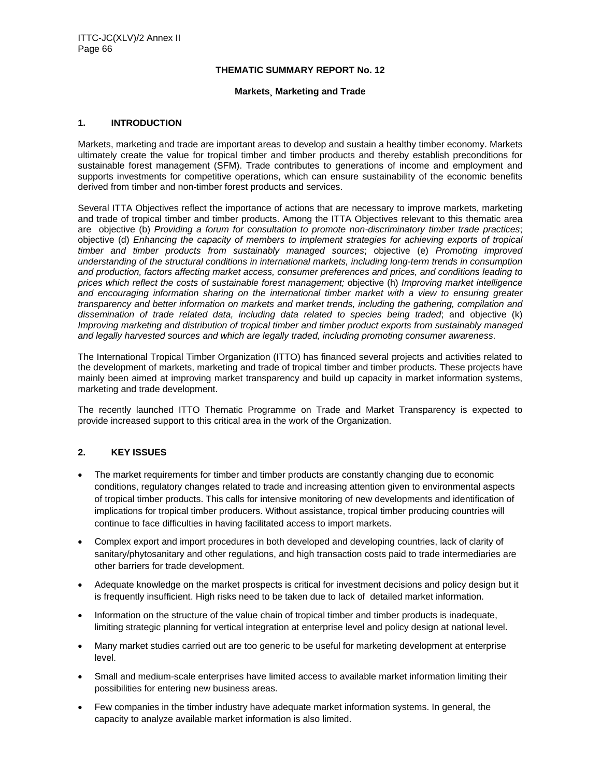#### **THEMATIC SUMMARY REPORT No. 12**

#### **Markets¸ Marketing and Trade**

#### **1. INTRODUCTION**

Markets, marketing and trade are important areas to develop and sustain a healthy timber economy. Markets ultimately create the value for tropical timber and timber products and thereby establish preconditions for sustainable forest management (SFM). Trade contributes to generations of income and employment and supports investments for competitive operations, which can ensure sustainability of the economic benefits derived from timber and non-timber forest products and services.

Several ITTA Objectives reflect the importance of actions that are necessary to improve markets, marketing and trade of tropical timber and timber products. Among the ITTA Objectives relevant to this thematic area are objective (b) *Providing a forum for consultation to promote non-discriminatory timber trade practices*; objective (d) *Enhancing the capacity of members to implement strategies for achieving exports of tropical timber and timber products from sustainably managed sources*; objective (e) *Promoting improved understanding of the structural conditions in international markets, including long-term trends in consumption and production, factors affecting market access, consumer preferences and prices, and conditions leading to prices which reflect the costs of sustainable forest management;* objective (h) *Improving market intelligence and encouraging information sharing on the international timber market with a view to ensuring greater transparency and better information on markets and market trends, including the gathering, compilation and dissemination of trade related data, including data related to species being traded*; and objective (k) *Improving marketing and distribution of tropical timber and timber product exports from sustainably managed and legally harvested sources and which are legally traded, including promoting consumer awareness*.

The International Tropical Timber Organization (ITTO) has financed several projects and activities related to the development of markets, marketing and trade of tropical timber and timber products. These projects have mainly been aimed at improving market transparency and build up capacity in market information systems, marketing and trade development.

The recently launched ITTO Thematic Programme on Trade and Market Transparency is expected to provide increased support to this critical area in the work of the Organization.

### **2. KEY ISSUES**

- The market requirements for timber and timber products are constantly changing due to economic conditions, regulatory changes related to trade and increasing attention given to environmental aspects of tropical timber products. This calls for intensive monitoring of new developments and identification of implications for tropical timber producers. Without assistance, tropical timber producing countries will continue to face difficulties in having facilitated access to import markets.
- Complex export and import procedures in both developed and developing countries, lack of clarity of sanitary/phytosanitary and other regulations, and high transaction costs paid to trade intermediaries are other barriers for trade development.
- Adequate knowledge on the market prospects is critical for investment decisions and policy design but it is frequently insufficient. High risks need to be taken due to lack of detailed market information.
- Information on the structure of the value chain of tropical timber and timber products is inadequate, limiting strategic planning for vertical integration at enterprise level and policy design at national level.
- Many market studies carried out are too generic to be useful for marketing development at enterprise level.
- Small and medium-scale enterprises have limited access to available market information limiting their possibilities for entering new business areas.
- Few companies in the timber industry have adequate market information systems. In general, the capacity to analyze available market information is also limited.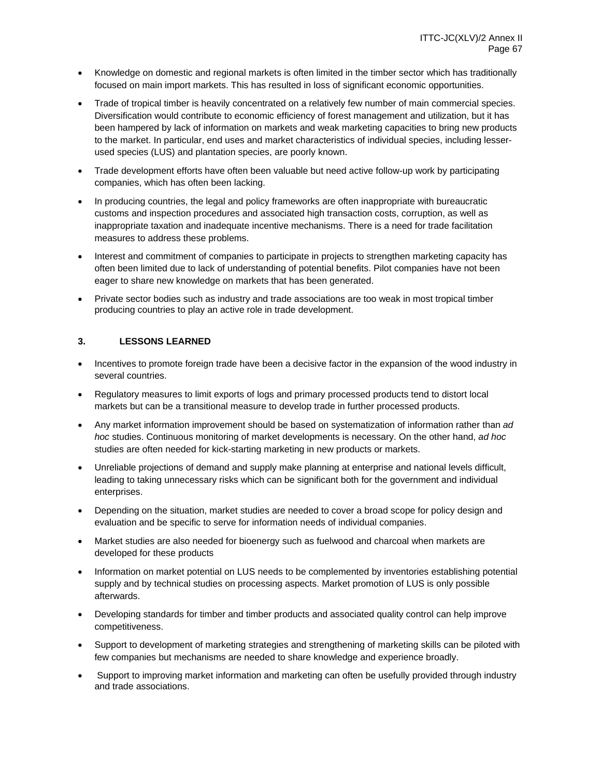- Knowledge on domestic and regional markets is often limited in the timber sector which has traditionally focused on main import markets. This has resulted in loss of significant economic opportunities.
- Trade of tropical timber is heavily concentrated on a relatively few number of main commercial species. Diversification would contribute to economic efficiency of forest management and utilization, but it has been hampered by lack of information on markets and weak marketing capacities to bring new products to the market. In particular, end uses and market characteristics of individual species, including lesserused species (LUS) and plantation species, are poorly known.
- Trade development efforts have often been valuable but need active follow-up work by participating companies, which has often been lacking.
- In producing countries, the legal and policy frameworks are often inappropriate with bureaucratic customs and inspection procedures and associated high transaction costs, corruption, as well as inappropriate taxation and inadequate incentive mechanisms. There is a need for trade facilitation measures to address these problems.
- Interest and commitment of companies to participate in projects to strengthen marketing capacity has often been limited due to lack of understanding of potential benefits. Pilot companies have not been eager to share new knowledge on markets that has been generated.
- Private sector bodies such as industry and trade associations are too weak in most tropical timber producing countries to play an active role in trade development.

### **3. LESSONS LEARNED**

- Incentives to promote foreign trade have been a decisive factor in the expansion of the wood industry in several countries.
- Regulatory measures to limit exports of logs and primary processed products tend to distort local markets but can be a transitional measure to develop trade in further processed products.
- Any market information improvement should be based on systematization of information rather than *ad hoc* studies. Continuous monitoring of market developments is necessary. On the other hand, *ad hoc* studies are often needed for kick-starting marketing in new products or markets.
- Unreliable projections of demand and supply make planning at enterprise and national levels difficult, leading to taking unnecessary risks which can be significant both for the government and individual enterprises.
- Depending on the situation, market studies are needed to cover a broad scope for policy design and evaluation and be specific to serve for information needs of individual companies.
- Market studies are also needed for bioenergy such as fuelwood and charcoal when markets are developed for these products
- Information on market potential on LUS needs to be complemented by inventories establishing potential supply and by technical studies on processing aspects. Market promotion of LUS is only possible afterwards.
- Developing standards for timber and timber products and associated quality control can help improve competitiveness.
- Support to development of marketing strategies and strengthening of marketing skills can be piloted with few companies but mechanisms are needed to share knowledge and experience broadly.
- Support to improving market information and marketing can often be usefully provided through industry and trade associations.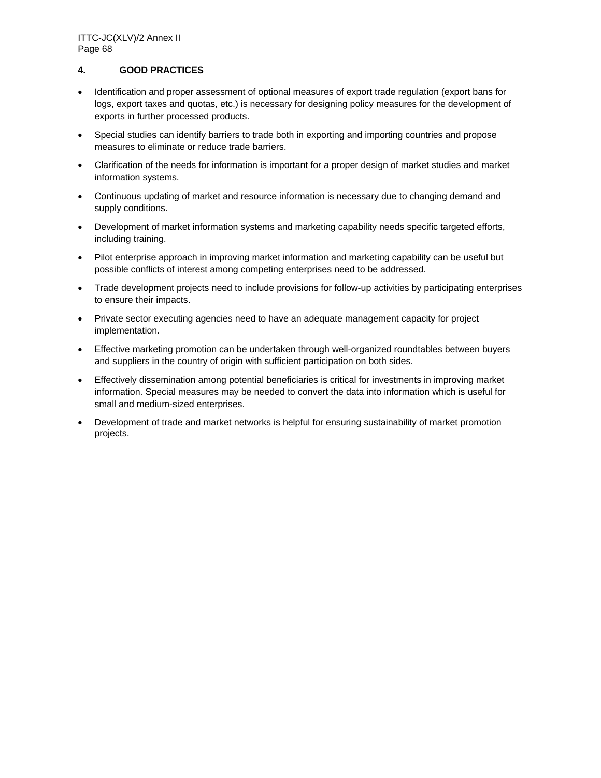### **4. GOOD PRACTICES**

- Identification and proper assessment of optional measures of export trade regulation (export bans for logs, export taxes and quotas, etc.) is necessary for designing policy measures for the development of exports in further processed products.
- Special studies can identify barriers to trade both in exporting and importing countries and propose measures to eliminate or reduce trade barriers.
- Clarification of the needs for information is important for a proper design of market studies and market information systems.
- Continuous updating of market and resource information is necessary due to changing demand and supply conditions.
- Development of market information systems and marketing capability needs specific targeted efforts, including training.
- Pilot enterprise approach in improving market information and marketing capability can be useful but possible conflicts of interest among competing enterprises need to be addressed.
- Trade development projects need to include provisions for follow-up activities by participating enterprises to ensure their impacts.
- Private sector executing agencies need to have an adequate management capacity for project implementation.
- Effective marketing promotion can be undertaken through well-organized roundtables between buyers and suppliers in the country of origin with sufficient participation on both sides.
- Effectively dissemination among potential beneficiaries is critical for investments in improving market information. Special measures may be needed to convert the data into information which is useful for small and medium-sized enterprises.
- Development of trade and market networks is helpful for ensuring sustainability of market promotion projects.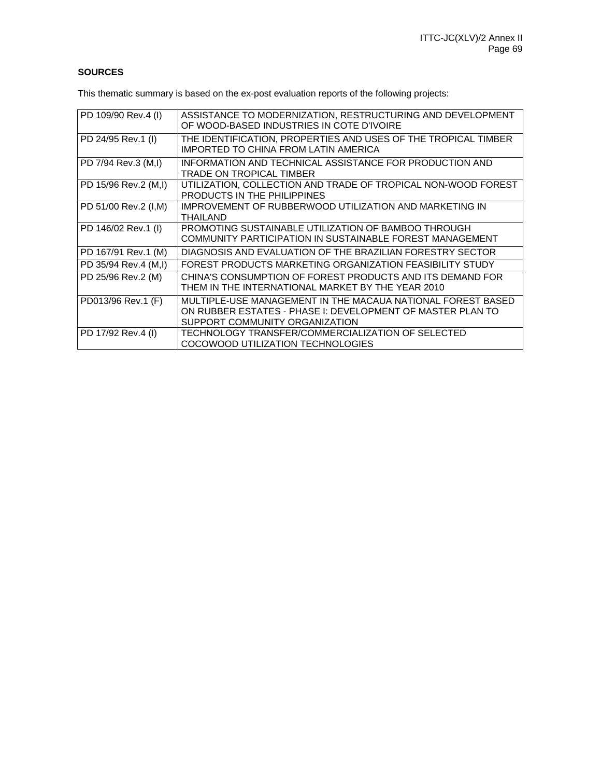# **SOURCES**

This thematic summary is based on the ex-post evaluation reports of the following projects:

| PD 109/90 Rev.4 (I)  | ASSISTANCE TO MODERNIZATION, RESTRUCTURING AND DEVELOPMENT<br>OF WOOD-BASED INDUSTRIES IN COTE D'IVOIRE                                                     |
|----------------------|-------------------------------------------------------------------------------------------------------------------------------------------------------------|
| PD 24/95 Rev.1 (I)   | THE IDENTIFICATION, PROPERTIES AND USES OF THE TROPICAL TIMBER<br>IMPORTED TO CHINA FROM LATIN AMERICA                                                      |
| PD 7/94 Rev.3 (M,I)  | INFORMATION AND TECHNICAL ASSISTANCE FOR PRODUCTION AND<br>TRADE ON TROPICAL TIMBER                                                                         |
| PD 15/96 Rev.2 (M,I) | UTILIZATION, COLLECTION AND TRADE OF TROPICAL NON-WOOD FOREST<br>PRODUCTS IN THE PHILIPPINES                                                                |
| PD 51/00 Rev.2 (I,M) | IMPROVEMENT OF RUBBERWOOD UTILIZATION AND MARKETING IN<br><b>THAILAND</b>                                                                                   |
| PD 146/02 Rev.1 (I)  | PROMOTING SUSTAINABLE UTILIZATION OF BAMBOO THROUGH<br>COMMUNITY PARTICIPATION IN SUSTAINABLE FOREST MANAGEMENT                                             |
| PD 167/91 Rev.1 (M)  | DIAGNOSIS AND EVALUATION OF THE BRAZILIAN FORESTRY SECTOR                                                                                                   |
| PD 35/94 Rev.4 (M,I) | FOREST PRODUCTS MARKETING ORGANIZATION FEASIBILITY STUDY                                                                                                    |
| PD 25/96 Rev.2 (M)   | CHINA'S CONSUMPTION OF FOREST PRODUCTS AND ITS DEMAND FOR<br>THEM IN THE INTERNATIONAL MARKET BY THE YEAR 2010                                              |
| PD013/96 Rev.1 (F)   | MULTIPLE-USE MANAGEMENT IN THE MACAUA NATIONAL FOREST BASED<br>ON RUBBER ESTATES - PHASE I: DEVELOPMENT OF MASTER PLAN TO<br>SUPPORT COMMUNITY ORGANIZATION |
| PD 17/92 Rev.4 (I)   | TECHNOLOGY TRANSFER/COMMERCIALIZATION OF SELECTED<br>COCOWOOD UTILIZATION TECHNOLOGIES                                                                      |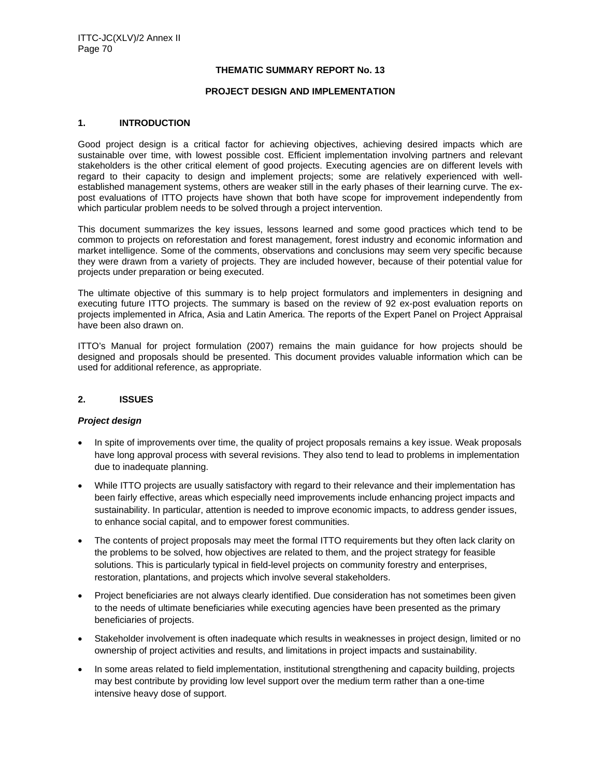#### **THEMATIC SUMMARY REPORT No. 13**

#### **PROJECT DESIGN AND IMPLEMENTATION**

#### **1. INTRODUCTION**

Good project design is a critical factor for achieving objectives, achieving desired impacts which are sustainable over time, with lowest possible cost. Efficient implementation involving partners and relevant stakeholders is the other critical element of good projects. Executing agencies are on different levels with regard to their capacity to design and implement projects; some are relatively experienced with wellestablished management systems, others are weaker still in the early phases of their learning curve. The expost evaluations of ITTO projects have shown that both have scope for improvement independently from which particular problem needs to be solved through a project intervention.

This document summarizes the key issues, lessons learned and some good practices which tend to be common to projects on reforestation and forest management, forest industry and economic information and market intelligence. Some of the comments, observations and conclusions may seem very specific because they were drawn from a variety of projects. They are included however, because of their potential value for projects under preparation or being executed.

The ultimate objective of this summary is to help project formulators and implementers in designing and executing future ITTO projects. The summary is based on the review of 92 ex-post evaluation reports on projects implemented in Africa, Asia and Latin America. The reports of the Expert Panel on Project Appraisal have been also drawn on.

ITTO's Manual for project formulation (2007) remains the main guidance for how projects should be designed and proposals should be presented. This document provides valuable information which can be used for additional reference, as appropriate.

#### **2. ISSUES**

#### *Project design*

- In spite of improvements over time, the quality of project proposals remains a key issue. Weak proposals have long approval process with several revisions. They also tend to lead to problems in implementation due to inadequate planning.
- While ITTO projects are usually satisfactory with regard to their relevance and their implementation has been fairly effective, areas which especially need improvements include enhancing project impacts and sustainability. In particular, attention is needed to improve economic impacts, to address gender issues, to enhance social capital, and to empower forest communities.
- The contents of project proposals may meet the formal ITTO requirements but they often lack clarity on the problems to be solved, how objectives are related to them, and the project strategy for feasible solutions. This is particularly typical in field-level projects on community forestry and enterprises, restoration, plantations, and projects which involve several stakeholders.
- Project beneficiaries are not always clearly identified. Due consideration has not sometimes been given to the needs of ultimate beneficiaries while executing agencies have been presented as the primary beneficiaries of projects.
- Stakeholder involvement is often inadequate which results in weaknesses in project design, limited or no ownership of project activities and results, and limitations in project impacts and sustainability.
- In some areas related to field implementation, institutional strengthening and capacity building, projects may best contribute by providing low level support over the medium term rather than a one-time intensive heavy dose of support.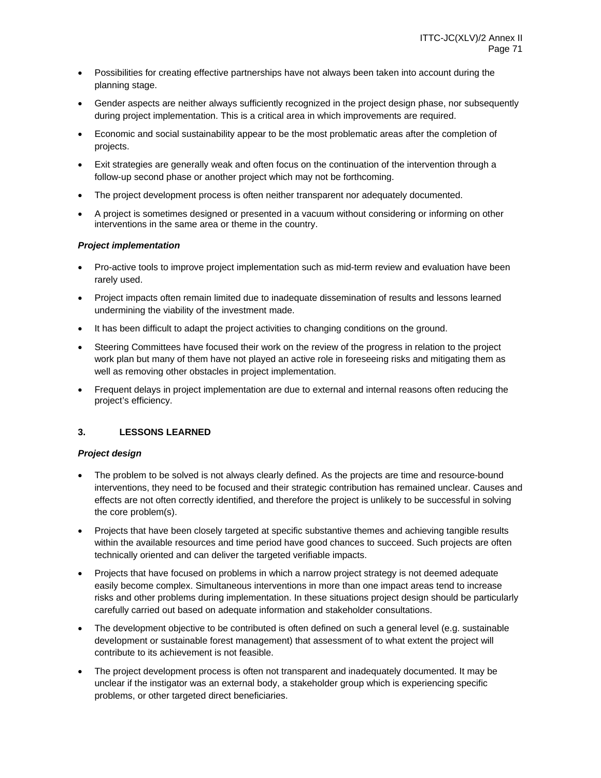- Possibilities for creating effective partnerships have not always been taken into account during the planning stage.
- Gender aspects are neither always sufficiently recognized in the project design phase, nor subsequently during project implementation. This is a critical area in which improvements are required.
- Economic and social sustainability appear to be the most problematic areas after the completion of projects.
- Exit strategies are generally weak and often focus on the continuation of the intervention through a follow-up second phase or another project which may not be forthcoming.
- The project development process is often neither transparent nor adequately documented.
- A project is sometimes designed or presented in a vacuum without considering or informing on other interventions in the same area or theme in the country.

### *Project implementation*

- Pro-active tools to improve project implementation such as mid-term review and evaluation have been rarely used.
- Project impacts often remain limited due to inadequate dissemination of results and lessons learned undermining the viability of the investment made.
- It has been difficult to adapt the project activities to changing conditions on the ground.
- Steering Committees have focused their work on the review of the progress in relation to the project work plan but many of them have not played an active role in foreseeing risks and mitigating them as well as removing other obstacles in project implementation.
- Frequent delays in project implementation are due to external and internal reasons often reducing the project's efficiency.

### **3. LESSONS LEARNED**

#### *Project design*

- The problem to be solved is not always clearly defined. As the projects are time and resource-bound interventions, they need to be focused and their strategic contribution has remained unclear. Causes and effects are not often correctly identified, and therefore the project is unlikely to be successful in solving the core problem(s).
- Projects that have been closely targeted at specific substantive themes and achieving tangible results within the available resources and time period have good chances to succeed. Such projects are often technically oriented and can deliver the targeted verifiable impacts.
- Projects that have focused on problems in which a narrow project strategy is not deemed adequate easily become complex. Simultaneous interventions in more than one impact areas tend to increase risks and other problems during implementation. In these situations project design should be particularly carefully carried out based on adequate information and stakeholder consultations.
- The development objective to be contributed is often defined on such a general level (e.g. sustainable development or sustainable forest management) that assessment of to what extent the project will contribute to its achievement is not feasible.
- The project development process is often not transparent and inadequately documented. It may be unclear if the instigator was an external body, a stakeholder group which is experiencing specific problems, or other targeted direct beneficiaries.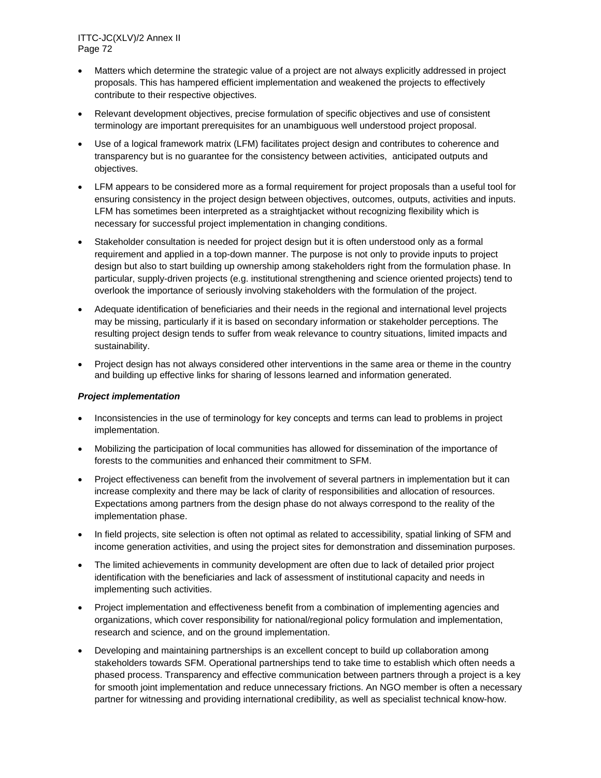- Matters which determine the strategic value of a project are not always explicitly addressed in project proposals. This has hampered efficient implementation and weakened the projects to effectively contribute to their respective objectives.
- Relevant development objectives, precise formulation of specific objectives and use of consistent terminology are important prerequisites for an unambiguous well understood project proposal.
- Use of a logical framework matrix (LFM) facilitates project design and contributes to coherence and transparency but is no guarantee for the consistency between activities, anticipated outputs and objectives.
- LFM appears to be considered more as a formal requirement for project proposals than a useful tool for ensuring consistency in the project design between objectives, outcomes, outputs, activities and inputs. LFM has sometimes been interpreted as a straightjacket without recognizing flexibility which is necessary for successful project implementation in changing conditions.
- Stakeholder consultation is needed for project design but it is often understood only as a formal requirement and applied in a top-down manner. The purpose is not only to provide inputs to project design but also to start building up ownership among stakeholders right from the formulation phase. In particular, supply-driven projects (e.g. institutional strengthening and science oriented projects) tend to overlook the importance of seriously involving stakeholders with the formulation of the project.
- Adequate identification of beneficiaries and their needs in the regional and international level projects may be missing, particularly if it is based on secondary information or stakeholder perceptions. The resulting project design tends to suffer from weak relevance to country situations, limited impacts and sustainability.
- Project design has not always considered other interventions in the same area or theme in the country and building up effective links for sharing of lessons learned and information generated.

#### *Project implementation*

- Inconsistencies in the use of terminology for key concepts and terms can lead to problems in project implementation.
- Mobilizing the participation of local communities has allowed for dissemination of the importance of forests to the communities and enhanced their commitment to SFM.
- Project effectiveness can benefit from the involvement of several partners in implementation but it can increase complexity and there may be lack of clarity of responsibilities and allocation of resources. Expectations among partners from the design phase do not always correspond to the reality of the implementation phase.
- In field projects, site selection is often not optimal as related to accessibility, spatial linking of SFM and income generation activities, and using the project sites for demonstration and dissemination purposes.
- The limited achievements in community development are often due to lack of detailed prior project identification with the beneficiaries and lack of assessment of institutional capacity and needs in implementing such activities.
- Project implementation and effectiveness benefit from a combination of implementing agencies and organizations, which cover responsibility for national/regional policy formulation and implementation, research and science, and on the ground implementation.
- Developing and maintaining partnerships is an excellent concept to build up collaboration among stakeholders towards SFM. Operational partnerships tend to take time to establish which often needs a phased process. Transparency and effective communication between partners through a project is a key for smooth joint implementation and reduce unnecessary frictions. An NGO member is often a necessary partner for witnessing and providing international credibility, as well as specialist technical know-how.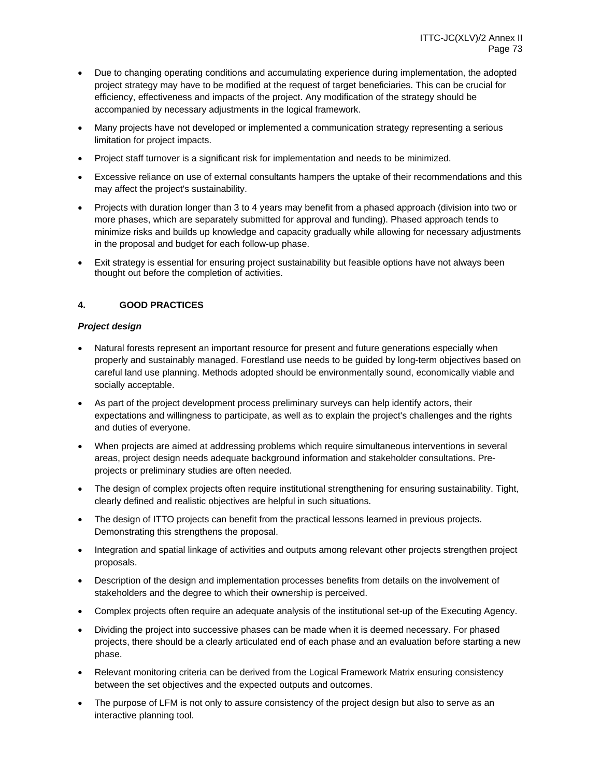- Due to changing operating conditions and accumulating experience during implementation, the adopted project strategy may have to be modified at the request of target beneficiaries. This can be crucial for efficiency, effectiveness and impacts of the project. Any modification of the strategy should be accompanied by necessary adjustments in the logical framework.
- Many projects have not developed or implemented a communication strategy representing a serious limitation for project impacts.
- Project staff turnover is a significant risk for implementation and needs to be minimized.
- Excessive reliance on use of external consultants hampers the uptake of their recommendations and this may affect the project's sustainability.
- Projects with duration longer than 3 to 4 years may benefit from a phased approach (division into two or more phases, which are separately submitted for approval and funding). Phased approach tends to minimize risks and builds up knowledge and capacity gradually while allowing for necessary adjustments in the proposal and budget for each follow-up phase.
- Exit strategy is essential for ensuring project sustainability but feasible options have not always been thought out before the completion of activities.

## **4. GOOD PRACTICES**

## *Project design*

- Natural forests represent an important resource for present and future generations especially when properly and sustainably managed. Forestland use needs to be guided by long-term objectives based on careful land use planning. Methods adopted should be environmentally sound, economically viable and socially acceptable.
- As part of the project development process preliminary surveys can help identify actors, their expectations and willingness to participate, as well as to explain the project's challenges and the rights and duties of everyone.
- When projects are aimed at addressing problems which require simultaneous interventions in several areas, project design needs adequate background information and stakeholder consultations. Preprojects or preliminary studies are often needed.
- The design of complex projects often require institutional strengthening for ensuring sustainability. Tight, clearly defined and realistic objectives are helpful in such situations.
- The design of ITTO projects can benefit from the practical lessons learned in previous projects. Demonstrating this strengthens the proposal.
- Integration and spatial linkage of activities and outputs among relevant other projects strengthen project proposals.
- Description of the design and implementation processes benefits from details on the involvement of stakeholders and the degree to which their ownership is perceived.
- Complex projects often require an adequate analysis of the institutional set-up of the Executing Agency.
- Dividing the project into successive phases can be made when it is deemed necessary. For phased projects, there should be a clearly articulated end of each phase and an evaluation before starting a new phase.
- Relevant monitoring criteria can be derived from the Logical Framework Matrix ensuring consistency between the set objectives and the expected outputs and outcomes.
- The purpose of LFM is not only to assure consistency of the project design but also to serve as an interactive planning tool.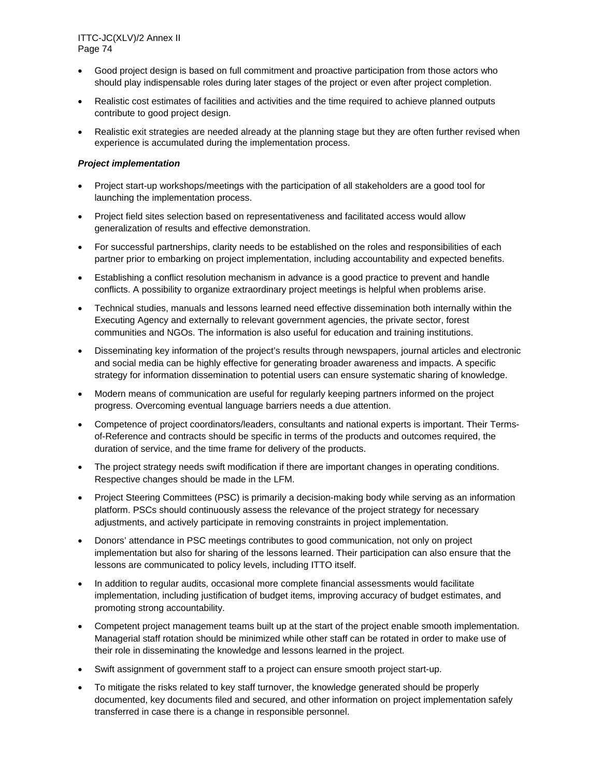ITTC-JC(XLV)/2 Annex II Page 74

- Good project design is based on full commitment and proactive participation from those actors who should play indispensable roles during later stages of the project or even after project completion.
- Realistic cost estimates of facilities and activities and the time required to achieve planned outputs contribute to good project design.
- Realistic exit strategies are needed already at the planning stage but they are often further revised when experience is accumulated during the implementation process.

## *Project implementation*

- Project start-up workshops/meetings with the participation of all stakeholders are a good tool for launching the implementation process.
- Project field sites selection based on representativeness and facilitated access would allow generalization of results and effective demonstration.
- For successful partnerships, clarity needs to be established on the roles and responsibilities of each partner prior to embarking on project implementation, including accountability and expected benefits.
- Establishing a conflict resolution mechanism in advance is a good practice to prevent and handle conflicts. A possibility to organize extraordinary project meetings is helpful when problems arise.
- Technical studies, manuals and lessons learned need effective dissemination both internally within the Executing Agency and externally to relevant government agencies, the private sector, forest communities and NGOs. The information is also useful for education and training institutions.
- Disseminating key information of the project's results through newspapers, journal articles and electronic and social media can be highly effective for generating broader awareness and impacts. A specific strategy for information dissemination to potential users can ensure systematic sharing of knowledge.
- Modern means of communication are useful for regularly keeping partners informed on the project progress. Overcoming eventual language barriers needs a due attention.
- Competence of project coordinators/leaders, consultants and national experts is important. Their Termsof-Reference and contracts should be specific in terms of the products and outcomes required, the duration of service, and the time frame for delivery of the products.
- The project strategy needs swift modification if there are important changes in operating conditions. Respective changes should be made in the LFM.
- Project Steering Committees (PSC) is primarily a decision-making body while serving as an information platform. PSCs should continuously assess the relevance of the project strategy for necessary adjustments, and actively participate in removing constraints in project implementation.
- Donors' attendance in PSC meetings contributes to good communication, not only on project implementation but also for sharing of the lessons learned. Their participation can also ensure that the lessons are communicated to policy levels, including ITTO itself.
- In addition to regular audits, occasional more complete financial assessments would facilitate implementation, including justification of budget items, improving accuracy of budget estimates, and promoting strong accountability.
- Competent project management teams built up at the start of the project enable smooth implementation. Managerial staff rotation should be minimized while other staff can be rotated in order to make use of their role in disseminating the knowledge and lessons learned in the project.
- Swift assignment of government staff to a project can ensure smooth project start-up.
- To mitigate the risks related to key staff turnover, the knowledge generated should be properly documented, key documents filed and secured, and other information on project implementation safely transferred in case there is a change in responsible personnel.